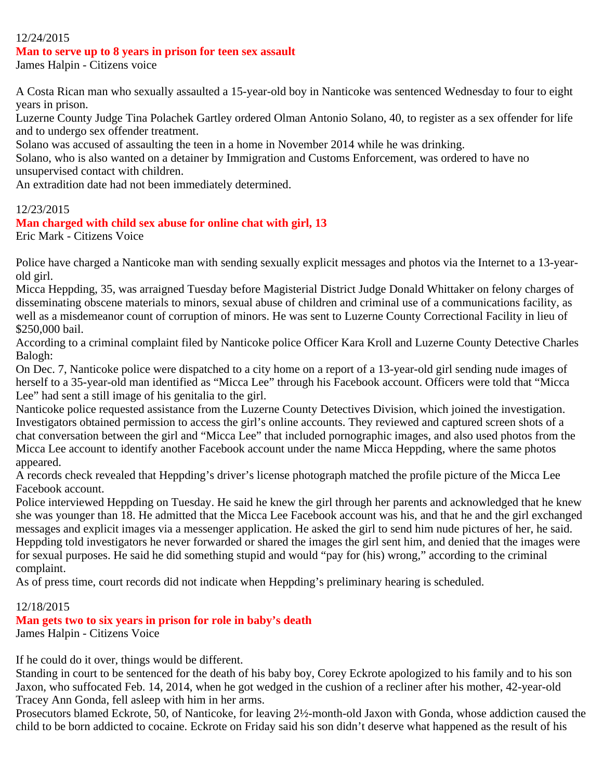#### 12/24/2015

#### **Man to serve up to 8 years in prison for teen sex assault**

James Halpin - Citizens voice

A Costa Rican man who sexually assaulted a 15-year-old boy in Nanticoke was sentenced Wednesday to four to eight years in prison.

Luzerne County Judge Tina Polachek Gartley ordered Olman Antonio Solano, 40, to register as a sex offender for life and to undergo sex offender treatment.

Solano was accused of assaulting the teen in a home in November 2014 while he was drinking.

Solano, who is also wanted on a detainer by Immigration and Customs Enforcement, was ordered to have no unsupervised contact with children.

An extradition date had not been immediately determined.

#### 12/23/2015

#### **Man charged with child sex abuse for online chat with girl, 13**

Eric Mark - Citizens Voice

Police have charged a Nanticoke man with sending sexually explicit messages and photos via the Internet to a 13-yearold girl.

Micca Heppding, 35, was arraigned Tuesday before Magisterial District Judge Donald Whittaker on felony charges of disseminating obscene materials to minors, sexual abuse of children and criminal use of a communications facility, as well as a misdemeanor count of corruption of minors. He was sent to Luzerne County Correctional Facility in lieu of \$250,000 bail.

According to a criminal complaint filed by Nanticoke police Officer Kara Kroll and Luzerne County Detective Charles Balogh:

On Dec. 7, Nanticoke police were dispatched to a city home on a report of a 13-year-old girl sending nude images of herself to a 35-year-old man identified as "Micca Lee" through his Facebook account. Officers were told that "Micca Lee" had sent a still image of his genitalia to the girl.

Nanticoke police requested assistance from the Luzerne County Detectives Division, which joined the investigation. Investigators obtained permission to access the girl's online accounts. They reviewed and captured screen shots of a chat conversation between the girl and "Micca Lee" that included pornographic images, and also used photos from the Micca Lee account to identify another Facebook account under the name Micca Heppding, where the same photos appeared.

A records check revealed that Heppding's driver's license photograph matched the profile picture of the Micca Lee Facebook account.

Police interviewed Heppding on Tuesday. He said he knew the girl through her parents and acknowledged that he knew she was younger than 18. He admitted that the Micca Lee Facebook account was his, and that he and the girl exchanged messages and explicit images via a messenger application. He asked the girl to send him nude pictures of her, he said. Heppding told investigators he never forwarded or shared the images the girl sent him, and denied that the images were for sexual purposes. He said he did something stupid and would "pay for (his) wrong," according to the criminal complaint.

As of press time, court records did not indicate when Heppding's preliminary hearing is scheduled.

#### 12/18/2015

# **Man gets two to six years in prison for role in baby's death**

James Halpin - Citizens Voice

If he could do it over, things would be different.

Standing in court to be sentenced for the death of his baby boy, Corey Eckrote apologized to his family and to his son Jaxon, who suffocated Feb. 14, 2014, when he got wedged in the cushion of a recliner after his mother, 42-year-old Tracey Ann Gonda, fell asleep with him in her arms.

Prosecutors blamed Eckrote, 50, of Nanticoke, for leaving 2½-month-old Jaxon with Gonda, whose addiction caused the child to be born addicted to cocaine. Eckrote on Friday said his son didn't deserve what happened as the result of his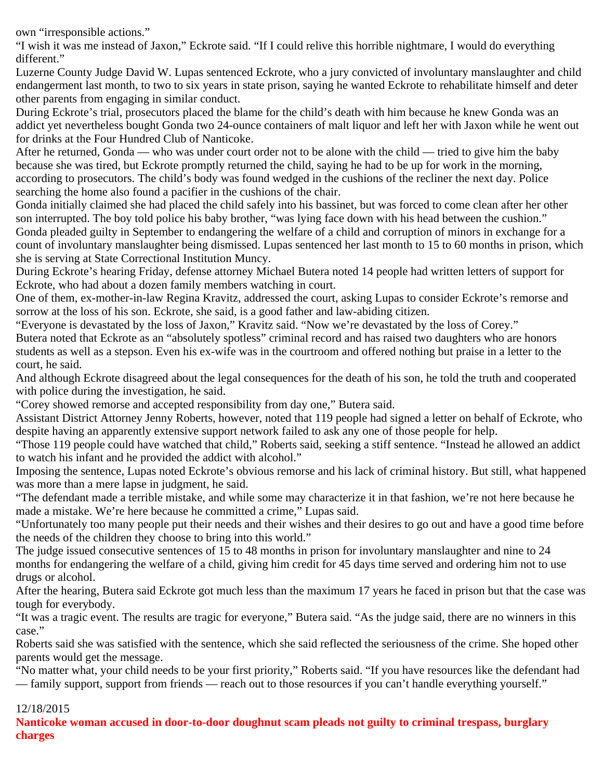own "irresponsible actions."

"I wish it was me instead of Jaxon," Eckrote said. "If I could relive this horrible nightmare, I would do everything different."

Luzerne County Judge David W. Lupas sentenced Eckrote, who a jury convicted of involuntary manslaughter and child endangerment last month, to two to six years in state prison, saying he wanted Eckrote to rehabilitate himself and deter other parents from engaging in similar conduct.

During Eckrote's trial, prosecutors placed the blame for the child's death with him because he knew Gonda was an addict yet nevertheless bought Gonda two 24-ounce containers of malt liquor and left her with Jaxon while he went out for drinks at the Four Hundred Club of Nanticoke.

After he returned, Gonda — who was under court order not to be alone with the child — tried to give him the baby because she was tired, but Eckrote promptly returned the child, saying he had to be up for work in the morning, according to prosecutors. The child's body was found wedged in the cushions of the recliner the next day. Police searching the home also found a pacifier in the cushions of the chair.

Gonda initially claimed she had placed the child safely into his bassinet, but was forced to come clean after her other son interrupted. The boy told police his baby brother, "was lying face down with his head between the cushion." Gonda pleaded guilty in September to endangering the welfare of a child and corruption of minors in exchange for a count of involuntary manslaughter being dismissed. Lupas sentenced her last month to 15 to 60 months in prison, which she is serving at State Correctional Institution Muncy.

During Eckrote's hearing Friday, defense attorney Michael Butera noted 14 people had written letters of support for Eckrote, who had about a dozen family members watching in court.

One of them, ex-mother-in-law Regina Kravitz, addressed the court, asking Lupas to consider Eckrote's remorse and sorrow at the loss of his son. Eckrote, she said, is a good father and law-abiding citizen.

"Everyone is devastated by the loss of Jaxon," Kravitz said. "Now we're devastated by the loss of Corey."

Butera noted that Eckrote as an "absolutely spotless" criminal record and has raised two daughters who are honors students as well as a stepson. Even his ex-wife was in the courtroom and offered nothing but praise in a letter to the court, he said.

And although Eckrote disagreed about the legal consequences for the death of his son, he told the truth and cooperated with police during the investigation, he said.

"Corey showed remorse and accepted responsibility from day one," Butera said.

Assistant District Attorney Jenny Roberts, however, noted that 119 people had signed a letter on behalf of Eckrote, who despite having an apparently extensive support network failed to ask any one of those people for help.

"Those 119 people could have watched that child," Roberts said, seeking a stiff sentence. "Instead he allowed an addict to watch his infant and he provided the addict with alcohol."

Imposing the sentence, Lupas noted Eckrote's obvious remorse and his lack of criminal history. But still, what happened was more than a mere lapse in judgment, he said.

"The defendant made a terrible mistake, and while some may characterize it in that fashion, we're not here because he made a mistake. We're here because he committed a crime," Lupas said.

"Unfortunately too many people put their needs and their wishes and their desires to go out and have a good time before the needs of the children they choose to bring into this world."

The judge issued consecutive sentences of 15 to 48 months in prison for involuntary manslaughter and nine to 24 months for endangering the welfare of a child, giving him credit for 45 days time served and ordering him not to use drugs or alcohol.

After the hearing, Butera said Eckrote got much less than the maximum 17 years he faced in prison but that the case was tough for everybody.

"It was a tragic event. The results are tragic for everyone," Butera said. "As the judge said, there are no winners in this case."

Roberts said she was satisfied with the sentence, which she said reflected the seriousness of the crime. She hoped other parents would get the message.

"No matter what, your child needs to be your first priority," Roberts said. "If you have resources like the defendant had — family support, support from friends — reach out to those resources if you can't handle everything yourself."

# 12/18/2015

**Nanticoke woman accused in door-to-door doughnut scam pleads not guilty to criminal trespass, burglary charges**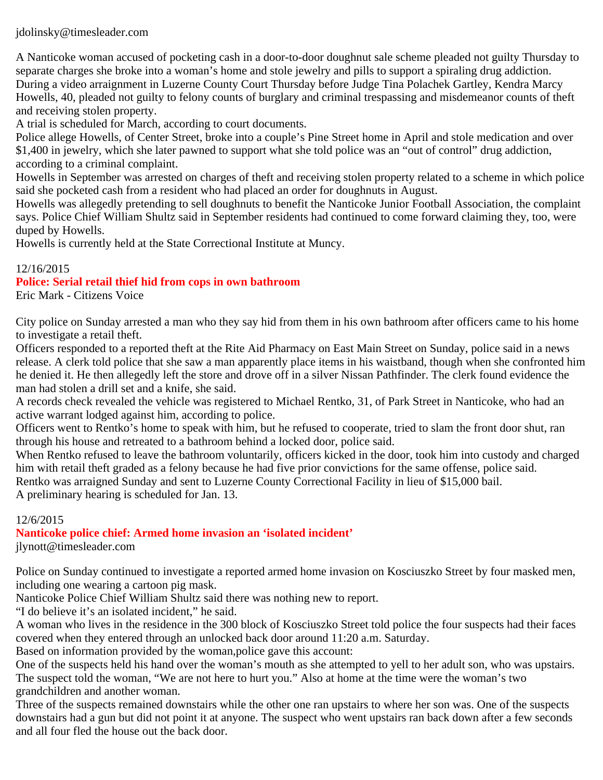jdolinsky@timesleader.com

A Nanticoke woman accused of pocketing cash in a door-to-door doughnut sale scheme pleaded not guilty Thursday to separate charges she broke into a woman's home and stole jewelry and pills to support a spiraling drug addiction. During a video arraignment in Luzerne County Court Thursday before Judge Tina Polachek Gartley, Kendra Marcy Howells, 40, pleaded not guilty to felony counts of burglary and criminal trespassing and misdemeanor counts of theft and receiving stolen property.

A trial is scheduled for March, according to court documents.

Police allege Howells, of Center Street, broke into a couple's Pine Street home in April and stole medication and over \$1,400 in jewelry, which she later pawned to support what she told police was an "out of control" drug addiction, according to a criminal complaint.

Howells in September was arrested on charges of theft and receiving stolen property related to a scheme in which police said she pocketed cash from a resident who had placed an order for doughnuts in August.

Howells was allegedly pretending to sell doughnuts to benefit the Nanticoke Junior Football Association, the complaint says. Police Chief William Shultz said in September residents had continued to come forward claiming they, too, were duped by Howells.

Howells is currently held at the State Correctional Institute at Muncy.

# 12/16/2015

# **Police: Serial retail thief hid from cops in own bathroom**

Eric Mark - Citizens Voice

City police on Sunday arrested a man who they say hid from them in his own bathroom after officers came to his home to investigate a retail theft.

Officers responded to a reported theft at the Rite Aid Pharmacy on East Main Street on Sunday, police said in a news release. A clerk told police that she saw a man apparently place items in his waistband, though when she confronted him he denied it. He then allegedly left the store and drove off in a silver Nissan Pathfinder. The clerk found evidence the man had stolen a drill set and a knife, she said.

A records check revealed the vehicle was registered to Michael Rentko, 31, of Park Street in Nanticoke, who had an active warrant lodged against him, according to police.

Officers went to Rentko's home to speak with him, but he refused to cooperate, tried to slam the front door shut, ran through his house and retreated to a bathroom behind a locked door, police said.

When Rentko refused to leave the bathroom voluntarily, officers kicked in the door, took him into custody and charged him with retail theft graded as a felony because he had five prior convictions for the same offense, police said. Rentko was arraigned Sunday and sent to Luzerne County Correctional Facility in lieu of \$15,000 bail. A preliminary hearing is scheduled for Jan. 13.

#### 12/6/2015

# **Nanticoke police chief: Armed home invasion an 'isolated incident'**

jlynott@timesleader.com

Police on Sunday continued to investigate a reported armed home invasion on Kosciuszko Street by four masked men, including one wearing a cartoon pig mask.

Nanticoke Police Chief William Shultz said there was nothing new to report.

"I do believe it's an isolated incident," he said.

A woman who lives in the residence in the 300 block of Kosciuszko Street told police the four suspects had their faces covered when they entered through an unlocked back door around 11:20 a.m. Saturday.

Based on information provided by the woman,police gave this account:

One of the suspects held his hand over the woman's mouth as she attempted to yell to her adult son, who was upstairs. The suspect told the woman, "We are not here to hurt you." Also at home at the time were the woman's two grandchildren and another woman.

Three of the suspects remained downstairs while the other one ran upstairs to where her son was. One of the suspects downstairs had a gun but did not point it at anyone. The suspect who went upstairs ran back down after a few seconds and all four fled the house out the back door.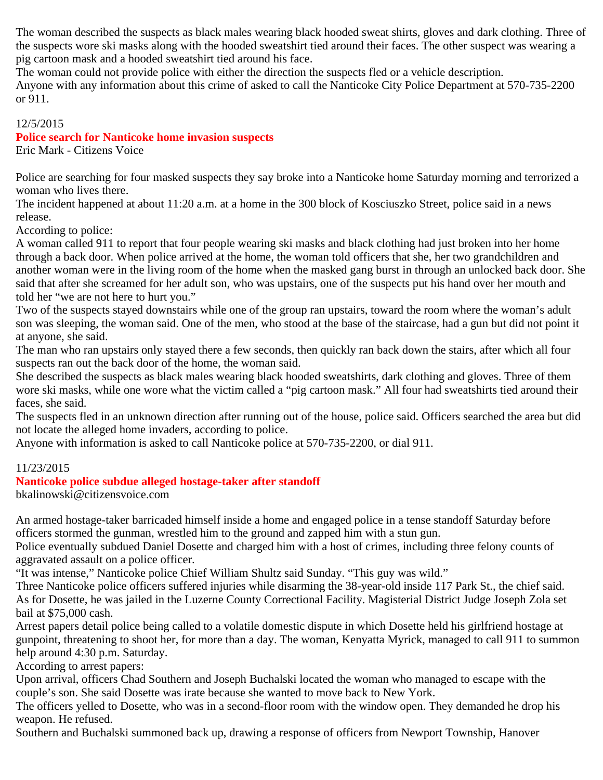The woman described the suspects as black males wearing black hooded sweat shirts, gloves and dark clothing. Three of the suspects wore ski masks along with the hooded sweatshirt tied around their faces. The other suspect was wearing a pig cartoon mask and a hooded sweatshirt tied around his face.

The woman could not provide police with either the direction the suspects fled or a vehicle description. Anyone with any information about this crime of asked to call the Nanticoke City Police Department at 570-735-2200 or 911.

# 12/5/2015

# **Police search for Nanticoke home invasion suspects**

Eric Mark - Citizens Voice

Police are searching for four masked suspects they say broke into a Nanticoke home Saturday morning and terrorized a woman who lives there.

The incident happened at about 11:20 a.m. at a home in the 300 block of Kosciuszko Street, police said in a news release.

According to police:

A woman called 911 to report that four people wearing ski masks and black clothing had just broken into her home through a back door. When police arrived at the home, the woman told officers that she, her two grandchildren and another woman were in the living room of the home when the masked gang burst in through an unlocked back door. She said that after she screamed for her adult son, who was upstairs, one of the suspects put his hand over her mouth and told her "we are not here to hurt you."

Two of the suspects stayed downstairs while one of the group ran upstairs, toward the room where the woman's adult son was sleeping, the woman said. One of the men, who stood at the base of the staircase, had a gun but did not point it at anyone, she said.

The man who ran upstairs only stayed there a few seconds, then quickly ran back down the stairs, after which all four suspects ran out the back door of the home, the woman said.

She described the suspects as black males wearing black hooded sweatshirts, dark clothing and gloves. Three of them wore ski masks, while one wore what the victim called a "pig cartoon mask." All four had sweatshirts tied around their faces, she said.

The suspects fled in an unknown direction after running out of the house, police said. Officers searched the area but did not locate the alleged home invaders, according to police.

Anyone with information is asked to call Nanticoke police at 570-735-2200, or dial 911.

#### 11/23/2015

#### **Nanticoke police subdue alleged hostage-taker after standoff**

bkalinowski@citizensvoice.com

An armed hostage-taker barricaded himself inside a home and engaged police in a tense standoff Saturday before officers stormed the gunman, wrestled him to the ground and zapped him with a stun gun.

Police eventually subdued Daniel Dosette and charged him with a host of crimes, including three felony counts of aggravated assault on a police officer.

"It was intense," Nanticoke police Chief William Shultz said Sunday. "This guy was wild."

Three Nanticoke police officers suffered injuries while disarming the 38-year-old inside 117 Park St., the chief said. As for Dosette, he was jailed in the Luzerne County Correctional Facility. Magisterial District Judge Joseph Zola set bail at \$75,000 cash.

Arrest papers detail police being called to a volatile domestic dispute in which Dosette held his girlfriend hostage at gunpoint, threatening to shoot her, for more than a day. The woman, Kenyatta Myrick, managed to call 911 to summon help around 4:30 p.m. Saturday.

According to arrest papers:

Upon arrival, officers Chad Southern and Joseph Buchalski located the woman who managed to escape with the couple's son. She said Dosette was irate because she wanted to move back to New York.

The officers yelled to Dosette, who was in a second-floor room with the window open. They demanded he drop his weapon. He refused.

Southern and Buchalski summoned back up, drawing a response of officers from Newport Township, Hanover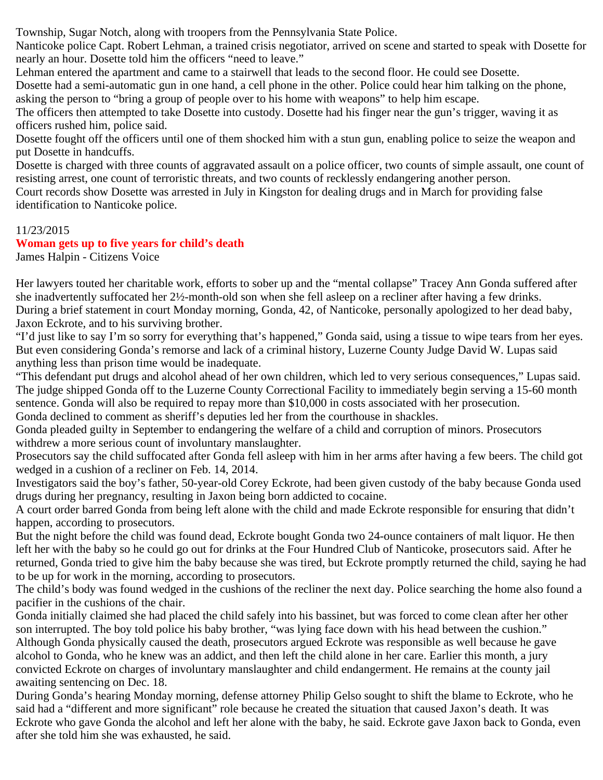Township, Sugar Notch, along with troopers from the Pennsylvania State Police.

Nanticoke police Capt. Robert Lehman, a trained crisis negotiator, arrived on scene and started to speak with Dosette for nearly an hour. Dosette told him the officers "need to leave."

Lehman entered the apartment and came to a stairwell that leads to the second floor. He could see Dosette.

Dosette had a semi-automatic gun in one hand, a cell phone in the other. Police could hear him talking on the phone, asking the person to "bring a group of people over to his home with weapons" to help him escape.

The officers then attempted to take Dosette into custody. Dosette had his finger near the gun's trigger, waving it as officers rushed him, police said.

Dosette fought off the officers until one of them shocked him with a stun gun, enabling police to seize the weapon and put Dosette in handcuffs.

Dosette is charged with three counts of aggravated assault on a police officer, two counts of simple assault, one count of resisting arrest, one count of terroristic threats, and two counts of recklessly endangering another person.

Court records show Dosette was arrested in July in Kingston for dealing drugs and in March for providing false identification to Nanticoke police.

#### 11/23/2015

# **Woman gets up to five years for child's death**

James Halpin - Citizens Voice

Her lawyers touted her charitable work, efforts to sober up and the "mental collapse" Tracey Ann Gonda suffered after she inadvertently suffocated her 2½-month-old son when she fell asleep on a recliner after having a few drinks. During a brief statement in court Monday morning, Gonda, 42, of Nanticoke, personally apologized to her dead baby, Jaxon Eckrote, and to his surviving brother.

"I'd just like to say I'm so sorry for everything that's happened," Gonda said, using a tissue to wipe tears from her eyes. But even considering Gonda's remorse and lack of a criminal history, Luzerne County Judge David W. Lupas said anything less than prison time would be inadequate.

"This defendant put drugs and alcohol ahead of her own children, which led to very serious consequences," Lupas said. The judge shipped Gonda off to the Luzerne County Correctional Facility to immediately begin serving a 15-60 month sentence. Gonda will also be required to repay more than \$10,000 in costs associated with her prosecution. Gonda declined to comment as sheriff's deputies led her from the courthouse in shackles.

Gonda pleaded guilty in September to endangering the welfare of a child and corruption of minors. Prosecutors withdrew a more serious count of involuntary manslaughter.

Prosecutors say the child suffocated after Gonda fell asleep with him in her arms after having a few beers. The child got wedged in a cushion of a recliner on Feb. 14, 2014.

Investigators said the boy's father, 50-year-old Corey Eckrote, had been given custody of the baby because Gonda used drugs during her pregnancy, resulting in Jaxon being born addicted to cocaine.

A court order barred Gonda from being left alone with the child and made Eckrote responsible for ensuring that didn't happen, according to prosecutors.

But the night before the child was found dead, Eckrote bought Gonda two 24-ounce containers of malt liquor. He then left her with the baby so he could go out for drinks at the Four Hundred Club of Nanticoke, prosecutors said. After he returned, Gonda tried to give him the baby because she was tired, but Eckrote promptly returned the child, saying he had to be up for work in the morning, according to prosecutors.

The child's body was found wedged in the cushions of the recliner the next day. Police searching the home also found a pacifier in the cushions of the chair.

Gonda initially claimed she had placed the child safely into his bassinet, but was forced to come clean after her other son interrupted. The boy told police his baby brother, "was lying face down with his head between the cushion." Although Gonda physically caused the death, prosecutors argued Eckrote was responsible as well because he gave alcohol to Gonda, who he knew was an addict, and then left the child alone in her care. Earlier this month, a jury convicted Eckrote on charges of involuntary manslaughter and child endangerment. He remains at the county jail awaiting sentencing on Dec. 18.

During Gonda's hearing Monday morning, defense attorney Philip Gelso sought to shift the blame to Eckrote, who he said had a "different and more significant" role because he created the situation that caused Jaxon's death. It was Eckrote who gave Gonda the alcohol and left her alone with the baby, he said. Eckrote gave Jaxon back to Gonda, even after she told him she was exhausted, he said.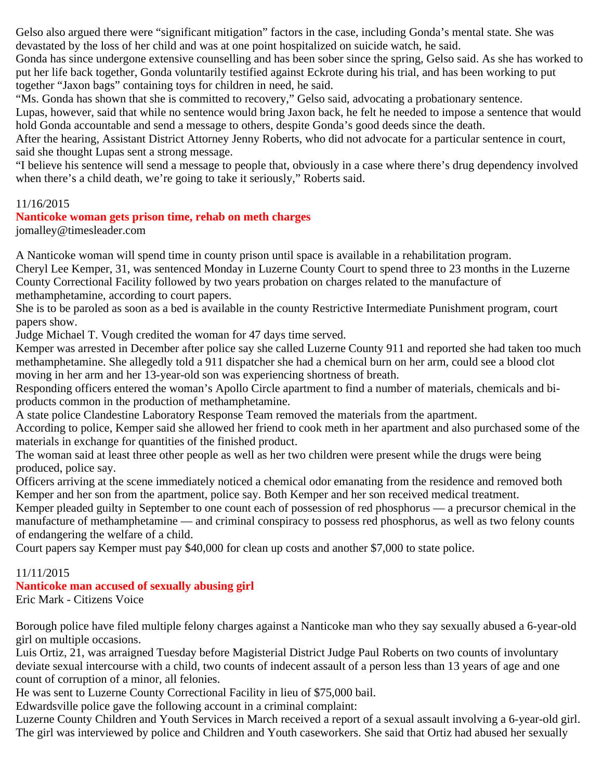Gelso also argued there were "significant mitigation" factors in the case, including Gonda's mental state. She was devastated by the loss of her child and was at one point hospitalized on suicide watch, he said.

Gonda has since undergone extensive counselling and has been sober since the spring, Gelso said. As she has worked to put her life back together, Gonda voluntarily testified against Eckrote during his trial, and has been working to put together "Jaxon bags" containing toys for children in need, he said.

"Ms. Gonda has shown that she is committed to recovery," Gelso said, advocating a probationary sentence.

Lupas, however, said that while no sentence would bring Jaxon back, he felt he needed to impose a sentence that would hold Gonda accountable and send a message to others, despite Gonda's good deeds since the death.

After the hearing, Assistant District Attorney Jenny Roberts, who did not advocate for a particular sentence in court, said she thought Lupas sent a strong message.

"I believe his sentence will send a message to people that, obviously in a case where there's drug dependency involved when there's a child death, we're going to take it seriously," Roberts said.

# 11/16/2015

#### **Nanticoke woman gets prison time, rehab on meth charges**

jomalley@timesleader.com

A Nanticoke woman will spend time in county prison until space is available in a rehabilitation program.

Cheryl Lee Kemper, 31, was sentenced Monday in Luzerne County Court to spend three to 23 months in the Luzerne County Correctional Facility followed by two years probation on charges related to the manufacture of methamphetamine, according to court papers.

She is to be paroled as soon as a bed is available in the county Restrictive Intermediate Punishment program, court papers show.

Judge Michael T. Vough credited the woman for 47 days time served.

Kemper was arrested in December after police say she called Luzerne County 911 and reported she had taken too much methamphetamine. She allegedly told a 911 dispatcher she had a chemical burn on her arm, could see a blood clot moving in her arm and her 13-year-old son was experiencing shortness of breath.

Responding officers entered the woman's Apollo Circle apartment to find a number of materials, chemicals and biproducts common in the production of methamphetamine.

A state police Clandestine Laboratory Response Team removed the materials from the apartment.

According to police, Kemper said she allowed her friend to cook meth in her apartment and also purchased some of the materials in exchange for quantities of the finished product.

The woman said at least three other people as well as her two children were present while the drugs were being produced, police say.

Officers arriving at the scene immediately noticed a chemical odor emanating from the residence and removed both Kemper and her son from the apartment, police say. Both Kemper and her son received medical treatment.

Kemper pleaded guilty in September to one count each of possession of red phosphorus — a precursor chemical in the manufacture of methamphetamine — and criminal conspiracy to possess red phosphorus, as well as two felony counts of endangering the welfare of a child.

Court papers say Kemper must pay \$40,000 for clean up costs and another \$7,000 to state police.

#### 11/11/2015

# **Nanticoke man accused of sexually abusing girl**

Eric Mark - Citizens Voice

Borough police have filed multiple felony charges against a Nanticoke man who they say sexually abused a 6-year-old girl on multiple occasions.

Luis Ortiz, 21, was arraigned Tuesday before Magisterial District Judge Paul Roberts on two counts of involuntary deviate sexual intercourse with a child, two counts of indecent assault of a person less than 13 years of age and one count of corruption of a minor, all felonies.

He was sent to Luzerne County Correctional Facility in lieu of \$75,000 bail.

Edwardsville police gave the following account in a criminal complaint:

Luzerne County Children and Youth Services in March received a report of a sexual assault involving a 6-year-old girl. The girl was interviewed by police and Children and Youth caseworkers. She said that Ortiz had abused her sexually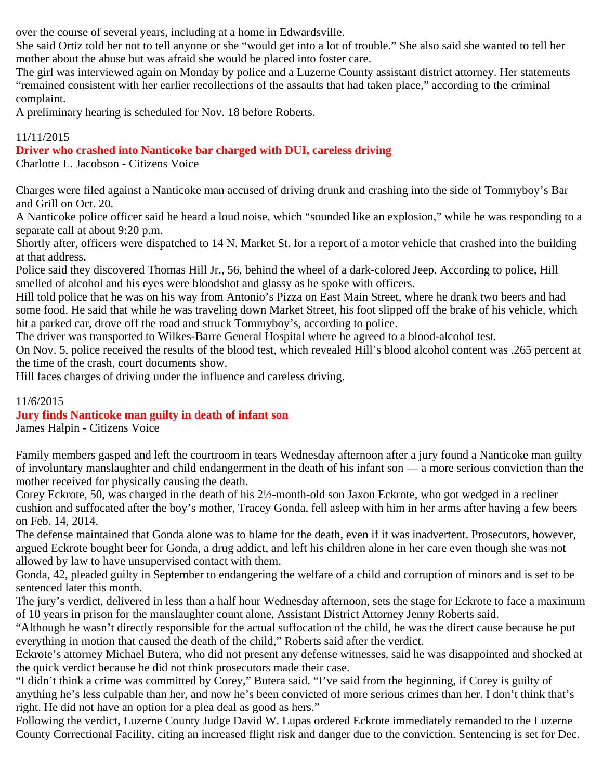over the course of several years, including at a home in Edwardsville.

She said Ortiz told her not to tell anyone or she "would get into a lot of trouble." She also said she wanted to tell her mother about the abuse but was afraid she would be placed into foster care.

The girl was interviewed again on Monday by police and a Luzerne County assistant district attorney. Her statements "remained consistent with her earlier recollections of the assaults that had taken place," according to the criminal complaint.

A preliminary hearing is scheduled for Nov. 18 before Roberts.

# 11/11/2015

# **Driver who crashed into Nanticoke bar charged with DUI, careless driving**

Charlotte L. Jacobson - Citizens Voice

Charges were filed against a Nanticoke man accused of driving drunk and crashing into the side of Tommyboy's Bar and Grill on Oct. 20.

A Nanticoke police officer said he heard a loud noise, which "sounded like an explosion," while he was responding to a separate call at about 9:20 p.m.

Shortly after, officers were dispatched to 14 N. Market St. for a report of a motor vehicle that crashed into the building at that address.

Police said they discovered Thomas Hill Jr., 56, behind the wheel of a dark-colored Jeep. According to police, Hill smelled of alcohol and his eyes were bloodshot and glassy as he spoke with officers.

Hill told police that he was on his way from Antonio's Pizza on East Main Street, where he drank two beers and had some food. He said that while he was traveling down Market Street, his foot slipped off the brake of his vehicle, which hit a parked car, drove off the road and struck Tommyboy's, according to police.

The driver was transported to Wilkes-Barre General Hospital where he agreed to a blood-alcohol test.

On Nov. 5, police received the results of the blood test, which revealed Hill's blood alcohol content was .265 percent at the time of the crash, court documents show.

Hill faces charges of driving under the influence and careless driving.

# 11/6/2015

# **Jury finds Nanticoke man guilty in death of infant son**

James Halpin - Citizens Voice

Family members gasped and left the courtroom in tears Wednesday afternoon after a jury found a Nanticoke man guilty of involuntary manslaughter and child endangerment in the death of his infant son — a more serious conviction than the mother received for physically causing the death.

Corey Eckrote, 50, was charged in the death of his 2½-month-old son Jaxon Eckrote, who got wedged in a recliner cushion and suffocated after the boy's mother, Tracey Gonda, fell asleep with him in her arms after having a few beers on Feb. 14, 2014.

The defense maintained that Gonda alone was to blame for the death, even if it was inadvertent. Prosecutors, however, argued Eckrote bought beer for Gonda, a drug addict, and left his children alone in her care even though she was not allowed by law to have unsupervised contact with them.

Gonda, 42, pleaded guilty in September to endangering the welfare of a child and corruption of minors and is set to be sentenced later this month.

The jury's verdict, delivered in less than a half hour Wednesday afternoon, sets the stage for Eckrote to face a maximum of 10 years in prison for the manslaughter count alone, Assistant District Attorney Jenny Roberts said.

"Although he wasn't directly responsible for the actual suffocation of the child, he was the direct cause because he put everything in motion that caused the death of the child," Roberts said after the verdict.

Eckrote's attorney Michael Butera, who did not present any defense witnesses, said he was disappointed and shocked at the quick verdict because he did not think prosecutors made their case.

"I didn't think a crime was committed by Corey," Butera said. "I've said from the beginning, if Corey is guilty of anything he's less culpable than her, and now he's been convicted of more serious crimes than her. I don't think that's right. He did not have an option for a plea deal as good as hers."

Following the verdict, Luzerne County Judge David W. Lupas ordered Eckrote immediately remanded to the Luzerne County Correctional Facility, citing an increased flight risk and danger due to the conviction. Sentencing is set for Dec.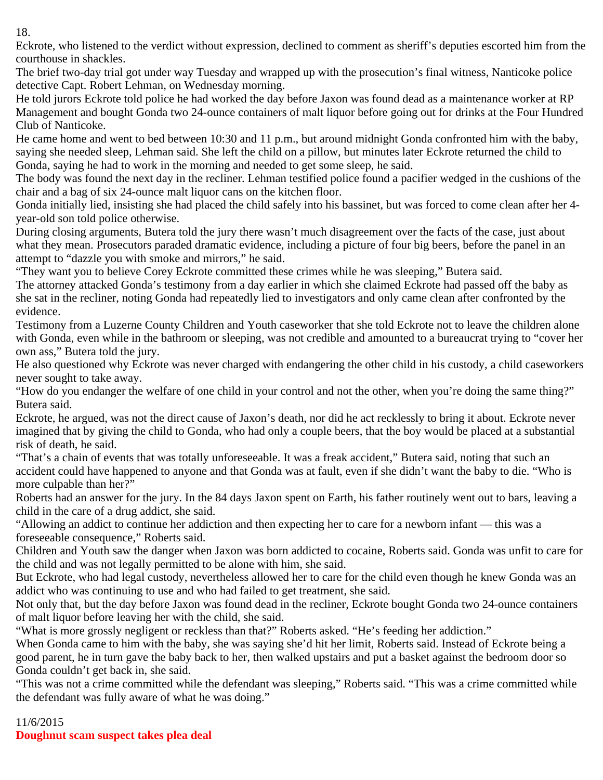18.

Eckrote, who listened to the verdict without expression, declined to comment as sheriff's deputies escorted him from the courthouse in shackles.

The brief two-day trial got under way Tuesday and wrapped up with the prosecution's final witness, Nanticoke police detective Capt. Robert Lehman, on Wednesday morning.

He told jurors Eckrote told police he had worked the day before Jaxon was found dead as a maintenance worker at RP Management and bought Gonda two 24-ounce containers of malt liquor before going out for drinks at the Four Hundred Club of Nanticoke.

He came home and went to bed between 10:30 and 11 p.m., but around midnight Gonda confronted him with the baby, saying she needed sleep, Lehman said. She left the child on a pillow, but minutes later Eckrote returned the child to Gonda, saying he had to work in the morning and needed to get some sleep, he said.

The body was found the next day in the recliner. Lehman testified police found a pacifier wedged in the cushions of the chair and a bag of six 24-ounce malt liquor cans on the kitchen floor.

Gonda initially lied, insisting she had placed the child safely into his bassinet, but was forced to come clean after her 4 year-old son told police otherwise.

During closing arguments, Butera told the jury there wasn't much disagreement over the facts of the case, just about what they mean. Prosecutors paraded dramatic evidence, including a picture of four big beers, before the panel in an attempt to "dazzle you with smoke and mirrors," he said.

"They want you to believe Corey Eckrote committed these crimes while he was sleeping," Butera said.

The attorney attacked Gonda's testimony from a day earlier in which she claimed Eckrote had passed off the baby as she sat in the recliner, noting Gonda had repeatedly lied to investigators and only came clean after confronted by the evidence.

Testimony from a Luzerne County Children and Youth caseworker that she told Eckrote not to leave the children alone with Gonda, even while in the bathroom or sleeping, was not credible and amounted to a bureaucrat trying to "cover her own ass," Butera told the jury.

He also questioned why Eckrote was never charged with endangering the other child in his custody, a child caseworkers never sought to take away.

"How do you endanger the welfare of one child in your control and not the other, when you're doing the same thing?" Butera said.

Eckrote, he argued, was not the direct cause of Jaxon's death, nor did he act recklessly to bring it about. Eckrote never imagined that by giving the child to Gonda, who had only a couple beers, that the boy would be placed at a substantial risk of death, he said.

"That's a chain of events that was totally unforeseeable. It was a freak accident," Butera said, noting that such an accident could have happened to anyone and that Gonda was at fault, even if she didn't want the baby to die. "Who is more culpable than her?"

Roberts had an answer for the jury. In the 84 days Jaxon spent on Earth, his father routinely went out to bars, leaving a child in the care of a drug addict, she said.

"Allowing an addict to continue her addiction and then expecting her to care for a newborn infant — this was a foreseeable consequence," Roberts said.

Children and Youth saw the danger when Jaxon was born addicted to cocaine, Roberts said. Gonda was unfit to care for the child and was not legally permitted to be alone with him, she said.

But Eckrote, who had legal custody, nevertheless allowed her to care for the child even though he knew Gonda was an addict who was continuing to use and who had failed to get treatment, she said.

Not only that, but the day before Jaxon was found dead in the recliner, Eckrote bought Gonda two 24-ounce containers of malt liquor before leaving her with the child, she said.

"What is more grossly negligent or reckless than that?" Roberts asked. "He's feeding her addiction."

When Gonda came to him with the baby, she was saying she'd hit her limit, Roberts said. Instead of Eckrote being a good parent, he in turn gave the baby back to her, then walked upstairs and put a basket against the bedroom door so Gonda couldn't get back in, she said.

"This was not a crime committed while the defendant was sleeping," Roberts said. "This was a crime committed while the defendant was fully aware of what he was doing."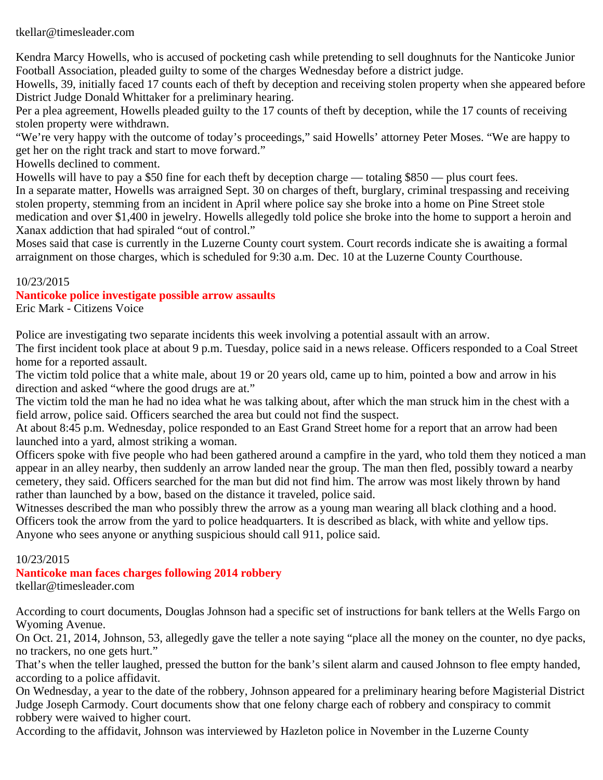#### tkellar@timesleader.com

Kendra Marcy Howells, who is accused of pocketing cash while pretending to sell doughnuts for the Nanticoke Junior Football Association, pleaded guilty to some of the charges Wednesday before a district judge.

Howells, 39, initially faced 17 counts each of theft by deception and receiving stolen property when she appeared before District Judge Donald Whittaker for a preliminary hearing.

Per a plea agreement, Howells pleaded guilty to the 17 counts of theft by deception, while the 17 counts of receiving stolen property were withdrawn.

"We're very happy with the outcome of today's proceedings," said Howells' attorney Peter Moses. "We are happy to get her on the right track and start to move forward."

Howells declined to comment.

Howells will have to pay a \$50 fine for each theft by deception charge — totaling \$850 — plus court fees. In a separate matter, Howells was arraigned Sept. 30 on charges of theft, burglary, criminal trespassing and receiving stolen property, stemming from an incident in April where police say she broke into a home on Pine Street stole medication and over \$1,400 in jewelry. Howells allegedly told police she broke into the home to support a heroin and Xanax addiction that had spiraled "out of control."

Moses said that case is currently in the Luzerne County court system. Court records indicate she is awaiting a formal arraignment on those charges, which is scheduled for 9:30 a.m. Dec. 10 at the Luzerne County Courthouse.

#### 10/23/2015

#### **Nanticoke police investigate possible arrow assaults**

Eric Mark - Citizens Voice

Police are investigating two separate incidents this week involving a potential assault with an arrow.

The first incident took place at about 9 p.m. Tuesday, police said in a news release. Officers responded to a Coal Street home for a reported assault.

The victim told police that a white male, about 19 or 20 years old, came up to him, pointed a bow and arrow in his direction and asked "where the good drugs are at."

The victim told the man he had no idea what he was talking about, after which the man struck him in the chest with a field arrow, police said. Officers searched the area but could not find the suspect.

At about 8:45 p.m. Wednesday, police responded to an East Grand Street home for a report that an arrow had been launched into a yard, almost striking a woman.

Officers spoke with five people who had been gathered around a campfire in the yard, who told them they noticed a man appear in an alley nearby, then suddenly an arrow landed near the group. The man then fled, possibly toward a nearby cemetery, they said. Officers searched for the man but did not find him. The arrow was most likely thrown by hand rather than launched by a bow, based on the distance it traveled, police said.

Witnesses described the man who possibly threw the arrow as a young man wearing all black clothing and a hood. Officers took the arrow from the yard to police headquarters. It is described as black, with white and yellow tips. Anyone who sees anyone or anything suspicious should call 911, police said.

#### 10/23/2015

#### **Nanticoke man faces charges following 2014 robbery** tkellar@timesleader.com

According to court documents, Douglas Johnson had a specific set of instructions for bank tellers at the Wells Fargo on Wyoming Avenue.

On Oct. 21, 2014, Johnson, 53, allegedly gave the teller a note saying "place all the money on the counter, no dye packs, no trackers, no one gets hurt."

That's when the teller laughed, pressed the button for the bank's silent alarm and caused Johnson to flee empty handed, according to a police affidavit.

On Wednesday, a year to the date of the robbery, Johnson appeared for a preliminary hearing before Magisterial District Judge Joseph Carmody. Court documents show that one felony charge each of robbery and conspiracy to commit robbery were waived to higher court.

According to the affidavit, Johnson was interviewed by Hazleton police in November in the Luzerne County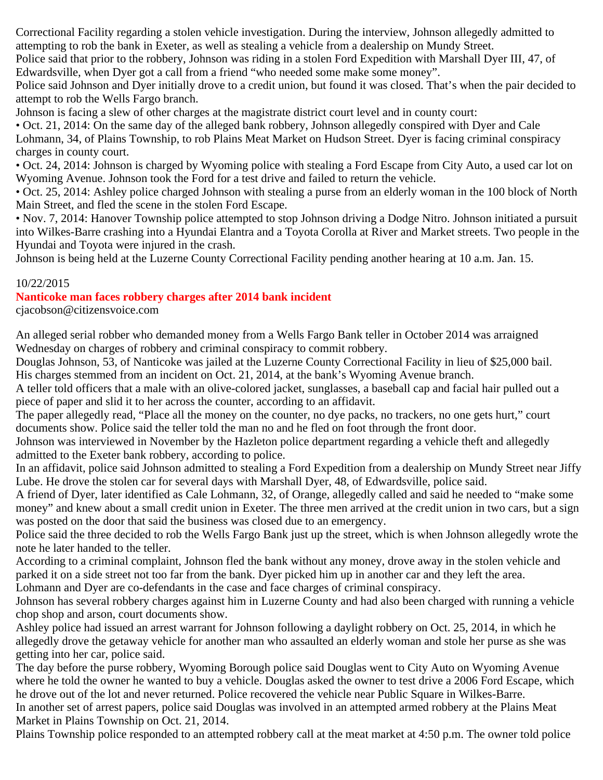Correctional Facility regarding a stolen vehicle investigation. During the interview, Johnson allegedly admitted to attempting to rob the bank in Exeter, as well as stealing a vehicle from a dealership on Mundy Street.

Police said that prior to the robbery, Johnson was riding in a stolen Ford Expedition with Marshall Dyer III, 47, of Edwardsville, when Dyer got a call from a friend "who needed some make some money".

Police said Johnson and Dyer initially drove to a credit union, but found it was closed. That's when the pair decided to attempt to rob the Wells Fargo branch.

Johnson is facing a slew of other charges at the magistrate district court level and in county court:

• Oct. 21, 2014: On the same day of the alleged bank robbery, Johnson allegedly conspired with Dyer and Cale Lohmann, 34, of Plains Township, to rob Plains Meat Market on Hudson Street. Dyer is facing criminal conspiracy charges in county court.

• Oct. 24, 2014: Johnson is charged by Wyoming police with stealing a Ford Escape from City Auto, a used car lot on Wyoming Avenue. Johnson took the Ford for a test drive and failed to return the vehicle.

• Oct. 25, 2014: Ashley police charged Johnson with stealing a purse from an elderly woman in the 100 block of North Main Street, and fled the scene in the stolen Ford Escape.

• Nov. 7, 2014: Hanover Township police attempted to stop Johnson driving a Dodge Nitro. Johnson initiated a pursuit into Wilkes-Barre crashing into a Hyundai Elantra and a Toyota Corolla at River and Market streets. Two people in the Hyundai and Toyota were injured in the crash.

Johnson is being held at the Luzerne County Correctional Facility pending another hearing at 10 a.m. Jan. 15.

#### 10/22/2015

# **Nanticoke man faces robbery charges after 2014 bank incident**

cjacobson@citizensvoice.com

An alleged serial robber who demanded money from a Wells Fargo Bank teller in October 2014 was arraigned Wednesday on charges of robbery and criminal conspiracy to commit robbery.

Douglas Johnson, 53, of Nanticoke was jailed at the Luzerne County Correctional Facility in lieu of \$25,000 bail. His charges stemmed from an incident on Oct. 21, 2014, at the bank's Wyoming Avenue branch.

A teller told officers that a male with an olive-colored jacket, sunglasses, a baseball cap and facial hair pulled out a piece of paper and slid it to her across the counter, according to an affidavit.

The paper allegedly read, "Place all the money on the counter, no dye packs, no trackers, no one gets hurt," court documents show. Police said the teller told the man no and he fled on foot through the front door.

Johnson was interviewed in November by the Hazleton police department regarding a vehicle theft and allegedly admitted to the Exeter bank robbery, according to police.

In an affidavit, police said Johnson admitted to stealing a Ford Expedition from a dealership on Mundy Street near Jiffy Lube. He drove the stolen car for several days with Marshall Dyer, 48, of Edwardsville, police said.

A friend of Dyer, later identified as Cale Lohmann, 32, of Orange, allegedly called and said he needed to "make some money" and knew about a small credit union in Exeter. The three men arrived at the credit union in two cars, but a sign was posted on the door that said the business was closed due to an emergency.

Police said the three decided to rob the Wells Fargo Bank just up the street, which is when Johnson allegedly wrote the note he later handed to the teller.

According to a criminal complaint, Johnson fled the bank without any money, drove away in the stolen vehicle and parked it on a side street not too far from the bank. Dyer picked him up in another car and they left the area.

Lohmann and Dyer are co-defendants in the case and face charges of criminal conspiracy.

Johnson has several robbery charges against him in Luzerne County and had also been charged with running a vehicle chop shop and arson, court documents show.

Ashley police had issued an arrest warrant for Johnson following a daylight robbery on Oct. 25, 2014, in which he allegedly drove the getaway vehicle for another man who assaulted an elderly woman and stole her purse as she was getting into her car, police said.

The day before the purse robbery, Wyoming Borough police said Douglas went to City Auto on Wyoming Avenue where he told the owner he wanted to buy a vehicle. Douglas asked the owner to test drive a 2006 Ford Escape, which he drove out of the lot and never returned. Police recovered the vehicle near Public Square in Wilkes-Barre. In another set of arrest papers, police said Douglas was involved in an attempted armed robbery at the Plains Meat Market in Plains Township on Oct. 21, 2014.

Plains Township police responded to an attempted robbery call at the meat market at 4:50 p.m. The owner told police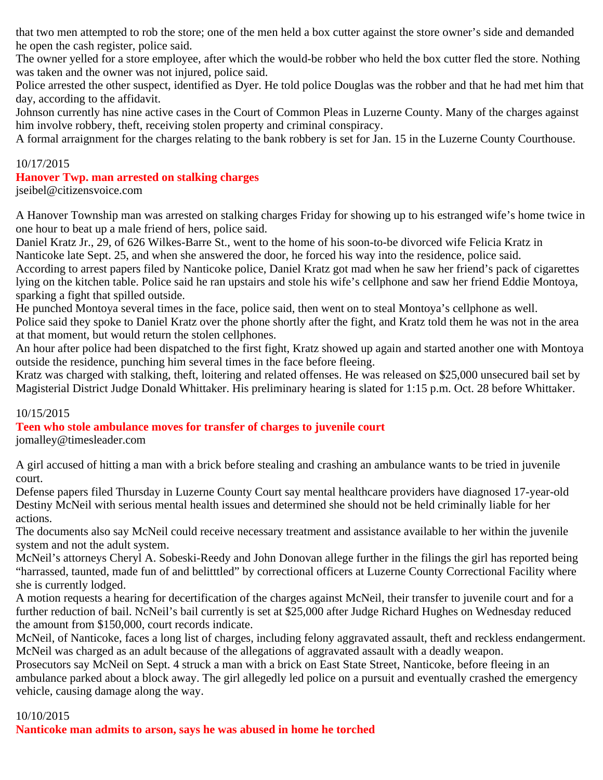that two men attempted to rob the store; one of the men held a box cutter against the store owner's side and demanded he open the cash register, police said.

The owner yelled for a store employee, after which the would-be robber who held the box cutter fled the store. Nothing was taken and the owner was not injured, police said.

Police arrested the other suspect, identified as Dyer. He told police Douglas was the robber and that he had met him that day, according to the affidavit.

Johnson currently has nine active cases in the Court of Common Pleas in Luzerne County. Many of the charges against him involve robbery, theft, receiving stolen property and criminal conspiracy.

A formal arraignment for the charges relating to the bank robbery is set for Jan. 15 in the Luzerne County Courthouse.

#### 10/17/2015

#### **Hanover Twp. man arrested on stalking charges**

jseibel@citizensvoice.com

A Hanover Township man was arrested on stalking charges Friday for showing up to his estranged wife's home twice in one hour to beat up a male friend of hers, police said.

Daniel Kratz Jr., 29, of 626 Wilkes-Barre St., went to the home of his soon-to-be divorced wife Felicia Kratz in Nanticoke late Sept. 25, and when she answered the door, he forced his way into the residence, police said.

According to arrest papers filed by Nanticoke police, Daniel Kratz got mad when he saw her friend's pack of cigarettes lying on the kitchen table. Police said he ran upstairs and stole his wife's cellphone and saw her friend Eddie Montoya, sparking a fight that spilled outside.

He punched Montoya several times in the face, police said, then went on to steal Montoya's cellphone as well. Police said they spoke to Daniel Kratz over the phone shortly after the fight, and Kratz told them he was not in the area at that moment, but would return the stolen cellphones.

An hour after police had been dispatched to the first fight, Kratz showed up again and started another one with Montoya outside the residence, punching him several times in the face before fleeing.

Kratz was charged with stalking, theft, loitering and related offenses. He was released on \$25,000 unsecured bail set by Magisterial District Judge Donald Whittaker. His preliminary hearing is slated for 1:15 p.m. Oct. 28 before Whittaker.

#### 10/15/2015

**Teen who stole ambulance moves for transfer of charges to juvenile court**

jomalley@timesleader.com

A girl accused of hitting a man with a brick before stealing and crashing an ambulance wants to be tried in juvenile court.

Defense papers filed Thursday in Luzerne County Court say mental healthcare providers have diagnosed 17-year-old Destiny McNeil with serious mental health issues and determined she should not be held criminally liable for her actions.

The documents also say McNeil could receive necessary treatment and assistance available to her within the juvenile system and not the adult system.

McNeil's attorneys Cheryl A. Sobeski-Reedy and John Donovan allege further in the filings the girl has reported being "harrassed, taunted, made fun of and belitttled" by correctional officers at Luzerne County Correctional Facility where she is currently lodged.

A motion requests a hearing for decertification of the charges against McNeil, their transfer to juvenile court and for a further reduction of bail. NcNeil's bail currently is set at \$25,000 after Judge Richard Hughes on Wednesday reduced the amount from \$150,000, court records indicate.

McNeil, of Nanticoke, faces a long list of charges, including felony aggravated assault, theft and reckless endangerment. McNeil was charged as an adult because of the allegations of aggravated assault with a deadly weapon.

Prosecutors say McNeil on Sept. 4 struck a man with a brick on East State Street, Nanticoke, before fleeing in an ambulance parked about a block away. The girl allegedly led police on a pursuit and eventually crashed the emergency vehicle, causing damage along the way.

#### 10/10/2015

**Nanticoke man admits to arson, says he was abused in home he torched**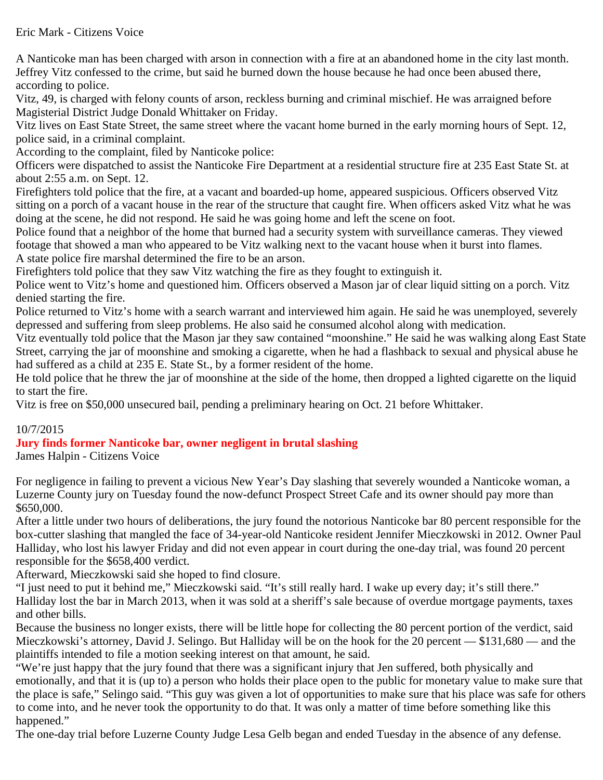#### Eric Mark - Citizens Voice

A Nanticoke man has been charged with arson in connection with a fire at an abandoned home in the city last month. Jeffrey Vitz confessed to the crime, but said he burned down the house because he had once been abused there, according to police.

Vitz, 49, is charged with felony counts of arson, reckless burning and criminal mischief. He was arraigned before Magisterial District Judge Donald Whittaker on Friday.

Vitz lives on East State Street, the same street where the vacant home burned in the early morning hours of Sept. 12, police said, in a criminal complaint.

According to the complaint, filed by Nanticoke police:

Officers were dispatched to assist the Nanticoke Fire Department at a residential structure fire at 235 East State St. at about 2:55 a.m. on Sept. 12.

Firefighters told police that the fire, at a vacant and boarded-up home, appeared suspicious. Officers observed Vitz sitting on a porch of a vacant house in the rear of the structure that caught fire. When officers asked Vitz what he was doing at the scene, he did not respond. He said he was going home and left the scene on foot.

Police found that a neighbor of the home that burned had a security system with surveillance cameras. They viewed footage that showed a man who appeared to be Vitz walking next to the vacant house when it burst into flames. A state police fire marshal determined the fire to be an arson.

Firefighters told police that they saw Vitz watching the fire as they fought to extinguish it.

Police went to Vitz's home and questioned him. Officers observed a Mason jar of clear liquid sitting on a porch. Vitz denied starting the fire.

Police returned to Vitz's home with a search warrant and interviewed him again. He said he was unemployed, severely depressed and suffering from sleep problems. He also said he consumed alcohol along with medication.

Vitz eventually told police that the Mason jar they saw contained "moonshine." He said he was walking along East State Street, carrying the jar of moonshine and smoking a cigarette, when he had a flashback to sexual and physical abuse he had suffered as a child at 235 E. State St., by a former resident of the home.

He told police that he threw the jar of moonshine at the side of the home, then dropped a lighted cigarette on the liquid to start the fire.

Vitz is free on \$50,000 unsecured bail, pending a preliminary hearing on Oct. 21 before Whittaker.

#### 10/7/2015

# **Jury finds former Nanticoke bar, owner negligent in brutal slashing**

James Halpin - Citizens Voice

For negligence in failing to prevent a vicious New Year's Day slashing that severely wounded a Nanticoke woman, a Luzerne County jury on Tuesday found the now-defunct Prospect Street Cafe and its owner should pay more than \$650,000.

After a little under two hours of deliberations, the jury found the notorious Nanticoke bar 80 percent responsible for the box-cutter slashing that mangled the face of 34-year-old Nanticoke resident Jennifer Mieczkowski in 2012. Owner Paul Halliday, who lost his lawyer Friday and did not even appear in court during the one-day trial, was found 20 percent responsible for the \$658,400 verdict.

Afterward, Mieczkowski said she hoped to find closure.

"I just need to put it behind me," Mieczkowski said. "It's still really hard. I wake up every day; it's still there." Halliday lost the bar in March 2013, when it was sold at a sheriff's sale because of overdue mortgage payments, taxes and other bills.

Because the business no longer exists, there will be little hope for collecting the 80 percent portion of the verdict, said Mieczkowski's attorney, David J. Selingo. But Halliday will be on the hook for the 20 percent — \$131,680 — and the plaintiffs intended to file a motion seeking interest on that amount, he said.

"We're just happy that the jury found that there was a significant injury that Jen suffered, both physically and emotionally, and that it is (up to) a person who holds their place open to the public for monetary value to make sure that the place is safe," Selingo said. "This guy was given a lot of opportunities to make sure that his place was safe for others to come into, and he never took the opportunity to do that. It was only a matter of time before something like this happened."

The one-day trial before Luzerne County Judge Lesa Gelb began and ended Tuesday in the absence of any defense.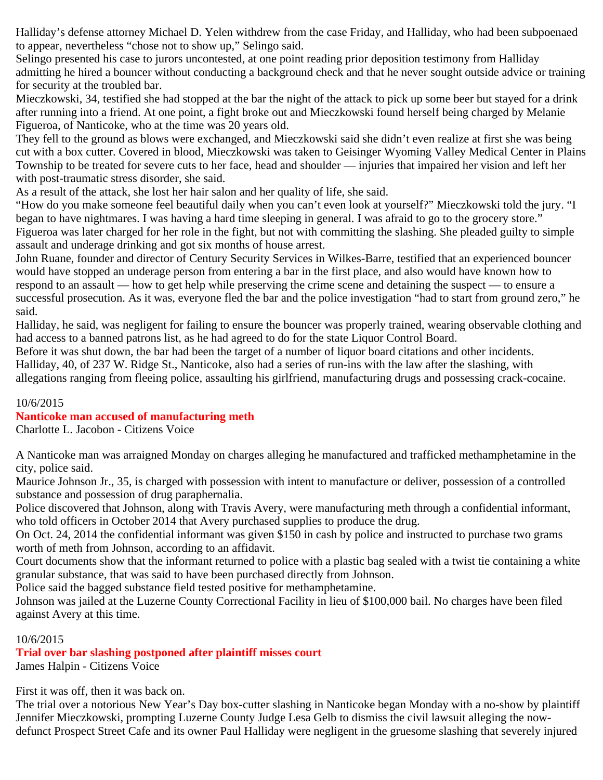Halliday's defense attorney Michael D. Yelen withdrew from the case Friday, and Halliday, who had been subpoenaed to appear, nevertheless "chose not to show up," Selingo said.

Selingo presented his case to jurors uncontested, at one point reading prior deposition testimony from Halliday admitting he hired a bouncer without conducting a background check and that he never sought outside advice or training for security at the troubled bar.

Mieczkowski, 34, testified she had stopped at the bar the night of the attack to pick up some beer but stayed for a drink after running into a friend. At one point, a fight broke out and Mieczkowski found herself being charged by Melanie Figueroa, of Nanticoke, who at the time was 20 years old.

They fell to the ground as blows were exchanged, and Mieczkowski said she didn't even realize at first she was being cut with a box cutter. Covered in blood, Mieczkowski was taken to Geisinger Wyoming Valley Medical Center in Plains Township to be treated for severe cuts to her face, head and shoulder — injuries that impaired her vision and left her with post-traumatic stress disorder, she said.

As a result of the attack, she lost her hair salon and her quality of life, she said.

"How do you make someone feel beautiful daily when you can't even look at yourself?" Mieczkowski told the jury. "I began to have nightmares. I was having a hard time sleeping in general. I was afraid to go to the grocery store." Figueroa was later charged for her role in the fight, but not with committing the slashing. She pleaded guilty to simple assault and underage drinking and got six months of house arrest.

John Ruane, founder and director of Century Security Services in Wilkes-Barre, testified that an experienced bouncer would have stopped an underage person from entering a bar in the first place, and also would have known how to respond to an assault — how to get help while preserving the crime scene and detaining the suspect — to ensure a successful prosecution. As it was, everyone fled the bar and the police investigation "had to start from ground zero," he said.

Halliday, he said, was negligent for failing to ensure the bouncer was properly trained, wearing observable clothing and had access to a banned patrons list, as he had agreed to do for the state Liquor Control Board.

Before it was shut down, the bar had been the target of a number of liquor board citations and other incidents.

Halliday, 40, of 237 W. Ridge St., Nanticoke, also had a series of run-ins with the law after the slashing, with

allegations ranging from fleeing police, assaulting his girlfriend, manufacturing drugs and possessing crack-cocaine.

#### 10/6/2015

# **Nanticoke man accused of manufacturing meth**

Charlotte L. Jacobon - Citizens Voice

A Nanticoke man was arraigned Monday on charges alleging he manufactured and trafficked methamphetamine in the city, police said.

Maurice Johnson Jr., 35, is charged with possession with intent to manufacture or deliver, possession of a controlled substance and possession of drug paraphernalia.

Police discovered that Johnson, along with Travis Avery, were manufacturing meth through a confidential informant, who told officers in October 2014 that Avery purchased supplies to produce the drug.

On Oct. 24, 2014 the confidential informant was given \$150 in cash by police and instructed to purchase two grams worth of meth from Johnson, according to an affidavit.

Court documents show that the informant returned to police with a plastic bag sealed with a twist tie containing a white granular substance, that was said to have been purchased directly from Johnson.

Police said the bagged substance field tested positive for methamphetamine.

Johnson was jailed at the Luzerne County Correctional Facility in lieu of \$100,000 bail. No charges have been filed against Avery at this time.

# 10/6/2015

**Trial over bar slashing postponed after plaintiff misses court** James Halpin - Citizens Voice

First it was off, then it was back on.

The trial over a notorious New Year's Day box-cutter slashing in Nanticoke began Monday with a no-show by plaintiff Jennifer Mieczkowski, prompting Luzerne County Judge Lesa Gelb to dismiss the civil lawsuit alleging the nowdefunct Prospect Street Cafe and its owner Paul Halliday were negligent in the gruesome slashing that severely injured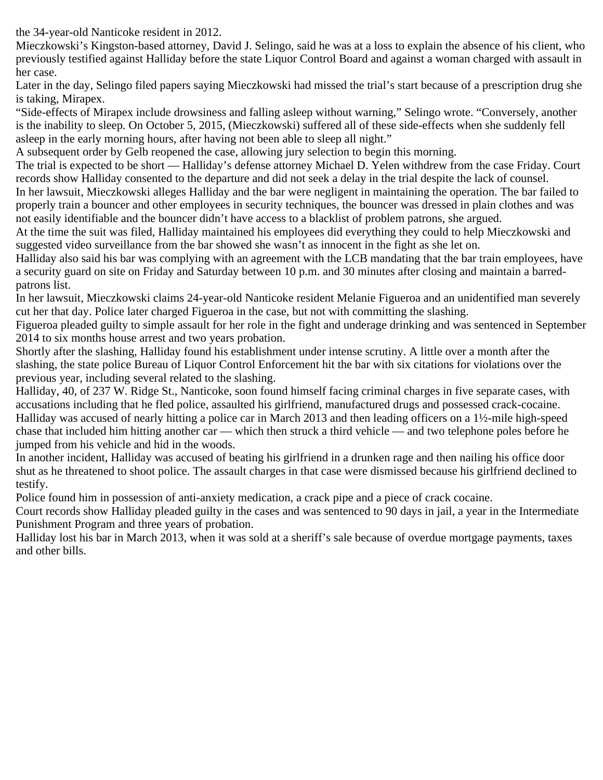the 34-year-old Nanticoke resident in 2012.

Mieczkowski's Kingston-based attorney, David J. Selingo, said he was at a loss to explain the absence of his client, who previously testified against Halliday before the state Liquor Control Board and against a woman charged with assault in her case.

Later in the day, Selingo filed papers saying Mieczkowski had missed the trial's start because of a prescription drug she is taking, Mirapex.

"Side-effects of Mirapex include drowsiness and falling asleep without warning," Selingo wrote. "Conversely, another is the inability to sleep. On October 5, 2015, (Mieczkowski) suffered all of these side-effects when she suddenly fell asleep in the early morning hours, after having not been able to sleep all night."

A subsequent order by Gelb reopened the case, allowing jury selection to begin this morning.

The trial is expected to be short — Halliday's defense attorney Michael D. Yelen withdrew from the case Friday. Court records show Halliday consented to the departure and did not seek a delay in the trial despite the lack of counsel.

In her lawsuit, Mieczkowski alleges Halliday and the bar were negligent in maintaining the operation. The bar failed to properly train a bouncer and other employees in security techniques, the bouncer was dressed in plain clothes and was not easily identifiable and the bouncer didn't have access to a blacklist of problem patrons, she argued.

At the time the suit was filed, Halliday maintained his employees did everything they could to help Mieczkowski and suggested video surveillance from the bar showed she wasn't as innocent in the fight as she let on.

Halliday also said his bar was complying with an agreement with the LCB mandating that the bar train employees, have a security guard on site on Friday and Saturday between 10 p.m. and 30 minutes after closing and maintain a barredpatrons list.

In her lawsuit, Mieczkowski claims 24-year-old Nanticoke resident Melanie Figueroa and an unidentified man severely cut her that day. Police later charged Figueroa in the case, but not with committing the slashing.

Figueroa pleaded guilty to simple assault for her role in the fight and underage drinking and was sentenced in September 2014 to six months house arrest and two years probation.

Shortly after the slashing, Halliday found his establishment under intense scrutiny. A little over a month after the slashing, the state police Bureau of Liquor Control Enforcement hit the bar with six citations for violations over the previous year, including several related to the slashing.

Halliday, 40, of 237 W. Ridge St., Nanticoke, soon found himself facing criminal charges in five separate cases, with accusations including that he fled police, assaulted his girlfriend, manufactured drugs and possessed crack-cocaine. Halliday was accused of nearly hitting a police car in March 2013 and then leading officers on a 1½-mile high-speed chase that included him hitting another car — which then struck a third vehicle — and two telephone poles before he jumped from his vehicle and hid in the woods.

In another incident, Halliday was accused of beating his girlfriend in a drunken rage and then nailing his office door shut as he threatened to shoot police. The assault charges in that case were dismissed because his girlfriend declined to testify.

Police found him in possession of anti-anxiety medication, a crack pipe and a piece of crack cocaine.

Court records show Halliday pleaded guilty in the cases and was sentenced to 90 days in jail, a year in the Intermediate Punishment Program and three years of probation.

Halliday lost his bar in March 2013, when it was sold at a sheriff's sale because of overdue mortgage payments, taxes and other bills.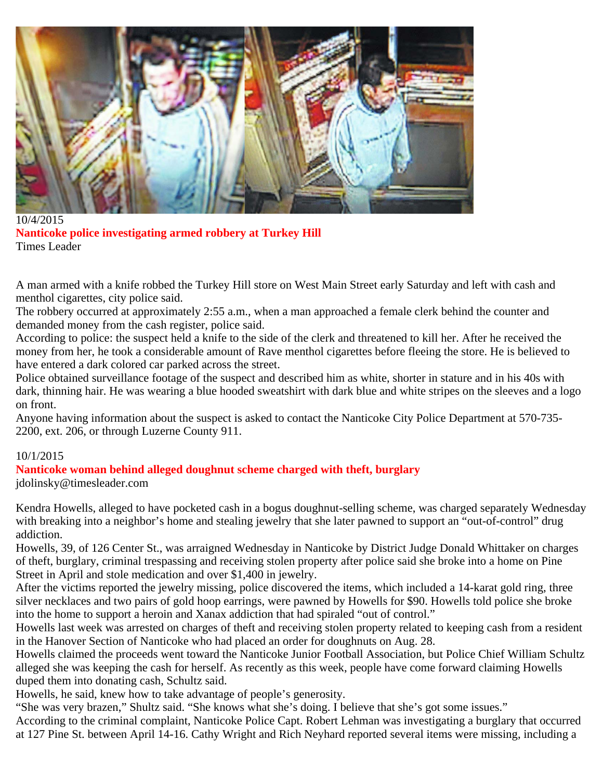

10/4/2015 **Nanticoke police investigating armed robbery at Turkey Hill** Times Leader

A man armed with a knife robbed the Turkey Hill store on West Main Street early Saturday and left with cash and menthol cigarettes, city police said.

The robbery occurred at approximately 2:55 a.m., when a man approached a female clerk behind the counter and demanded money from the cash register, police said.

According to police: the suspect held a knife to the side of the clerk and threatened to kill her. After he received the money from her, he took a considerable amount of Rave menthol cigarettes before fleeing the store. He is believed to have entered a dark colored car parked across the street.

Police obtained surveillance footage of the suspect and described him as white, shorter in stature and in his 40s with dark, thinning hair. He was wearing a blue hooded sweatshirt with dark blue and white stripes on the sleeves and a logo on front.

Anyone having information about the suspect is asked to contact the Nanticoke City Police Department at 570-735- 2200, ext. 206, or through Luzerne County 911.

#### 10/1/2015

#### **Nanticoke woman behind alleged doughnut scheme charged with theft, burglary** jdolinsky@timesleader.com

Kendra Howells, alleged to have pocketed cash in a bogus doughnut-selling scheme, was charged separately Wednesday with breaking into a neighbor's home and stealing jewelry that she later pawned to support an "out-of-control" drug addiction.

Howells, 39, of 126 Center St., was arraigned Wednesday in Nanticoke by District Judge Donald Whittaker on charges of theft, burglary, criminal trespassing and receiving stolen property after police said she broke into a home on Pine Street in April and stole medication and over \$1,400 in jewelry.

After the victims reported the jewelry missing, police discovered the items, which included a 14-karat gold ring, three silver necklaces and two pairs of gold hoop earrings, were pawned by Howells for \$90. Howells told police she broke into the home to support a heroin and Xanax addiction that had spiraled "out of control."

Howells last week was arrested on charges of theft and receiving stolen property related to keeping cash from a resident in the Hanover Section of Nanticoke who had placed an order for doughnuts on Aug. 28.

Howells claimed the proceeds went toward the Nanticoke Junior Football Association, but Police Chief William Schultz alleged she was keeping the cash for herself. As recently as this week, people have come forward claiming Howells duped them into donating cash, Schultz said.

Howells, he said, knew how to take advantage of people's generosity.

"She was very brazen," Shultz said. "She knows what she's doing. I believe that she's got some issues."

According to the criminal complaint, Nanticoke Police Capt. Robert Lehman was investigating a burglary that occurred at 127 Pine St. between April 14-16. Cathy Wright and Rich Neyhard reported several items were missing, including a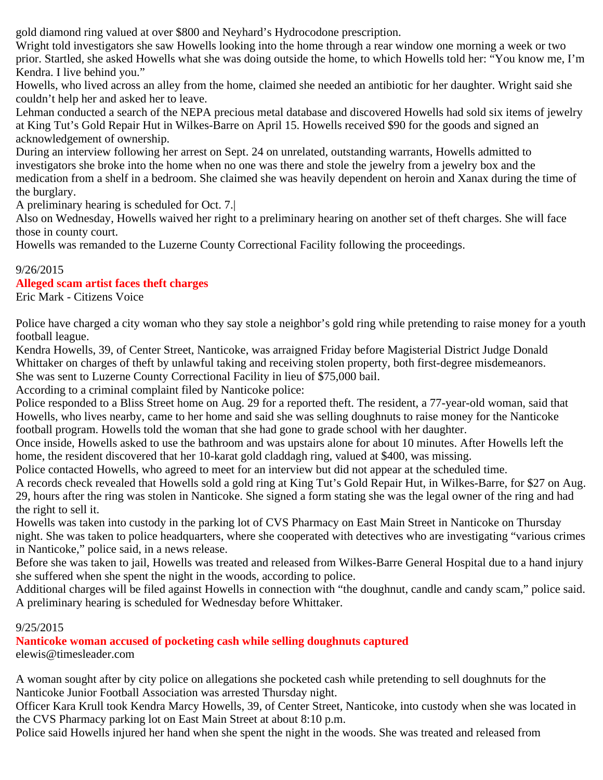gold diamond ring valued at over \$800 and Neyhard's Hydrocodone prescription.

Wright told investigators she saw Howells looking into the home through a rear window one morning a week or two prior. Startled, she asked Howells what she was doing outside the home, to which Howells told her: "You know me, I'm Kendra. I live behind you."

Howells, who lived across an alley from the home, claimed she needed an antibiotic for her daughter. Wright said she couldn't help her and asked her to leave.

Lehman conducted a search of the NEPA precious metal database and discovered Howells had sold six items of jewelry at King Tut's Gold Repair Hut in Wilkes-Barre on April 15. Howells received \$90 for the goods and signed an acknowledgement of ownership.

During an interview following her arrest on Sept. 24 on unrelated, outstanding warrants, Howells admitted to investigators she broke into the home when no one was there and stole the jewelry from a jewelry box and the medication from a shelf in a bedroom. She claimed she was heavily dependent on heroin and Xanax during the time of the burglary.

A preliminary hearing is scheduled for Oct. 7.|

Also on Wednesday, Howells waived her right to a preliminary hearing on another set of theft charges. She will face those in county court.

Howells was remanded to the Luzerne County Correctional Facility following the proceedings.

# 9/26/2015

# **Alleged scam artist faces theft charges**

Eric Mark - Citizens Voice

Police have charged a city woman who they say stole a neighbor's gold ring while pretending to raise money for a youth football league.

Kendra Howells, 39, of Center Street, Nanticoke, was arraigned Friday before Magisterial District Judge Donald Whittaker on charges of theft by unlawful taking and receiving stolen property, both first-degree misdemeanors. She was sent to Luzerne County Correctional Facility in lieu of \$75,000 bail.

According to a criminal complaint filed by Nanticoke police:

Police responded to a Bliss Street home on Aug. 29 for a reported theft. The resident, a 77-year-old woman, said that Howells, who lives nearby, came to her home and said she was selling doughnuts to raise money for the Nanticoke football program. Howells told the woman that she had gone to grade school with her daughter.

Once inside, Howells asked to use the bathroom and was upstairs alone for about 10 minutes. After Howells left the home, the resident discovered that her 10-karat gold claddagh ring, valued at \$400, was missing.

Police contacted Howells, who agreed to meet for an interview but did not appear at the scheduled time.

A records check revealed that Howells sold a gold ring at King Tut's Gold Repair Hut, in Wilkes-Barre, for \$27 on Aug. 29, hours after the ring was stolen in Nanticoke. She signed a form stating she was the legal owner of the ring and had the right to sell it.

Howells was taken into custody in the parking lot of CVS Pharmacy on East Main Street in Nanticoke on Thursday night. She was taken to police headquarters, where she cooperated with detectives who are investigating "various crimes in Nanticoke," police said, in a news release.

Before she was taken to jail, Howells was treated and released from Wilkes-Barre General Hospital due to a hand injury she suffered when she spent the night in the woods, according to police.

Additional charges will be filed against Howells in connection with "the doughnut, candle and candy scam," police said. A preliminary hearing is scheduled for Wednesday before Whittaker.

#### 9/25/2015

**Nanticoke woman accused of pocketing cash while selling doughnuts captured** elewis@timesleader.com

A woman sought after by city police on allegations she pocketed cash while pretending to sell doughnuts for the Nanticoke Junior Football Association was arrested Thursday night.

Officer Kara Krull took Kendra Marcy Howells, 39, of Center Street, Nanticoke, into custody when she was located in the CVS Pharmacy parking lot on East Main Street at about 8:10 p.m.

Police said Howells injured her hand when she spent the night in the woods. She was treated and released from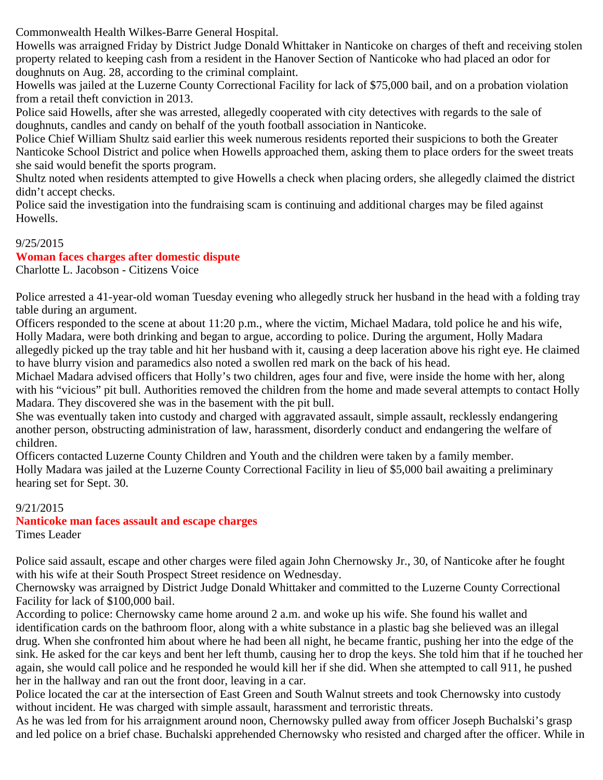Commonwealth Health Wilkes-Barre General Hospital.

Howells was arraigned Friday by District Judge Donald Whittaker in Nanticoke on charges of theft and receiving stolen property related to keeping cash from a resident in the Hanover Section of Nanticoke who had placed an odor for doughnuts on Aug. 28, according to the criminal complaint.

Howells was jailed at the Luzerne County Correctional Facility for lack of \$75,000 bail, and on a probation violation from a retail theft conviction in 2013.

Police said Howells, after she was arrested, allegedly cooperated with city detectives with regards to the sale of doughnuts, candles and candy on behalf of the youth football association in Nanticoke.

Police Chief William Shultz said earlier this week numerous residents reported their suspicions to both the Greater Nanticoke School District and police when Howells approached them, asking them to place orders for the sweet treats she said would benefit the sports program.

Shultz noted when residents attempted to give Howells a check when placing orders, she allegedly claimed the district didn't accept checks.

Police said the investigation into the fundraising scam is continuing and additional charges may be filed against Howells.

# 9/25/2015

#### **Woman faces charges after domestic dispute**

Charlotte L. Jacobson - Citizens Voice

Police arrested a 41-year-old woman Tuesday evening who allegedly struck her husband in the head with a folding tray table during an argument.

Officers responded to the scene at about 11:20 p.m., where the victim, Michael Madara, told police he and his wife, Holly Madara, were both drinking and began to argue, according to police. During the argument, Holly Madara allegedly picked up the tray table and hit her husband with it, causing a deep laceration above his right eye. He claimed to have blurry vision and paramedics also noted a swollen red mark on the back of his head.

Michael Madara advised officers that Holly's two children, ages four and five, were inside the home with her, along with his "vicious" pit bull. Authorities removed the children from the home and made several attempts to contact Holly Madara. They discovered she was in the basement with the pit bull.

She was eventually taken into custody and charged with aggravated assault, simple assault, recklessly endangering another person, obstructing administration of law, harassment, disorderly conduct and endangering the welfare of children.

Officers contacted Luzerne County Children and Youth and the children were taken by a family member. Holly Madara was jailed at the Luzerne County Correctional Facility in lieu of \$5,000 bail awaiting a preliminary hearing set for Sept. 30.

#### 9/21/2015

# **Nanticoke man faces assault and escape charges**

Times Leader

Police said assault, escape and other charges were filed again John Chernowsky Jr., 30, of Nanticoke after he fought with his wife at their South Prospect Street residence on Wednesday.

Chernowsky was arraigned by District Judge Donald Whittaker and committed to the Luzerne County Correctional Facility for lack of \$100,000 bail.

According to police: Chernowsky came home around 2 a.m. and woke up his wife. She found his wallet and identification cards on the bathroom floor, along with a white substance in a plastic bag she believed was an illegal drug. When she confronted him about where he had been all night, he became frantic, pushing her into the edge of the sink. He asked for the car keys and bent her left thumb, causing her to drop the keys. She told him that if he touched her again, she would call police and he responded he would kill her if she did. When she attempted to call 911, he pushed her in the hallway and ran out the front door, leaving in a car.

Police located the car at the intersection of East Green and South Walnut streets and took Chernowsky into custody without incident. He was charged with simple assault, harassment and terroristic threats.

As he was led from for his arraignment around noon, Chernowsky pulled away from officer Joseph Buchalski's grasp and led police on a brief chase. Buchalski apprehended Chernowsky who resisted and charged after the officer. While in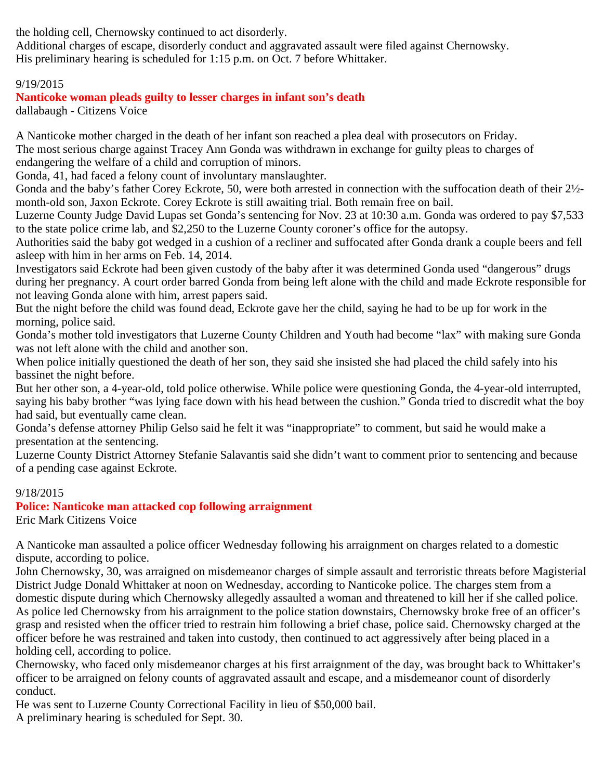the holding cell, Chernowsky continued to act disorderly.

Additional charges of escape, disorderly conduct and aggravated assault were filed against Chernowsky. His preliminary hearing is scheduled for 1:15 p.m. on Oct. 7 before Whittaker.

# 9/19/2015

# **Nanticoke woman pleads guilty to lesser charges in infant son's death**

dallabaugh - Citizens Voice

A Nanticoke mother charged in the death of her infant son reached a plea deal with prosecutors on Friday. The most serious charge against Tracey Ann Gonda was withdrawn in exchange for guilty pleas to charges of endangering the welfare of a child and corruption of minors.

Gonda, 41, had faced a felony count of involuntary manslaughter.

Gonda and the baby's father Corey Eckrote, 50, were both arrested in connection with the suffocation death of their 2½ month-old son, Jaxon Eckrote. Corey Eckrote is still awaiting trial. Both remain free on bail.

Luzerne County Judge David Lupas set Gonda's sentencing for Nov. 23 at 10:30 a.m. Gonda was ordered to pay \$7,533 to the state police crime lab, and \$2,250 to the Luzerne County coroner's office for the autopsy.

Authorities said the baby got wedged in a cushion of a recliner and suffocated after Gonda drank a couple beers and fell asleep with him in her arms on Feb. 14, 2014.

Investigators said Eckrote had been given custody of the baby after it was determined Gonda used "dangerous" drugs during her pregnancy. A court order barred Gonda from being left alone with the child and made Eckrote responsible for not leaving Gonda alone with him, arrest papers said.

But the night before the child was found dead, Eckrote gave her the child, saying he had to be up for work in the morning, police said.

Gonda's mother told investigators that Luzerne County Children and Youth had become "lax" with making sure Gonda was not left alone with the child and another son.

When police initially questioned the death of her son, they said she insisted she had placed the child safely into his bassinet the night before.

But her other son, a 4-year-old, told police otherwise. While police were questioning Gonda, the 4-year-old interrupted, saying his baby brother "was lying face down with his head between the cushion." Gonda tried to discredit what the boy had said, but eventually came clean.

Gonda's defense attorney Philip Gelso said he felt it was "inappropriate" to comment, but said he would make a presentation at the sentencing.

Luzerne County District Attorney Stefanie Salavantis said she didn't want to comment prior to sentencing and because of a pending case against Eckrote.

#### 9/18/2015

**Police: Nanticoke man attacked cop following arraignment** Eric Mark Citizens Voice

A Nanticoke man assaulted a police officer Wednesday following his arraignment on charges related to a domestic dispute, according to police.

John Chernowsky, 30, was arraigned on misdemeanor charges of simple assault and terroristic threats before Magisterial District Judge Donald Whittaker at noon on Wednesday, according to Nanticoke police. The charges stem from a domestic dispute during which Chernowsky allegedly assaulted a woman and threatened to kill her if she called police. As police led Chernowsky from his arraignment to the police station downstairs, Chernowsky broke free of an officer's grasp and resisted when the officer tried to restrain him following a brief chase, police said. Chernowsky charged at the officer before he was restrained and taken into custody, then continued to act aggressively after being placed in a holding cell, according to police.

Chernowsky, who faced only misdemeanor charges at his first arraignment of the day, was brought back to Whittaker's officer to be arraigned on felony counts of aggravated assault and escape, and a misdemeanor count of disorderly conduct.

He was sent to Luzerne County Correctional Facility in lieu of \$50,000 bail.

A preliminary hearing is scheduled for Sept. 30.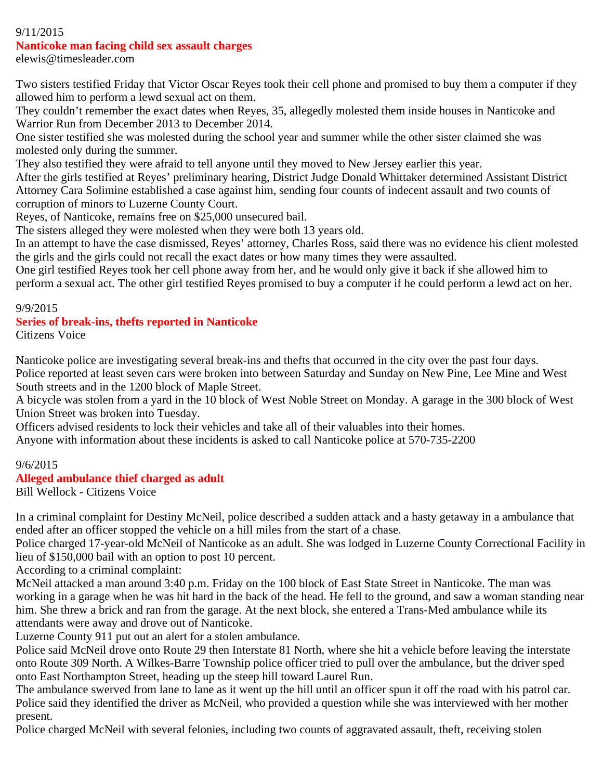# 9/11/2015

#### **Nanticoke man facing child sex assault charges**

elewis@timesleader.com

Two sisters testified Friday that Victor Oscar Reyes took their cell phone and promised to buy them a computer if they allowed him to perform a lewd sexual act on them.

They couldn't remember the exact dates when Reyes, 35, allegedly molested them inside houses in Nanticoke and Warrior Run from December 2013 to December 2014.

One sister testified she was molested during the school year and summer while the other sister claimed she was molested only during the summer.

They also testified they were afraid to tell anyone until they moved to New Jersey earlier this year.

After the girls testified at Reyes' preliminary hearing, District Judge Donald Whittaker determined Assistant District Attorney Cara Solimine established a case against him, sending four counts of indecent assault and two counts of corruption of minors to Luzerne County Court.

Reyes, of Nanticoke, remains free on \$25,000 unsecured bail.

The sisters alleged they were molested when they were both 13 years old.

In an attempt to have the case dismissed, Reyes' attorney, Charles Ross, said there was no evidence his client molested the girls and the girls could not recall the exact dates or how many times they were assaulted.

One girl testified Reyes took her cell phone away from her, and he would only give it back if she allowed him to perform a sexual act. The other girl testified Reyes promised to buy a computer if he could perform a lewd act on her.

#### 9/9/2015

# **Series of break-ins, thefts reported in Nanticoke**

Citizens Voice

Nanticoke police are investigating several break-ins and thefts that occurred in the city over the past four days. Police reported at least seven cars were broken into between Saturday and Sunday on New Pine, Lee Mine and West South streets and in the 1200 block of Maple Street.

A bicycle was stolen from a yard in the 10 block of West Noble Street on Monday. A garage in the 300 block of West Union Street was broken into Tuesday.

Officers advised residents to lock their vehicles and take all of their valuables into their homes.

Anyone with information about these incidents is asked to call Nanticoke police at 570-735-2200

#### 9/6/2015

#### **Alleged ambulance thief charged as adult**

Bill Wellock - Citizens Voice

In a criminal complaint for Destiny McNeil, police described a sudden attack and a hasty getaway in a ambulance that ended after an officer stopped the vehicle on a hill miles from the start of a chase.

Police charged 17-year-old McNeil of Nanticoke as an adult. She was lodged in Luzerne County Correctional Facility in lieu of \$150,000 bail with an option to post 10 percent.

According to a criminal complaint:

McNeil attacked a man around 3:40 p.m. Friday on the 100 block of East State Street in Nanticoke. The man was working in a garage when he was hit hard in the back of the head. He fell to the ground, and saw a woman standing near him. She threw a brick and ran from the garage. At the next block, she entered a Trans-Med ambulance while its attendants were away and drove out of Nanticoke.

Luzerne County 911 put out an alert for a stolen ambulance.

Police said McNeil drove onto Route 29 then Interstate 81 North, where she hit a vehicle before leaving the interstate onto Route 309 North. A Wilkes-Barre Township police officer tried to pull over the ambulance, but the driver sped onto East Northampton Street, heading up the steep hill toward Laurel Run.

The ambulance swerved from lane to lane as it went up the hill until an officer spun it off the road with his patrol car. Police said they identified the driver as McNeil, who provided a question while she was interviewed with her mother present.

Police charged McNeil with several felonies, including two counts of aggravated assault, theft, receiving stolen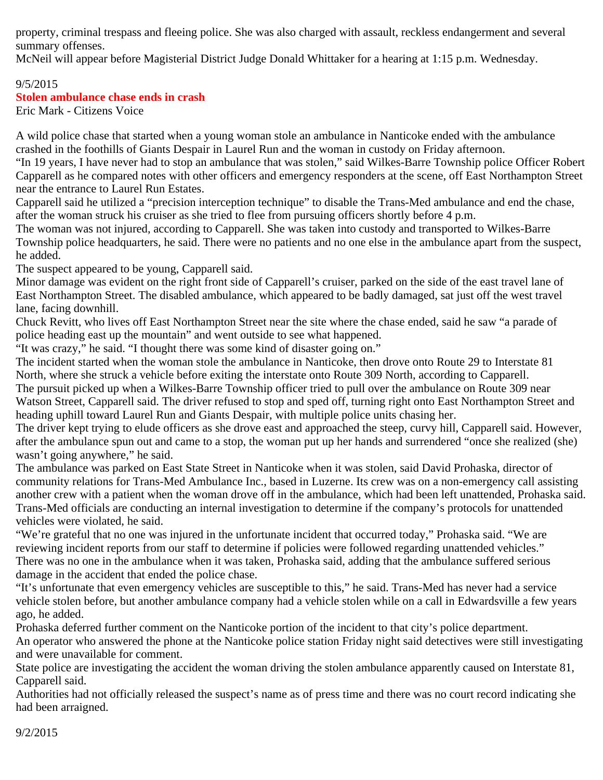property, criminal trespass and fleeing police. She was also charged with assault, reckless endangerment and several summary offenses.

McNeil will appear before Magisterial District Judge Donald Whittaker for a hearing at 1:15 p.m. Wednesday.

### 9/5/2015 **Stolen ambulance chase ends in crash**

Eric Mark - Citizens Voice

A wild police chase that started when a young woman stole an ambulance in Nanticoke ended with the ambulance crashed in the foothills of Giants Despair in Laurel Run and the woman in custody on Friday afternoon.

"In 19 years, I have never had to stop an ambulance that was stolen," said Wilkes-Barre Township police Officer Robert Capparell as he compared notes with other officers and emergency responders at the scene, off East Northampton Street near the entrance to Laurel Run Estates.

Capparell said he utilized a "precision interception technique" to disable the Trans-Med ambulance and end the chase, after the woman struck his cruiser as she tried to flee from pursuing officers shortly before 4 p.m.

The woman was not injured, according to Capparell. She was taken into custody and transported to Wilkes-Barre Township police headquarters, he said. There were no patients and no one else in the ambulance apart from the suspect, he added.

The suspect appeared to be young, Capparell said.

Minor damage was evident on the right front side of Capparell's cruiser, parked on the side of the east travel lane of East Northampton Street. The disabled ambulance, which appeared to be badly damaged, sat just off the west travel lane, facing downhill.

Chuck Revitt, who lives off East Northampton Street near the site where the chase ended, said he saw "a parade of police heading east up the mountain" and went outside to see what happened.

"It was crazy," he said. "I thought there was some kind of disaster going on."

The incident started when the woman stole the ambulance in Nanticoke, then drove onto Route 29 to Interstate 81 North, where she struck a vehicle before exiting the interstate onto Route 309 North, according to Capparell.

The pursuit picked up when a Wilkes-Barre Township officer tried to pull over the ambulance on Route 309 near Watson Street, Capparell said. The driver refused to stop and sped off, turning right onto East Northampton Street and heading uphill toward Laurel Run and Giants Despair, with multiple police units chasing her.

The driver kept trying to elude officers as she drove east and approached the steep, curvy hill, Capparell said. However, after the ambulance spun out and came to a stop, the woman put up her hands and surrendered "once she realized (she) wasn't going anywhere," he said.

The ambulance was parked on East State Street in Nanticoke when it was stolen, said David Prohaska, director of community relations for Trans-Med Ambulance Inc., based in Luzerne. Its crew was on a non-emergency call assisting another crew with a patient when the woman drove off in the ambulance, which had been left unattended, Prohaska said. Trans-Med officials are conducting an internal investigation to determine if the company's protocols for unattended vehicles were violated, he said.

"We're grateful that no one was injured in the unfortunate incident that occurred today," Prohaska said. "We are reviewing incident reports from our staff to determine if policies were followed regarding unattended vehicles." There was no one in the ambulance when it was taken, Prohaska said, adding that the ambulance suffered serious damage in the accident that ended the police chase.

"It's unfortunate that even emergency vehicles are susceptible to this," he said. Trans-Med has never had a service vehicle stolen before, but another ambulance company had a vehicle stolen while on a call in Edwardsville a few years ago, he added.

Prohaska deferred further comment on the Nanticoke portion of the incident to that city's police department. An operator who answered the phone at the Nanticoke police station Friday night said detectives were still investigating and were unavailable for comment.

State police are investigating the accident the woman driving the stolen ambulance apparently caused on Interstate 81, Capparell said.

Authorities had not officially released the suspect's name as of press time and there was no court record indicating she had been arraigned.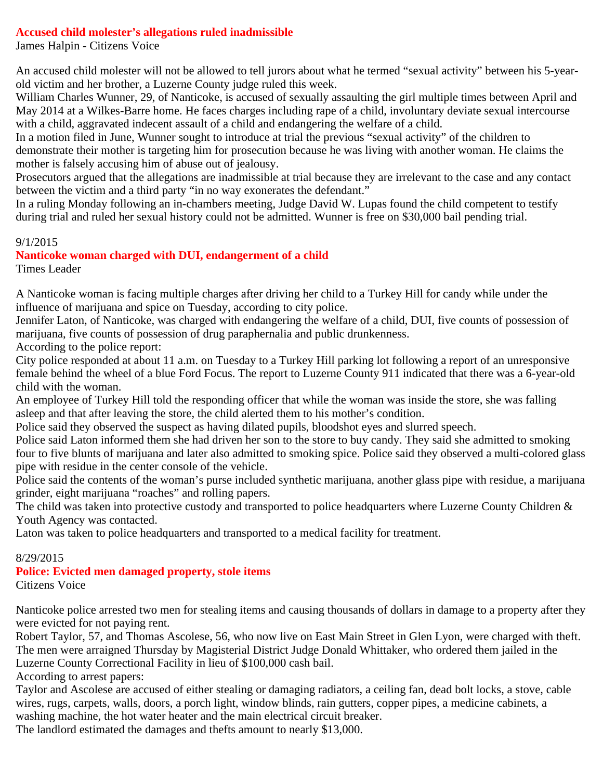#### **Accused child molester's allegations ruled inadmissible**

James Halpin - Citizens Voice

An accused child molester will not be allowed to tell jurors about what he termed "sexual activity" between his 5-yearold victim and her brother, a Luzerne County judge ruled this week.

William Charles Wunner, 29, of Nanticoke, is accused of sexually assaulting the girl multiple times between April and May 2014 at a Wilkes-Barre home. He faces charges including rape of a child, involuntary deviate sexual intercourse with a child, aggravated indecent assault of a child and endangering the welfare of a child.

In a motion filed in June, Wunner sought to introduce at trial the previous "sexual activity" of the children to demonstrate their mother is targeting him for prosecution because he was living with another woman. He claims the mother is falsely accusing him of abuse out of jealousy.

Prosecutors argued that the allegations are inadmissible at trial because they are irrelevant to the case and any contact between the victim and a third party "in no way exonerates the defendant."

In a ruling Monday following an in-chambers meeting, Judge David W. Lupas found the child competent to testify during trial and ruled her sexual history could not be admitted. Wunner is free on \$30,000 bail pending trial.

#### 9/1/2015

**Nanticoke woman charged with DUI, endangerment of a child**

Times Leader

A Nanticoke woman is facing multiple charges after driving her child to a Turkey Hill for candy while under the influence of marijuana and spice on Tuesday, according to city police.

Jennifer Laton, of Nanticoke, was charged with endangering the welfare of a child, DUI, five counts of possession of marijuana, five counts of possession of drug paraphernalia and public drunkenness.

According to the police report:

City police responded at about 11 a.m. on Tuesday to a Turkey Hill parking lot following a report of an unresponsive female behind the wheel of a blue Ford Focus. The report to Luzerne County 911 indicated that there was a 6-year-old child with the woman.

An employee of Turkey Hill told the responding officer that while the woman was inside the store, she was falling asleep and that after leaving the store, the child alerted them to his mother's condition.

Police said they observed the suspect as having dilated pupils, bloodshot eyes and slurred speech.

Police said Laton informed them she had driven her son to the store to buy candy. They said she admitted to smoking four to five blunts of marijuana and later also admitted to smoking spice. Police said they observed a multi-colored glass pipe with residue in the center console of the vehicle.

Police said the contents of the woman's purse included synthetic marijuana, another glass pipe with residue, a marijuana grinder, eight marijuana "roaches" and rolling papers.

The child was taken into protective custody and transported to police headquarters where Luzerne County Children & Youth Agency was contacted.

Laton was taken to police headquarters and transported to a medical facility for treatment.

#### 8/29/2015

**Police: Evicted men damaged property, stole items** Citizens Voice

Nanticoke police arrested two men for stealing items and causing thousands of dollars in damage to a property after they were evicted for not paying rent.

Robert Taylor, 57, and Thomas Ascolese, 56, who now live on East Main Street in Glen Lyon, were charged with theft. The men were arraigned Thursday by Magisterial District Judge Donald Whittaker, who ordered them jailed in the Luzerne County Correctional Facility in lieu of \$100,000 cash bail.

According to arrest papers:

Taylor and Ascolese are accused of either stealing or damaging radiators, a ceiling fan, dead bolt locks, a stove, cable wires, rugs, carpets, walls, doors, a porch light, window blinds, rain gutters, copper pipes, a medicine cabinets, a washing machine, the hot water heater and the main electrical circuit breaker.

The landlord estimated the damages and thefts amount to nearly \$13,000.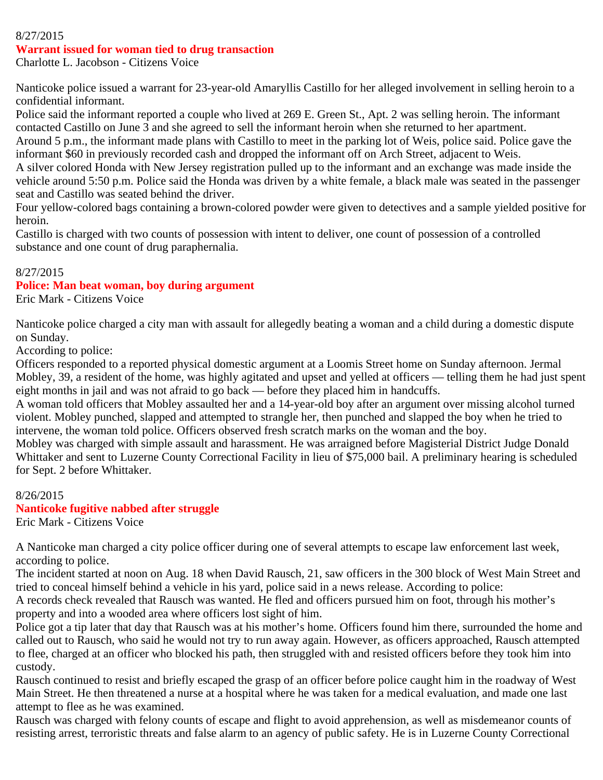#### 8/27/2015

#### **Warrant issued for woman tied to drug transaction**

Charlotte L. Jacobson - Citizens Voice

Nanticoke police issued a warrant for 23-year-old Amaryllis Castillo for her alleged involvement in selling heroin to a confidential informant.

Police said the informant reported a couple who lived at 269 E. Green St., Apt. 2 was selling heroin. The informant contacted Castillo on June 3 and she agreed to sell the informant heroin when she returned to her apartment. Around 5 p.m., the informant made plans with Castillo to meet in the parking lot of Weis, police said. Police gave the informant \$60 in previously recorded cash and dropped the informant off on Arch Street, adjacent to Weis. A silver colored Honda with New Jersey registration pulled up to the informant and an exchange was made inside the

vehicle around 5:50 p.m. Police said the Honda was driven by a white female, a black male was seated in the passenger seat and Castillo was seated behind the driver.

Four yellow-colored bags containing a brown-colored powder were given to detectives and a sample yielded positive for heroin.

Castillo is charged with two counts of possession with intent to deliver, one count of possession of a controlled substance and one count of drug paraphernalia.

#### 8/27/2015

#### **Police: Man beat woman, boy during argument**

Eric Mark - Citizens Voice

Nanticoke police charged a city man with assault for allegedly beating a woman and a child during a domestic dispute on Sunday.

According to police:

Officers responded to a reported physical domestic argument at a Loomis Street home on Sunday afternoon. Jermal Mobley, 39, a resident of the home, was highly agitated and upset and yelled at officers — telling them he had just spent eight months in jail and was not afraid to go back — before they placed him in handcuffs.

A woman told officers that Mobley assaulted her and a 14-year-old boy after an argument over missing alcohol turned violent. Mobley punched, slapped and attempted to strangle her, then punched and slapped the boy when he tried to intervene, the woman told police. Officers observed fresh scratch marks on the woman and the boy.

Mobley was charged with simple assault and harassment. He was arraigned before Magisterial District Judge Donald Whittaker and sent to Luzerne County Correctional Facility in lieu of \$75,000 bail. A preliminary hearing is scheduled for Sept. 2 before Whittaker.

8/26/2015 **Nanticoke fugitive nabbed after struggle** Eric Mark - Citizens Voice

A Nanticoke man charged a city police officer during one of several attempts to escape law enforcement last week, according to police.

The incident started at noon on Aug. 18 when David Rausch, 21, saw officers in the 300 block of West Main Street and tried to conceal himself behind a vehicle in his yard, police said in a news release. According to police:

A records check revealed that Rausch was wanted. He fled and officers pursued him on foot, through his mother's property and into a wooded area where officers lost sight of him.

Police got a tip later that day that Rausch was at his mother's home. Officers found him there, surrounded the home and called out to Rausch, who said he would not try to run away again. However, as officers approached, Rausch attempted to flee, charged at an officer who blocked his path, then struggled with and resisted officers before they took him into custody.

Rausch continued to resist and briefly escaped the grasp of an officer before police caught him in the roadway of West Main Street. He then threatened a nurse at a hospital where he was taken for a medical evaluation, and made one last attempt to flee as he was examined.

Rausch was charged with felony counts of escape and flight to avoid apprehension, as well as misdemeanor counts of resisting arrest, terroristic threats and false alarm to an agency of public safety. He is in Luzerne County Correctional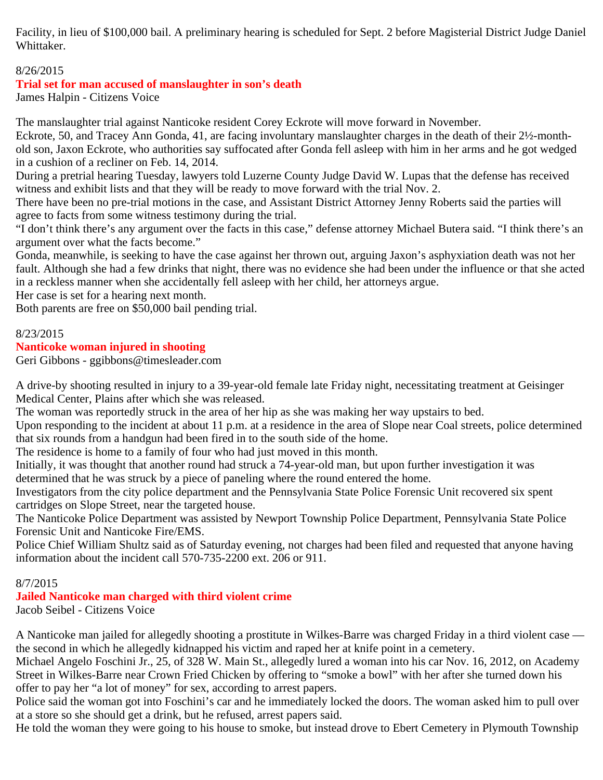Facility, in lieu of \$100,000 bail. A preliminary hearing is scheduled for Sept. 2 before Magisterial District Judge Daniel Whittaker.

# 8/26/2015

# **Trial set for man accused of manslaughter in son's death**

James Halpin - Citizens Voice

The manslaughter trial against Nanticoke resident Corey Eckrote will move forward in November.

Eckrote, 50, and Tracey Ann Gonda, 41, are facing involuntary manslaughter charges in the death of their 2½-monthold son, Jaxon Eckrote, who authorities say suffocated after Gonda fell asleep with him in her arms and he got wedged in a cushion of a recliner on Feb. 14, 2014.

During a pretrial hearing Tuesday, lawyers told Luzerne County Judge David W. Lupas that the defense has received witness and exhibit lists and that they will be ready to move forward with the trial Nov. 2.

There have been no pre-trial motions in the case, and Assistant District Attorney Jenny Roberts said the parties will agree to facts from some witness testimony during the trial.

"I don't think there's any argument over the facts in this case," defense attorney Michael Butera said. "I think there's an argument over what the facts become."

Gonda, meanwhile, is seeking to have the case against her thrown out, arguing Jaxon's asphyxiation death was not her fault. Although she had a few drinks that night, there was no evidence she had been under the influence or that she acted in a reckless manner when she accidentally fell asleep with her child, her attorneys argue.

Her case is set for a hearing next month.

Both parents are free on \$50,000 bail pending trial.

#### 8/23/2015

# **Nanticoke woman injured in shooting**

Geri Gibbons - ggibbons@timesleader.com

A drive-by shooting resulted in injury to a 39-year-old female late Friday night, necessitating treatment at Geisinger Medical Center, Plains after which she was released.

The woman was reportedly struck in the area of her hip as she was making her way upstairs to bed.

Upon responding to the incident at about 11 p.m. at a residence in the area of Slope near Coal streets, police determined that six rounds from a handgun had been fired in to the south side of the home.

The residence is home to a family of four who had just moved in this month.

Initially, it was thought that another round had struck a 74-year-old man, but upon further investigation it was determined that he was struck by a piece of paneling where the round entered the home.

Investigators from the city police department and the Pennsylvania State Police Forensic Unit recovered six spent cartridges on Slope Street, near the targeted house.

The Nanticoke Police Department was assisted by Newport Township Police Department, Pennsylvania State Police Forensic Unit and Nanticoke Fire/EMS.

Police Chief William Shultz said as of Saturday evening, not charges had been filed and requested that anyone having information about the incident call 570-735-2200 ext. 206 or 911.

#### 8/7/2015

# **Jailed Nanticoke man charged with third violent crime**

Jacob Seibel - Citizens Voice

A Nanticoke man jailed for allegedly shooting a prostitute in Wilkes-Barre was charged Friday in a third violent case the second in which he allegedly kidnapped his victim and raped her at knife point in a cemetery.

Michael Angelo Foschini Jr., 25, of 328 W. Main St., allegedly lured a woman into his car Nov. 16, 2012, on Academy Street in Wilkes-Barre near Crown Fried Chicken by offering to "smoke a bowl" with her after she turned down his offer to pay her "a lot of money" for sex, according to arrest papers.

Police said the woman got into Foschini's car and he immediately locked the doors. The woman asked him to pull over at a store so she should get a drink, but he refused, arrest papers said.

He told the woman they were going to his house to smoke, but instead drove to Ebert Cemetery in Plymouth Township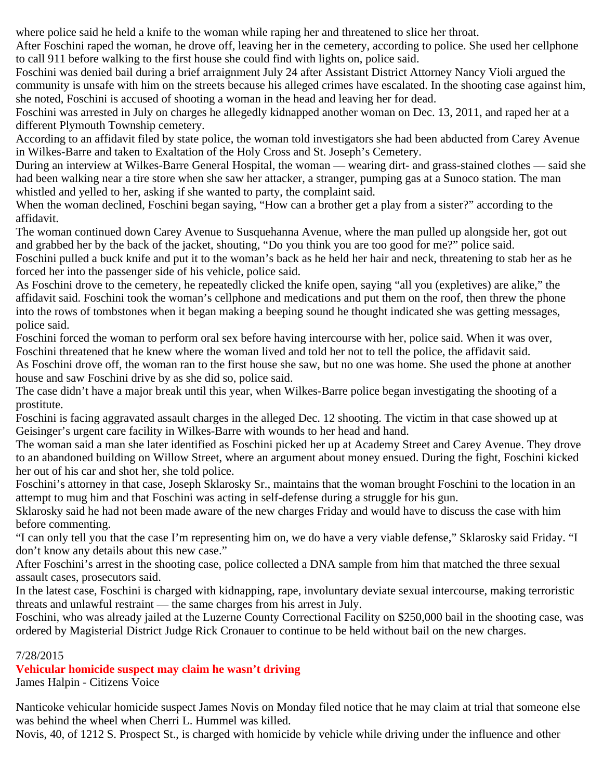where police said he held a knife to the woman while raping her and threatened to slice her throat.

After Foschini raped the woman, he drove off, leaving her in the cemetery, according to police. She used her cellphone to call 911 before walking to the first house she could find with lights on, police said.

Foschini was denied bail during a brief arraignment July 24 after Assistant District Attorney Nancy Violi argued the community is unsafe with him on the streets because his alleged crimes have escalated. In the shooting case against him, she noted, Foschini is accused of shooting a woman in the head and leaving her for dead.

Foschini was arrested in July on charges he allegedly kidnapped another woman on Dec. 13, 2011, and raped her at a different Plymouth Township cemetery.

According to an affidavit filed by state police, the woman told investigators she had been abducted from Carey Avenue in Wilkes-Barre and taken to Exaltation of the Holy Cross and St. Joseph's Cemetery.

During an interview at Wilkes-Barre General Hospital, the woman — wearing dirt- and grass-stained clothes — said she had been walking near a tire store when she saw her attacker, a stranger, pumping gas at a Sunoco station. The man whistled and yelled to her, asking if she wanted to party, the complaint said.

When the woman declined, Foschini began saying, "How can a brother get a play from a sister?" according to the affidavit.

The woman continued down Carey Avenue to Susquehanna Avenue, where the man pulled up alongside her, got out and grabbed her by the back of the jacket, shouting, "Do you think you are too good for me?" police said.

Foschini pulled a buck knife and put it to the woman's back as he held her hair and neck, threatening to stab her as he forced her into the passenger side of his vehicle, police said.

As Foschini drove to the cemetery, he repeatedly clicked the knife open, saying "all you (expletives) are alike," the affidavit said. Foschini took the woman's cellphone and medications and put them on the roof, then threw the phone into the rows of tombstones when it began making a beeping sound he thought indicated she was getting messages, police said.

Foschini forced the woman to perform oral sex before having intercourse with her, police said. When it was over, Foschini threatened that he knew where the woman lived and told her not to tell the police, the affidavit said.

As Foschini drove off, the woman ran to the first house she saw, but no one was home. She used the phone at another house and saw Foschini drive by as she did so, police said.

The case didn't have a major break until this year, when Wilkes-Barre police began investigating the shooting of a prostitute.

Foschini is facing aggravated assault charges in the alleged Dec. 12 shooting. The victim in that case showed up at Geisinger's urgent care facility in Wilkes-Barre with wounds to her head and hand.

The woman said a man she later identified as Foschini picked her up at Academy Street and Carey Avenue. They drove to an abandoned building on Willow Street, where an argument about money ensued. During the fight, Foschini kicked her out of his car and shot her, she told police.

Foschini's attorney in that case, Joseph Sklarosky Sr., maintains that the woman brought Foschini to the location in an attempt to mug him and that Foschini was acting in self-defense during a struggle for his gun.

Sklarosky said he had not been made aware of the new charges Friday and would have to discuss the case with him before commenting.

"I can only tell you that the case I'm representing him on, we do have a very viable defense," Sklarosky said Friday. "I don't know any details about this new case."

After Foschini's arrest in the shooting case, police collected a DNA sample from him that matched the three sexual assault cases, prosecutors said.

In the latest case, Foschini is charged with kidnapping, rape, involuntary deviate sexual intercourse, making terroristic threats and unlawful restraint — the same charges from his arrest in July.

Foschini, who was already jailed at the Luzerne County Correctional Facility on \$250,000 bail in the shooting case, was ordered by Magisterial District Judge Rick Cronauer to continue to be held without bail on the new charges.

# 7/28/2015

# **Vehicular homicide suspect may claim he wasn't driving**

James Halpin - Citizens Voice

Nanticoke vehicular homicide suspect James Novis on Monday filed notice that he may claim at trial that someone else was behind the wheel when Cherri L. Hummel was killed.

Novis, 40, of 1212 S. Prospect St., is charged with homicide by vehicle while driving under the influence and other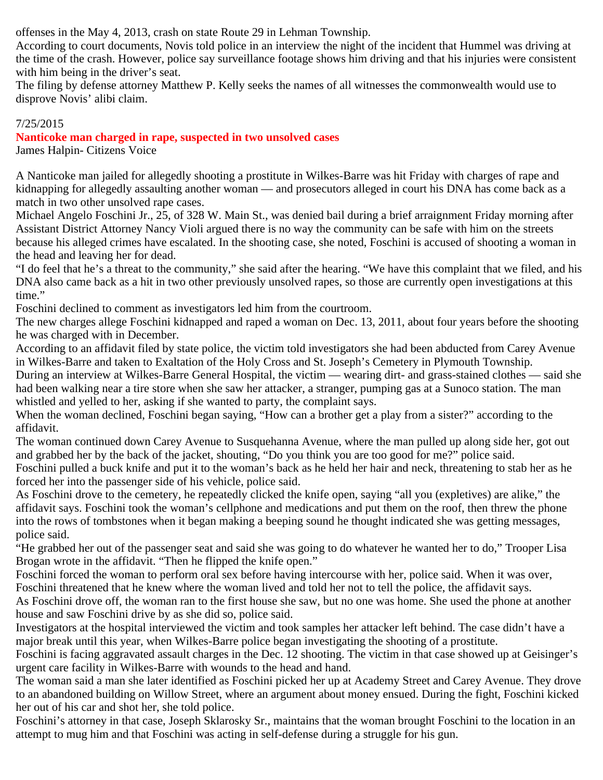offenses in the May 4, 2013, crash on state Route 29 in Lehman Township.

According to court documents, Novis told police in an interview the night of the incident that Hummel was driving at the time of the crash. However, police say surveillance footage shows him driving and that his injuries were consistent with him being in the driver's seat.

The filing by defense attorney Matthew P. Kelly seeks the names of all witnesses the commonwealth would use to disprove Novis' alibi claim.

# 7/25/2015

# **Nanticoke man charged in rape, suspected in two unsolved cases**

James Halpin- Citizens Voice

A Nanticoke man jailed for allegedly shooting a prostitute in Wilkes-Barre was hit Friday with charges of rape and kidnapping for allegedly assaulting another woman — and prosecutors alleged in court his DNA has come back as a match in two other unsolved rape cases.

Michael Angelo Foschini Jr., 25, of 328 W. Main St., was denied bail during a brief arraignment Friday morning after Assistant District Attorney Nancy Violi argued there is no way the community can be safe with him on the streets because his alleged crimes have escalated. In the shooting case, she noted, Foschini is accused of shooting a woman in the head and leaving her for dead.

"I do feel that he's a threat to the community," she said after the hearing. "We have this complaint that we filed, and his DNA also came back as a hit in two other previously unsolved rapes, so those are currently open investigations at this time."

Foschini declined to comment as investigators led him from the courtroom.

The new charges allege Foschini kidnapped and raped a woman on Dec. 13, 2011, about four years before the shooting he was charged with in December.

According to an affidavit filed by state police, the victim told investigators she had been abducted from Carey Avenue in Wilkes-Barre and taken to Exaltation of the Holy Cross and St. Joseph's Cemetery in Plymouth Township.

During an interview at Wilkes-Barre General Hospital, the victim — wearing dirt- and grass-stained clothes — said she had been walking near a tire store when she saw her attacker, a stranger, pumping gas at a Sunoco station. The man whistled and yelled to her, asking if she wanted to party, the complaint says.

When the woman declined, Foschini began saying, "How can a brother get a play from a sister?" according to the affidavit.

The woman continued down Carey Avenue to Susquehanna Avenue, where the man pulled up along side her, got out and grabbed her by the back of the jacket, shouting, "Do you think you are too good for me?" police said.

Foschini pulled a buck knife and put it to the woman's back as he held her hair and neck, threatening to stab her as he forced her into the passenger side of his vehicle, police said.

As Foschini drove to the cemetery, he repeatedly clicked the knife open, saying "all you (expletives) are alike," the affidavit says. Foschini took the woman's cellphone and medications and put them on the roof, then threw the phone into the rows of tombstones when it began making a beeping sound he thought indicated she was getting messages, police said.

"He grabbed her out of the passenger seat and said she was going to do whatever he wanted her to do," Trooper Lisa Brogan wrote in the affidavit. "Then he flipped the knife open."

Foschini forced the woman to perform oral sex before having intercourse with her, police said. When it was over, Foschini threatened that he knew where the woman lived and told her not to tell the police, the affidavit says.

As Foschini drove off, the woman ran to the first house she saw, but no one was home. She used the phone at another house and saw Foschini drive by as she did so, police said.

Investigators at the hospital interviewed the victim and took samples her attacker left behind. The case didn't have a major break until this year, when Wilkes-Barre police began investigating the shooting of a prostitute.

Foschini is facing aggravated assault charges in the Dec. 12 shooting. The victim in that case showed up at Geisinger's urgent care facility in Wilkes-Barre with wounds to the head and hand.

The woman said a man she later identified as Foschini picked her up at Academy Street and Carey Avenue. They drove to an abandoned building on Willow Street, where an argument about money ensued. During the fight, Foschini kicked her out of his car and shot her, she told police.

Foschini's attorney in that case, Joseph Sklarosky Sr., maintains that the woman brought Foschini to the location in an attempt to mug him and that Foschini was acting in self-defense during a struggle for his gun.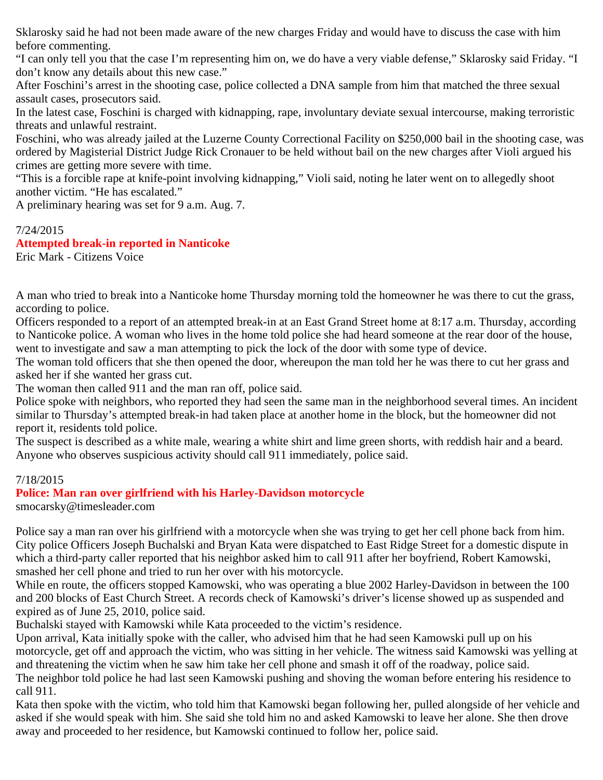Sklarosky said he had not been made aware of the new charges Friday and would have to discuss the case with him before commenting.

"I can only tell you that the case I'm representing him on, we do have a very viable defense," Sklarosky said Friday. "I don't know any details about this new case."

After Foschini's arrest in the shooting case, police collected a DNA sample from him that matched the three sexual assault cases, prosecutors said.

In the latest case, Foschini is charged with kidnapping, rape, involuntary deviate sexual intercourse, making terroristic threats and unlawful restraint.

Foschini, who was already jailed at the Luzerne County Correctional Facility on \$250,000 bail in the shooting case, was ordered by Magisterial District Judge Rick Cronauer to be held without bail on the new charges after Violi argued his crimes are getting more severe with time.

"This is a forcible rape at knife-point involving kidnapping," Violi said, noting he later went on to allegedly shoot another victim. "He has escalated."

A preliminary hearing was set for 9 a.m. Aug. 7.

#### 7/24/2015

#### **Attempted break-in reported in Nanticoke**

Eric Mark - Citizens Voice

A man who tried to break into a Nanticoke home Thursday morning told the homeowner he was there to cut the grass, according to police.

Officers responded to a report of an attempted break-in at an East Grand Street home at 8:17 a.m. Thursday, according to Nanticoke police. A woman who lives in the home told police she had heard someone at the rear door of the house, went to investigate and saw a man attempting to pick the lock of the door with some type of device.

The woman told officers that she then opened the door, whereupon the man told her he was there to cut her grass and asked her if she wanted her grass cut.

The woman then called 911 and the man ran off, police said.

Police spoke with neighbors, who reported they had seen the same man in the neighborhood several times. An incident similar to Thursday's attempted break-in had taken place at another home in the block, but the homeowner did not report it, residents told police.

The suspect is described as a white male, wearing a white shirt and lime green shorts, with reddish hair and a beard. Anyone who observes suspicious activity should call 911 immediately, police said.

#### 7/18/2015

#### **Police: Man ran over girlfriend with his Harley-Davidson motorcycle**

smocarsky@timesleader.com

Police say a man ran over his girlfriend with a motorcycle when she was trying to get her cell phone back from him. City police Officers Joseph Buchalski and Bryan Kata were dispatched to East Ridge Street for a domestic dispute in which a third-party caller reported that his neighbor asked him to call 911 after her boyfriend, Robert Kamowski, smashed her cell phone and tried to run her over with his motorcycle.

While en route, the officers stopped Kamowski, who was operating a blue 2002 Harley-Davidson in between the 100 and 200 blocks of East Church Street. A records check of Kamowski's driver's license showed up as suspended and expired as of June 25, 2010, police said.

Buchalski stayed with Kamowski while Kata proceeded to the victim's residence.

Upon arrival, Kata initially spoke with the caller, who advised him that he had seen Kamowski pull up on his motorcycle, get off and approach the victim, who was sitting in her vehicle. The witness said Kamowski was yelling at and threatening the victim when he saw him take her cell phone and smash it off of the roadway, police said. The neighbor told police he had last seen Kamowski pushing and shoving the woman before entering his residence to call 911.

Kata then spoke with the victim, who told him that Kamowski began following her, pulled alongside of her vehicle and asked if she would speak with him. She said she told him no and asked Kamowski to leave her alone. She then drove away and proceeded to her residence, but Kamowski continued to follow her, police said.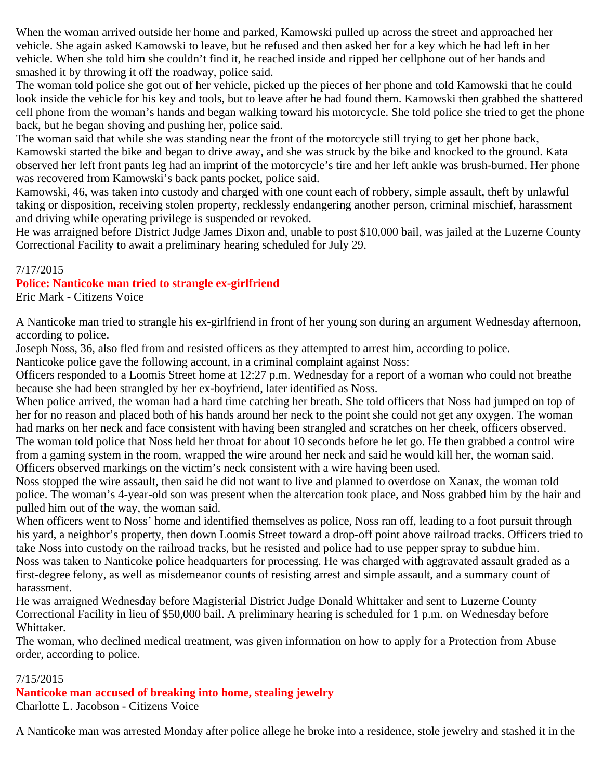When the woman arrived outside her home and parked, Kamowski pulled up across the street and approached her vehicle. She again asked Kamowski to leave, but he refused and then asked her for a key which he had left in her vehicle. When she told him she couldn't find it, he reached inside and ripped her cellphone out of her hands and smashed it by throwing it off the roadway, police said.

The woman told police she got out of her vehicle, picked up the pieces of her phone and told Kamowski that he could look inside the vehicle for his key and tools, but to leave after he had found them. Kamowski then grabbed the shattered cell phone from the woman's hands and began walking toward his motorcycle. She told police she tried to get the phone back, but he began shoving and pushing her, police said.

The woman said that while she was standing near the front of the motorcycle still trying to get her phone back, Kamowski started the bike and began to drive away, and she was struck by the bike and knocked to the ground. Kata observed her left front pants leg had an imprint of the motorcycle's tire and her left ankle was brush-burned. Her phone was recovered from Kamowski's back pants pocket, police said.

Kamowski, 46, was taken into custody and charged with one count each of robbery, simple assault, theft by unlawful taking or disposition, receiving stolen property, recklessly endangering another person, criminal mischief, harassment and driving while operating privilege is suspended or revoked.

He was arraigned before District Judge James Dixon and, unable to post \$10,000 bail, was jailed at the Luzerne County Correctional Facility to await a preliminary hearing scheduled for July 29.

#### 7/17/2015

#### **Police: Nanticoke man tried to strangle ex-girlfriend**

Eric Mark - Citizens Voice

A Nanticoke man tried to strangle his ex-girlfriend in front of her young son during an argument Wednesday afternoon, according to police.

Joseph Noss, 36, also fled from and resisted officers as they attempted to arrest him, according to police.

Nanticoke police gave the following account, in a criminal complaint against Noss:

Officers responded to a Loomis Street home at 12:27 p.m. Wednesday for a report of a woman who could not breathe because she had been strangled by her ex-boyfriend, later identified as Noss.

When police arrived, the woman had a hard time catching her breath. She told officers that Noss had jumped on top of her for no reason and placed both of his hands around her neck to the point she could not get any oxygen. The woman had marks on her neck and face consistent with having been strangled and scratches on her cheek, officers observed. The woman told police that Noss held her throat for about 10 seconds before he let go. He then grabbed a control wire from a gaming system in the room, wrapped the wire around her neck and said he would kill her, the woman said. Officers observed markings on the victim's neck consistent with a wire having been used.

Noss stopped the wire assault, then said he did not want to live and planned to overdose on Xanax, the woman told police. The woman's 4-year-old son was present when the altercation took place, and Noss grabbed him by the hair and pulled him out of the way, the woman said.

When officers went to Noss' home and identified themselves as police, Noss ran off, leading to a foot pursuit through his yard, a neighbor's property, then down Loomis Street toward a drop-off point above railroad tracks. Officers tried to take Noss into custody on the railroad tracks, but he resisted and police had to use pepper spray to subdue him. Noss was taken to Nanticoke police headquarters for processing. He was charged with aggravated assault graded as a first-degree felony, as well as misdemeanor counts of resisting arrest and simple assault, and a summary count of harassment.

He was arraigned Wednesday before Magisterial District Judge Donald Whittaker and sent to Luzerne County Correctional Facility in lieu of \$50,000 bail. A preliminary hearing is scheduled for 1 p.m. on Wednesday before Whittaker.

The woman, who declined medical treatment, was given information on how to apply for a Protection from Abuse order, according to police.

#### 7/15/2015

#### **Nanticoke man accused of breaking into home, stealing jewelry**

Charlotte L. Jacobson - Citizens Voice

A Nanticoke man was arrested Monday after police allege he broke into a residence, stole jewelry and stashed it in the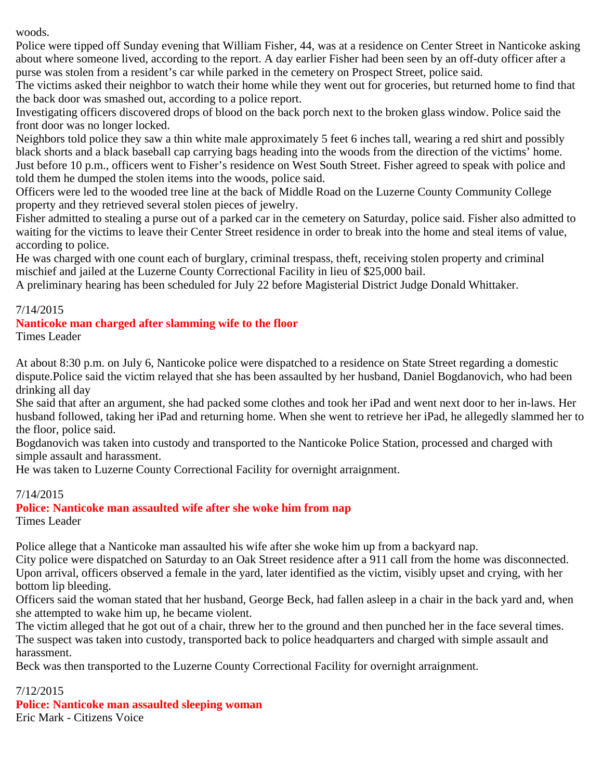woods.

Police were tipped off Sunday evening that William Fisher, 44, was at a residence on Center Street in Nanticoke asking about where someone lived, according to the report. A day earlier Fisher had been seen by an off-duty officer after a purse was stolen from a resident's car while parked in the cemetery on Prospect Street, police said.

The victims asked their neighbor to watch their home while they went out for groceries, but returned home to find that the back door was smashed out, according to a police report.

Investigating officers discovered drops of blood on the back porch next to the broken glass window. Police said the front door was no longer locked.

Neighbors told police they saw a thin white male approximately 5 feet 6 inches tall, wearing a red shirt and possibly black shorts and a black baseball cap carrying bags heading into the woods from the direction of the victims' home. Just before 10 p.m., officers went to Fisher's residence on West South Street. Fisher agreed to speak with police and told them he dumped the stolen items into the woods, police said.

Officers were led to the wooded tree line at the back of Middle Road on the Luzerne County Community College property and they retrieved several stolen pieces of jewelry.

Fisher admitted to stealing a purse out of a parked car in the cemetery on Saturday, police said. Fisher also admitted to waiting for the victims to leave their Center Street residence in order to break into the home and steal items of value, according to police.

He was charged with one count each of burglary, criminal trespass, theft, receiving stolen property and criminal mischief and jailed at the Luzerne County Correctional Facility in lieu of \$25,000 bail.

A preliminary hearing has been scheduled for July 22 before Magisterial District Judge Donald Whittaker.

# 7/14/2015

# **Nanticoke man charged after slamming wife to the floor**

Times Leader

At about 8:30 p.m. on July 6, Nanticoke police were dispatched to a residence on State Street regarding a domestic dispute.Police said the victim relayed that she has been assaulted by her husband, Daniel Bogdanovich, who had been drinking all day

She said that after an argument, she had packed some clothes and took her iPad and went next door to her in-laws. Her husband followed, taking her iPad and returning home. When she went to retrieve her iPad, he allegedly slammed her to the floor, police said.

Bogdanovich was taken into custody and transported to the Nanticoke Police Station, processed and charged with simple assault and harassment.

He was taken to Luzerne County Correctional Facility for overnight arraignment.

#### 7/14/2015

#### **Police: Nanticoke man assaulted wife after she woke him from nap** Times Leader

Police allege that a Nanticoke man assaulted his wife after she woke him up from a backyard nap.

City police were dispatched on Saturday to an Oak Street residence after a 911 call from the home was disconnected. Upon arrival, officers observed a female in the yard, later identified as the victim, visibly upset and crying, with her bottom lip bleeding.

Officers said the woman stated that her husband, George Beck, had fallen asleep in a chair in the back yard and, when she attempted to wake him up, he became violent.

The victim alleged that he got out of a chair, threw her to the ground and then punched her in the face several times. The suspect was taken into custody, transported back to police headquarters and charged with simple assault and harassment.

Beck was then transported to the Luzerne County Correctional Facility for overnight arraignment.

#### 7/12/2015

**Police: Nanticoke man assaulted sleeping woman** Eric Mark - Citizens Voice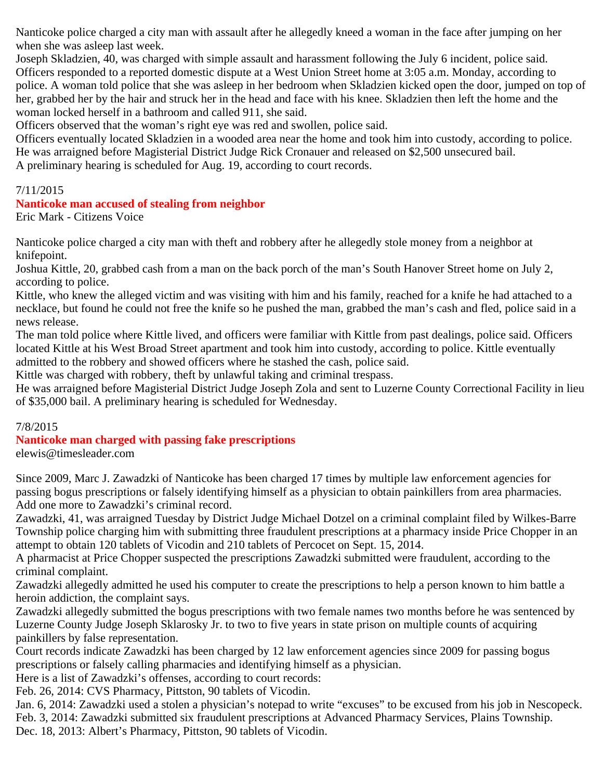Nanticoke police charged a city man with assault after he allegedly kneed a woman in the face after jumping on her when she was asleep last week.

Joseph Skladzien, 40, was charged with simple assault and harassment following the July 6 incident, police said. Officers responded to a reported domestic dispute at a West Union Street home at 3:05 a.m. Monday, according to police. A woman told police that she was asleep in her bedroom when Skladzien kicked open the door, jumped on top of her, grabbed her by the hair and struck her in the head and face with his knee. Skladzien then left the home and the woman locked herself in a bathroom and called 911, she said.

Officers observed that the woman's right eye was red and swollen, police said.

Officers eventually located Skladzien in a wooded area near the home and took him into custody, according to police. He was arraigned before Magisterial District Judge Rick Cronauer and released on \$2,500 unsecured bail. A preliminary hearing is scheduled for Aug. 19, according to court records.

7/11/2015

#### **Nanticoke man accused of stealing from neighbor**

Eric Mark - Citizens Voice

Nanticoke police charged a city man with theft and robbery after he allegedly stole money from a neighbor at knifepoint.

Joshua Kittle, 20, grabbed cash from a man on the back porch of the man's South Hanover Street home on July 2, according to police.

Kittle, who knew the alleged victim and was visiting with him and his family, reached for a knife he had attached to a necklace, but found he could not free the knife so he pushed the man, grabbed the man's cash and fled, police said in a news release.

The man told police where Kittle lived, and officers were familiar with Kittle from past dealings, police said. Officers located Kittle at his West Broad Street apartment and took him into custody, according to police. Kittle eventually admitted to the robbery and showed officers where he stashed the cash, police said.

Kittle was charged with robbery, theft by unlawful taking and criminal trespass.

He was arraigned before Magisterial District Judge Joseph Zola and sent to Luzerne County Correctional Facility in lieu of \$35,000 bail. A preliminary hearing is scheduled for Wednesday.

#### 7/8/2015

# **Nanticoke man charged with passing fake prescriptions**

elewis@timesleader.com

Since 2009, Marc J. Zawadzki of Nanticoke has been charged 17 times by multiple law enforcement agencies for passing bogus prescriptions or falsely identifying himself as a physician to obtain painkillers from area pharmacies. Add one more to Zawadzki's criminal record.

Zawadzki, 41, was arraigned Tuesday by District Judge Michael Dotzel on a criminal complaint filed by Wilkes-Barre Township police charging him with submitting three fraudulent prescriptions at a pharmacy inside Price Chopper in an attempt to obtain 120 tablets of Vicodin and 210 tablets of Percocet on Sept. 15, 2014.

A pharmacist at Price Chopper suspected the prescriptions Zawadzki submitted were fraudulent, according to the criminal complaint.

Zawadzki allegedly admitted he used his computer to create the prescriptions to help a person known to him battle a heroin addiction, the complaint says.

Zawadzki allegedly submitted the bogus prescriptions with two female names two months before he was sentenced by Luzerne County Judge Joseph Sklarosky Jr. to two to five years in state prison on multiple counts of acquiring painkillers by false representation.

Court records indicate Zawadzki has been charged by 12 law enforcement agencies since 2009 for passing bogus prescriptions or falsely calling pharmacies and identifying himself as a physician.

Here is a list of Zawadzki's offenses, according to court records:

Feb. 26, 2014: CVS Pharmacy, Pittston, 90 tablets of Vicodin.

Jan. 6, 2014: Zawadzki used a stolen a physician's notepad to write "excuses" to be excused from his job in Nescopeck. Feb. 3, 2014: Zawadzki submitted six fraudulent prescriptions at Advanced Pharmacy Services, Plains Township. Dec. 18, 2013: Albert's Pharmacy, Pittston, 90 tablets of Vicodin.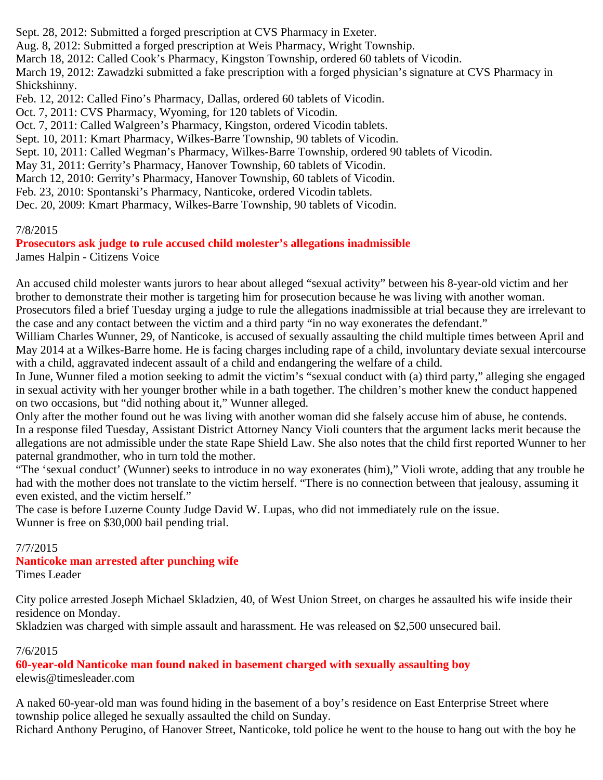Sept. 28, 2012: Submitted a forged prescription at CVS Pharmacy in Exeter.

Aug. 8, 2012: Submitted a forged prescription at Weis Pharmacy, Wright Township.

March 18, 2012: Called Cook's Pharmacy, Kingston Township, ordered 60 tablets of Vicodin.

March 19, 2012: Zawadzki submitted a fake prescription with a forged physician's signature at CVS Pharmacy in Shickshinny.

Feb. 12, 2012: Called Fino's Pharmacy, Dallas, ordered 60 tablets of Vicodin.

Oct. 7, 2011: CVS Pharmacy, Wyoming, for 120 tablets of Vicodin.

Oct. 7, 2011: Called Walgreen's Pharmacy, Kingston, ordered Vicodin tablets.

Sept. 10, 2011: Kmart Pharmacy, Wilkes-Barre Township, 90 tablets of Vicodin.

Sept. 10, 2011: Called Wegman's Pharmacy, Wilkes-Barre Township, ordered 90 tablets of Vicodin.

May 31, 2011: Gerrity's Pharmacy, Hanover Township, 60 tablets of Vicodin.

March 12, 2010: Gerrity's Pharmacy, Hanover Township, 60 tablets of Vicodin.

Feb. 23, 2010: Spontanski's Pharmacy, Nanticoke, ordered Vicodin tablets.

Dec. 20, 2009: Kmart Pharmacy, Wilkes-Barre Township, 90 tablets of Vicodin.

#### 7/8/2015

**Prosecutors ask judge to rule accused child molester's allegations inadmissible**

James Halpin - Citizens Voice

An accused child molester wants jurors to hear about alleged "sexual activity" between his 8-year-old victim and her brother to demonstrate their mother is targeting him for prosecution because he was living with another woman. Prosecutors filed a brief Tuesday urging a judge to rule the allegations inadmissible at trial because they are irrelevant to the case and any contact between the victim and a third party "in no way exonerates the defendant."

William Charles Wunner, 29, of Nanticoke, is accused of sexually assaulting the child multiple times between April and May 2014 at a Wilkes-Barre home. He is facing charges including rape of a child, involuntary deviate sexual intercourse with a child, aggravated indecent assault of a child and endangering the welfare of a child.

In June, Wunner filed a motion seeking to admit the victim's "sexual conduct with (a) third party," alleging she engaged in sexual activity with her younger brother while in a bath together. The children's mother knew the conduct happened on two occasions, but "did nothing about it," Wunner alleged.

Only after the mother found out he was living with another woman did she falsely accuse him of abuse, he contends. In a response filed Tuesday, Assistant District Attorney Nancy Violi counters that the argument lacks merit because the allegations are not admissible under the state Rape Shield Law. She also notes that the child first reported Wunner to her paternal grandmother, who in turn told the mother.

"The 'sexual conduct' (Wunner) seeks to introduce in no way exonerates (him)," Violi wrote, adding that any trouble he had with the mother does not translate to the victim herself. "There is no connection between that jealousy, assuming it even existed, and the victim herself."

The case is before Luzerne County Judge David W. Lupas, who did not immediately rule on the issue. Wunner is free on \$30,000 bail pending trial.

#### 7/7/2015

#### **Nanticoke man arrested after punching wife**

Times Leader

City police arrested Joseph Michael Skladzien, 40, of West Union Street, on charges he assaulted his wife inside their residence on Monday.

Skladzien was charged with simple assault and harassment. He was released on \$2,500 unsecured bail.

#### 7/6/2015

**60-year-old Nanticoke man found naked in basement charged with sexually assaulting boy** elewis@timesleader.com

A naked 60-year-old man was found hiding in the basement of a boy's residence on East Enterprise Street where township police alleged he sexually assaulted the child on Sunday.

Richard Anthony Perugino, of Hanover Street, Nanticoke, told police he went to the house to hang out with the boy he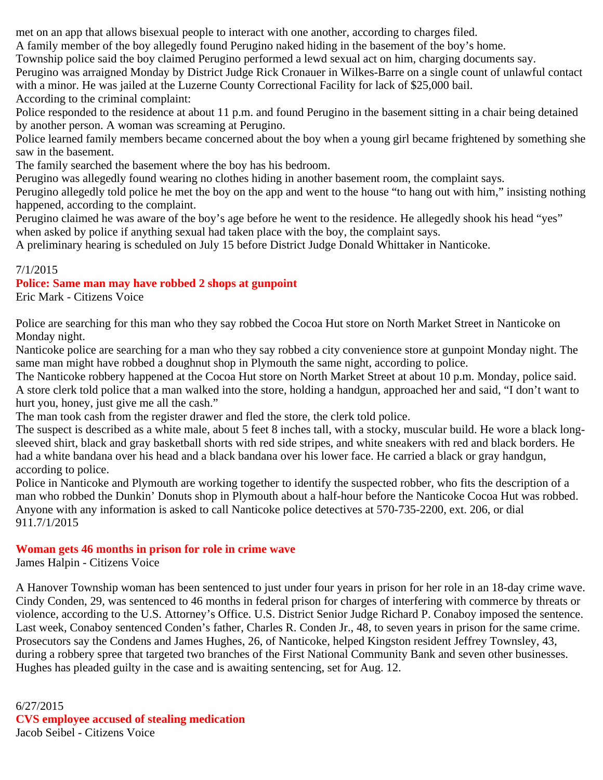met on an app that allows bisexual people to interact with one another, according to charges filed.

A family member of the boy allegedly found Perugino naked hiding in the basement of the boy's home.

Township police said the boy claimed Perugino performed a lewd sexual act on him, charging documents say.

Perugino was arraigned Monday by District Judge Rick Cronauer in Wilkes-Barre on a single count of unlawful contact with a minor. He was jailed at the Luzerne County Correctional Facility for lack of \$25,000 bail. According to the criminal complaint:

Police responded to the residence at about 11 p.m. and found Perugino in the basement sitting in a chair being detained by another person. A woman was screaming at Perugino.

Police learned family members became concerned about the boy when a young girl became frightened by something she saw in the basement.

The family searched the basement where the boy has his bedroom.

Perugino was allegedly found wearing no clothes hiding in another basement room, the complaint says.

Perugino allegedly told police he met the boy on the app and went to the house "to hang out with him," insisting nothing happened, according to the complaint.

Perugino claimed he was aware of the boy's age before he went to the residence. He allegedly shook his head "yes" when asked by police if anything sexual had taken place with the boy, the complaint says.

A preliminary hearing is scheduled on July 15 before District Judge Donald Whittaker in Nanticoke.

# 7/1/2015

# **Police: Same man may have robbed 2 shops at gunpoint**

Eric Mark - Citizens Voice

Police are searching for this man who they say robbed the Cocoa Hut store on North Market Street in Nanticoke on Monday night.

Nanticoke police are searching for a man who they say robbed a city convenience store at gunpoint Monday night. The same man might have robbed a doughnut shop in Plymouth the same night, according to police.

The Nanticoke robbery happened at the Cocoa Hut store on North Market Street at about 10 p.m. Monday, police said. A store clerk told police that a man walked into the store, holding a handgun, approached her and said, "I don't want to hurt you, honey, just give me all the cash."

The man took cash from the register drawer and fled the store, the clerk told police.

The suspect is described as a white male, about 5 feet 8 inches tall, with a stocky, muscular build. He wore a black longsleeved shirt, black and gray basketball shorts with red side stripes, and white sneakers with red and black borders. He had a white bandana over his head and a black bandana over his lower face. He carried a black or gray handgun, according to police.

Police in Nanticoke and Plymouth are working together to identify the suspected robber, who fits the description of a man who robbed the Dunkin' Donuts shop in Plymouth about a half-hour before the Nanticoke Cocoa Hut was robbed. Anyone with any information is asked to call Nanticoke police detectives at 570-735-2200, ext. 206, or dial 911.7/1/2015

# **Woman gets 46 months in prison for role in crime wave**

James Halpin - Citizens Voice

A Hanover Township woman has been sentenced to just under four years in prison for her role in an 18-day crime wave. Cindy Conden, 29, was sentenced to 46 months in federal prison for charges of interfering with commerce by threats or violence, according to the U.S. Attorney's Office. U.S. District Senior Judge Richard P. Conaboy imposed the sentence. Last week, Conaboy sentenced Conden's father, Charles R. Conden Jr., 48, to seven years in prison for the same crime. Prosecutors say the Condens and James Hughes, 26, of Nanticoke, helped Kingston resident Jeffrey Townsley, 43, during a robbery spree that targeted two branches of the First National Community Bank and seven other businesses. Hughes has pleaded guilty in the case and is awaiting sentencing, set for Aug. 12.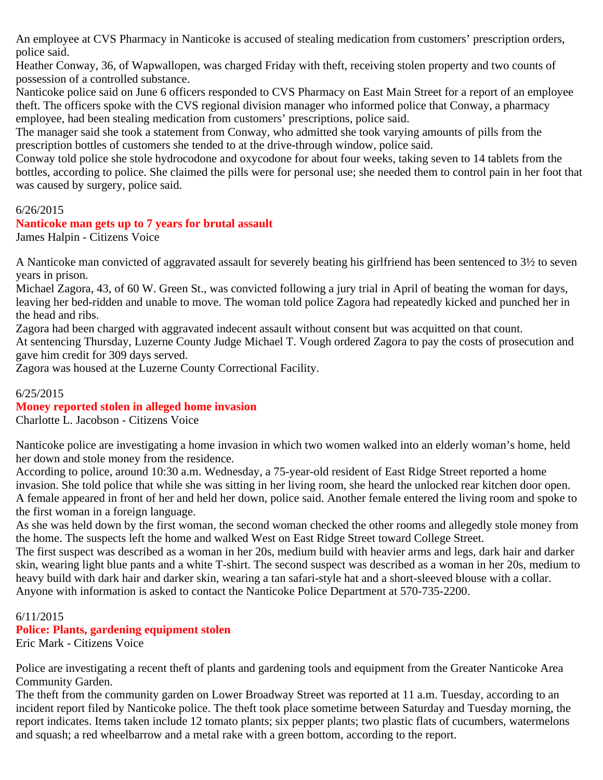An employee at CVS Pharmacy in Nanticoke is accused of stealing medication from customers' prescription orders, police said.

Heather Conway, 36, of Wapwallopen, was charged Friday with theft, receiving stolen property and two counts of possession of a controlled substance.

Nanticoke police said on June 6 officers responded to CVS Pharmacy on East Main Street for a report of an employee theft. The officers spoke with the CVS regional division manager who informed police that Conway, a pharmacy employee, had been stealing medication from customers' prescriptions, police said.

The manager said she took a statement from Conway, who admitted she took varying amounts of pills from the prescription bottles of customers she tended to at the drive-through window, police said.

Conway told police she stole hydrocodone and oxycodone for about four weeks, taking seven to 14 tablets from the bottles, according to police. She claimed the pills were for personal use; she needed them to control pain in her foot that was caused by surgery, police said.

#### 6/26/2015

#### **Nanticoke man gets up to 7 years for brutal assault**

James Halpin - Citizens Voice

A Nanticoke man convicted of aggravated assault for severely beating his girlfriend has been sentenced to 3½ to seven years in prison.

Michael Zagora, 43, of 60 W. Green St., was convicted following a jury trial in April of beating the woman for days, leaving her bed-ridden and unable to move. The woman told police Zagora had repeatedly kicked and punched her in the head and ribs.

Zagora had been charged with aggravated indecent assault without consent but was acquitted on that count.

At sentencing Thursday, Luzerne County Judge Michael T. Vough ordered Zagora to pay the costs of prosecution and gave him credit for 309 days served.

Zagora was housed at the Luzerne County Correctional Facility.

#### 6/25/2015

#### **Money reported stolen in alleged home invasion**

Charlotte L. Jacobson - Citizens Voice

Nanticoke police are investigating a home invasion in which two women walked into an elderly woman's home, held her down and stole money from the residence.

According to police, around 10:30 a.m. Wednesday, a 75-year-old resident of East Ridge Street reported a home invasion. She told police that while she was sitting in her living room, she heard the unlocked rear kitchen door open. A female appeared in front of her and held her down, police said. Another female entered the living room and spoke to the first woman in a foreign language.

As she was held down by the first woman, the second woman checked the other rooms and allegedly stole money from the home. The suspects left the home and walked West on East Ridge Street toward College Street.

The first suspect was described as a woman in her 20s, medium build with heavier arms and legs, dark hair and darker skin, wearing light blue pants and a white T-shirt. The second suspect was described as a woman in her 20s, medium to heavy build with dark hair and darker skin, wearing a tan safari-style hat and a short-sleeved blouse with a collar. Anyone with information is asked to contact the Nanticoke Police Department at 570-735-2200.

# 6/11/2015 **Police: Plants, gardening equipment stolen**

Eric Mark - Citizens Voice

Police are investigating a recent theft of plants and gardening tools and equipment from the Greater Nanticoke Area Community Garden.

The theft from the community garden on Lower Broadway Street was reported at 11 a.m. Tuesday, according to an incident report filed by Nanticoke police. The theft took place sometime between Saturday and Tuesday morning, the report indicates. Items taken include 12 tomato plants; six pepper plants; two plastic flats of cucumbers, watermelons and squash; a red wheelbarrow and a metal rake with a green bottom, according to the report.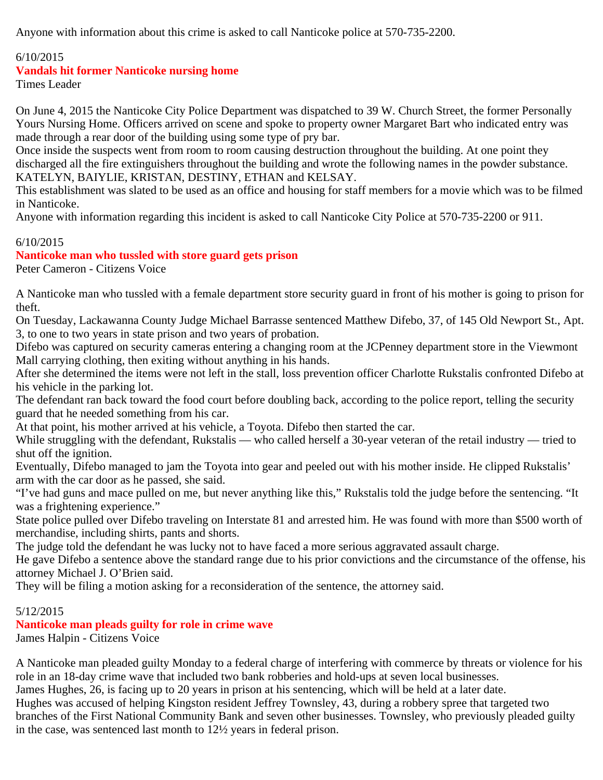Anyone with information about this crime is asked to call Nanticoke police at 570-735-2200.

#### 6/10/2015

#### **Vandals hit former Nanticoke nursing home**

Times Leader

On June 4, 2015 the Nanticoke City Police Department was dispatched to 39 W. Church Street, the former Personally Yours Nursing Home. Officers arrived on scene and spoke to property owner Margaret Bart who indicated entry was made through a rear door of the building using some type of pry bar.

Once inside the suspects went from room to room causing destruction throughout the building. At one point they discharged all the fire extinguishers throughout the building and wrote the following names in the powder substance. KATELYN, BAIYLIE, KRISTAN, DESTINY, ETHAN and KELSAY.

This establishment was slated to be used as an office and housing for staff members for a movie which was to be filmed in Nanticoke.

Anyone with information regarding this incident is asked to call Nanticoke City Police at 570-735-2200 or 911.

# 6/10/2015

# **Nanticoke man who tussled with store guard gets prison**

Peter Cameron - Citizens Voice

A Nanticoke man who tussled with a female department store security guard in front of his mother is going to prison for theft.

On Tuesday, Lackawanna County Judge Michael Barrasse sentenced Matthew Difebo, 37, of 145 Old Newport St., Apt. 3, to one to two years in state prison and two years of probation.

Difebo was captured on security cameras entering a changing room at the JCPenney department store in the Viewmont Mall carrying clothing, then exiting without anything in his hands.

After she determined the items were not left in the stall, loss prevention officer Charlotte Rukstalis confronted Difebo at his vehicle in the parking lot.

The defendant ran back toward the food court before doubling back, according to the police report, telling the security guard that he needed something from his car.

At that point, his mother arrived at his vehicle, a Toyota. Difebo then started the car.

While struggling with the defendant, Rukstalis — who called herself a 30-year veteran of the retail industry — tried to shut off the ignition.

Eventually, Difebo managed to jam the Toyota into gear and peeled out with his mother inside. He clipped Rukstalis' arm with the car door as he passed, she said.

"I've had guns and mace pulled on me, but never anything like this," Rukstalis told the judge before the sentencing. "It was a frightening experience."

State police pulled over Difebo traveling on Interstate 81 and arrested him. He was found with more than \$500 worth of merchandise, including shirts, pants and shorts.

The judge told the defendant he was lucky not to have faced a more serious aggravated assault charge.

He gave Difebo a sentence above the standard range due to his prior convictions and the circumstance of the offense, his attorney Michael J. O'Brien said.

They will be filing a motion asking for a reconsideration of the sentence, the attorney said.

#### 5/12/2015

#### **Nanticoke man pleads guilty for role in crime wave**

James Halpin - Citizens Voice

A Nanticoke man pleaded guilty Monday to a federal charge of interfering with commerce by threats or violence for his role in an 18-day crime wave that included two bank robberies and hold-ups at seven local businesses.

James Hughes, 26, is facing up to 20 years in prison at his sentencing, which will be held at a later date.

Hughes was accused of helping Kingston resident Jeffrey Townsley, 43, during a robbery spree that targeted two branches of the First National Community Bank and seven other businesses. Townsley, who previously pleaded guilty in the case, was sentenced last month to 12½ years in federal prison.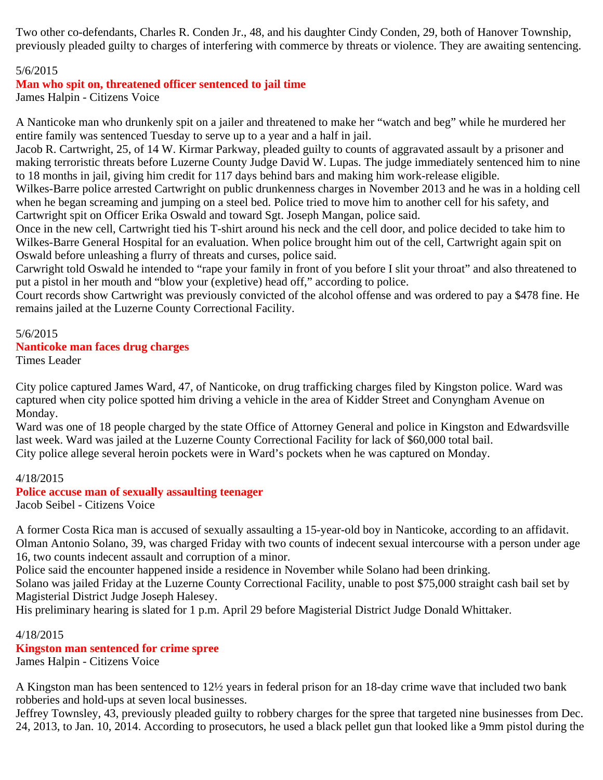Two other co-defendants, Charles R. Conden Jr., 48, and his daughter Cindy Conden, 29, both of Hanover Township, previously pleaded guilty to charges of interfering with commerce by threats or violence. They are awaiting sentencing.

# 5/6/2015

# **Man who spit on, threatened officer sentenced to jail time**

James Halpin - Citizens Voice

A Nanticoke man who drunkenly spit on a jailer and threatened to make her "watch and beg" while he murdered her entire family was sentenced Tuesday to serve up to a year and a half in jail.

Jacob R. Cartwright, 25, of 14 W. Kirmar Parkway, pleaded guilty to counts of aggravated assault by a prisoner and making terroristic threats before Luzerne County Judge David W. Lupas. The judge immediately sentenced him to nine to 18 months in jail, giving him credit for 117 days behind bars and making him work-release eligible.

Wilkes-Barre police arrested Cartwright on public drunkenness charges in November 2013 and he was in a holding cell when he began screaming and jumping on a steel bed. Police tried to move him to another cell for his safety, and Cartwright spit on Officer Erika Oswald and toward Sgt. Joseph Mangan, police said.

Once in the new cell, Cartwright tied his T-shirt around his neck and the cell door, and police decided to take him to Wilkes-Barre General Hospital for an evaluation. When police brought him out of the cell, Cartwright again spit on Oswald before unleashing a flurry of threats and curses, police said.

Carwright told Oswald he intended to "rape your family in front of you before I slit your throat" and also threatened to put a pistol in her mouth and "blow your (expletive) head off," according to police.

Court records show Cartwright was previously convicted of the alcohol offense and was ordered to pay a \$478 fine. He remains jailed at the Luzerne County Correctional Facility.

# 5/6/2015

#### **Nanticoke man faces drug charges**

Times Leader

City police captured James Ward, 47, of Nanticoke, on drug trafficking charges filed by Kingston police. Ward was captured when city police spotted him driving a vehicle in the area of Kidder Street and Conyngham Avenue on Monday.

Ward was one of 18 people charged by the state Office of Attorney General and police in Kingston and Edwardsville last week. Ward was jailed at the Luzerne County Correctional Facility for lack of \$60,000 total bail. City police allege several heroin pockets were in Ward's pockets when he was captured on Monday.

#### 4/18/2015

# **Police accuse man of sexually assaulting teenager**

Jacob Seibel - Citizens Voice

A former Costa Rica man is accused of sexually assaulting a 15-year-old boy in Nanticoke, according to an affidavit. Olman Antonio Solano, 39, was charged Friday with two counts of indecent sexual intercourse with a person under age 16, two counts indecent assault and corruption of a minor.

Police said the encounter happened inside a residence in November while Solano had been drinking.

Solano was jailed Friday at the Luzerne County Correctional Facility, unable to post \$75,000 straight cash bail set by Magisterial District Judge Joseph Halesey.

His preliminary hearing is slated for 1 p.m. April 29 before Magisterial District Judge Donald Whittaker.

#### 4/18/2015

#### **Kingston man sentenced for crime spree**

James Halpin - Citizens Voice

A Kingston man has been sentenced to 12½ years in federal prison for an 18-day crime wave that included two bank robberies and hold-ups at seven local businesses.

Jeffrey Townsley, 43, previously pleaded guilty to robbery charges for the spree that targeted nine businesses from Dec. 24, 2013, to Jan. 10, 2014. According to prosecutors, he used a black pellet gun that looked like a 9mm pistol during the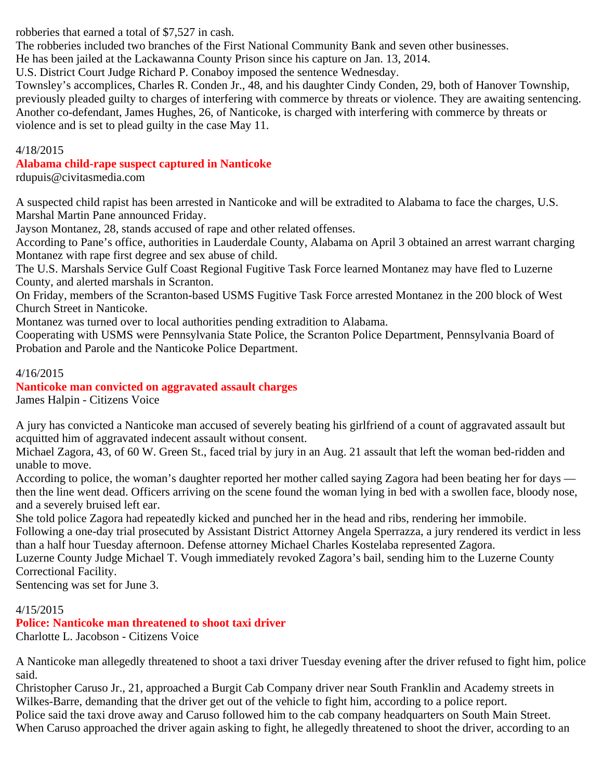robberies that earned a total of \$7,527 in cash.

The robberies included two branches of the First National Community Bank and seven other businesses.

He has been jailed at the Lackawanna County Prison since his capture on Jan. 13, 2014.

U.S. District Court Judge Richard P. Conaboy imposed the sentence Wednesday.

Townsley's accomplices, Charles R. Conden Jr., 48, and his daughter Cindy Conden, 29, both of Hanover Township, previously pleaded guilty to charges of interfering with commerce by threats or violence. They are awaiting sentencing. Another co-defendant, James Hughes, 26, of Nanticoke, is charged with interfering with commerce by threats or violence and is set to plead guilty in the case May 11.

#### 4/18/2015

# **Alabama child-rape suspect captured in Nanticoke**

rdupuis@civitasmedia.com

A suspected child rapist has been arrested in Nanticoke and will be extradited to Alabama to face the charges, U.S. Marshal Martin Pane announced Friday.

Jayson Montanez, 28, stands accused of rape and other related offenses.

According to Pane's office, authorities in Lauderdale County, Alabama on April 3 obtained an arrest warrant charging Montanez with rape first degree and sex abuse of child.

The U.S. Marshals Service Gulf Coast Regional Fugitive Task Force learned Montanez may have fled to Luzerne County, and alerted marshals in Scranton.

On Friday, members of the Scranton-based USMS Fugitive Task Force arrested Montanez in the 200 block of West Church Street in Nanticoke.

Montanez was turned over to local authorities pending extradition to Alabama.

Cooperating with USMS were Pennsylvania State Police, the Scranton Police Department, Pennsylvania Board of Probation and Parole and the Nanticoke Police Department.

# 4/16/2015

**Nanticoke man convicted on aggravated assault charges** James Halpin - Citizens Voice

A jury has convicted a Nanticoke man accused of severely beating his girlfriend of a count of aggravated assault but acquitted him of aggravated indecent assault without consent.

Michael Zagora, 43, of 60 W. Green St., faced trial by jury in an Aug. 21 assault that left the woman bed-ridden and unable to move.

According to police, the woman's daughter reported her mother called saying Zagora had been beating her for days then the line went dead. Officers arriving on the scene found the woman lying in bed with a swollen face, bloody nose, and a severely bruised left ear.

She told police Zagora had repeatedly kicked and punched her in the head and ribs, rendering her immobile. Following a one-day trial prosecuted by Assistant District Attorney Angela Sperrazza, a jury rendered its verdict in less than a half hour Tuesday afternoon. Defense attorney Michael Charles Kostelaba represented Zagora.

Luzerne County Judge Michael T. Vough immediately revoked Zagora's bail, sending him to the Luzerne County Correctional Facility.

Sentencing was set for June 3.

# 4/15/2015

**Police: Nanticoke man threatened to shoot taxi driver**

Charlotte L. Jacobson - Citizens Voice

A Nanticoke man allegedly threatened to shoot a taxi driver Tuesday evening after the driver refused to fight him, police said.

Christopher Caruso Jr., 21, approached a Burgit Cab Company driver near South Franklin and Academy streets in Wilkes-Barre, demanding that the driver get out of the vehicle to fight him, according to a police report. Police said the taxi drove away and Caruso followed him to the cab company headquarters on South Main Street.

When Caruso approached the driver again asking to fight, he allegedly threatened to shoot the driver, according to an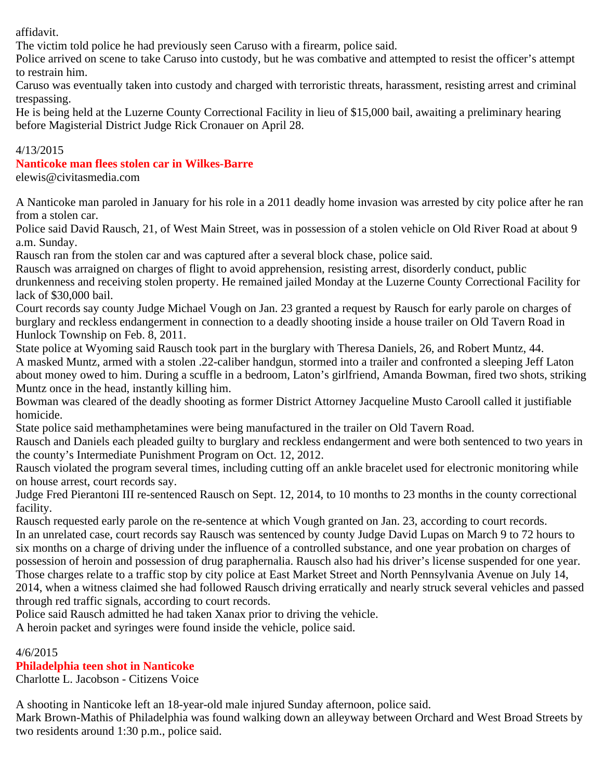affidavit.

The victim told police he had previously seen Caruso with a firearm, police said.

Police arrived on scene to take Caruso into custody, but he was combative and attempted to resist the officer's attempt to restrain him.

Caruso was eventually taken into custody and charged with terroristic threats, harassment, resisting arrest and criminal trespassing.

He is being held at the Luzerne County Correctional Facility in lieu of \$15,000 bail, awaiting a preliminary hearing before Magisterial District Judge Rick Cronauer on April 28.

#### 4/13/2015

#### **Nanticoke man flees stolen car in Wilkes-Barre**

elewis@civitasmedia.com

A Nanticoke man paroled in January for his role in a 2011 deadly home invasion was arrested by city police after he ran from a stolen car.

Police said David Rausch, 21, of West Main Street, was in possession of a stolen vehicle on Old River Road at about 9 a.m. Sunday.

Rausch ran from the stolen car and was captured after a several block chase, police said.

Rausch was arraigned on charges of flight to avoid apprehension, resisting arrest, disorderly conduct, public drunkenness and receiving stolen property. He remained jailed Monday at the Luzerne County Correctional Facility for lack of \$30,000 bail.

Court records say county Judge Michael Vough on Jan. 23 granted a request by Rausch for early parole on charges of burglary and reckless endangerment in connection to a deadly shooting inside a house trailer on Old Tavern Road in Hunlock Township on Feb. 8, 2011.

State police at Wyoming said Rausch took part in the burglary with Theresa Daniels, 26, and Robert Muntz, 44. A masked Muntz, armed with a stolen .22-caliber handgun, stormed into a trailer and confronted a sleeping Jeff Laton about money owed to him. During a scuffle in a bedroom, Laton's girlfriend, Amanda Bowman, fired two shots, striking Muntz once in the head, instantly killing him.

Bowman was cleared of the deadly shooting as former District Attorney Jacqueline Musto Carooll called it justifiable homicide.

State police said methamphetamines were being manufactured in the trailer on Old Tavern Road.

Rausch and Daniels each pleaded guilty to burglary and reckless endangerment and were both sentenced to two years in the county's Intermediate Punishment Program on Oct. 12, 2012.

Rausch violated the program several times, including cutting off an ankle bracelet used for electronic monitoring while on house arrest, court records say.

Judge Fred Pierantoni III re-sentenced Rausch on Sept. 12, 2014, to 10 months to 23 months in the county correctional facility.

Rausch requested early parole on the re-sentence at which Vough granted on Jan. 23, according to court records. In an unrelated case, court records say Rausch was sentenced by county Judge David Lupas on March 9 to 72 hours to six months on a charge of driving under the influence of a controlled substance, and one year probation on charges of possession of heroin and possession of drug paraphernalia. Rausch also had his driver's license suspended for one year. Those charges relate to a traffic stop by city police at East Market Street and North Pennsylvania Avenue on July 14, 2014, when a witness claimed she had followed Rausch driving erratically and nearly struck several vehicles and passed through red traffic signals, according to court records.

Police said Rausch admitted he had taken Xanax prior to driving the vehicle.

A heroin packet and syringes were found inside the vehicle, police said.

4/6/2015

#### **Philadelphia teen shot in Nanticoke**

Charlotte L. Jacobson - Citizens Voice

A shooting in Nanticoke left an 18-year-old male injured Sunday afternoon, police said.

Mark Brown-Mathis of Philadelphia was found walking down an alleyway between Orchard and West Broad Streets by two residents around 1:30 p.m., police said.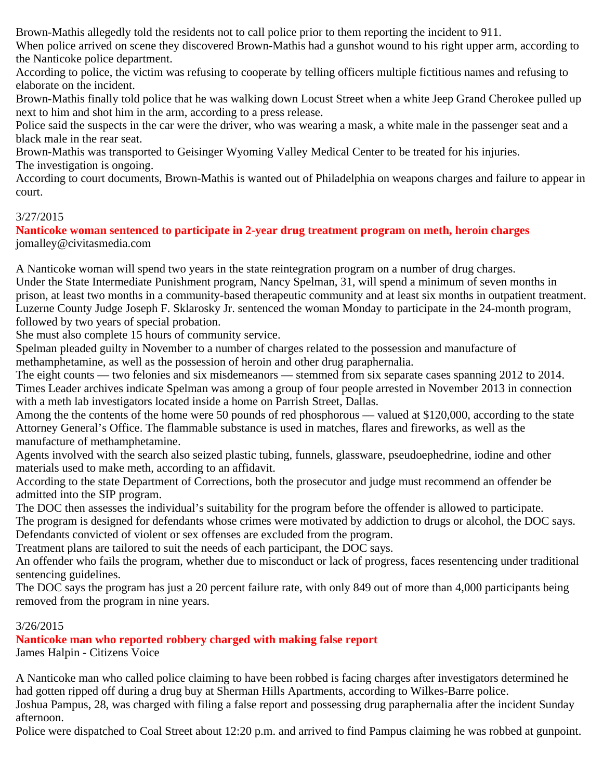Brown-Mathis allegedly told the residents not to call police prior to them reporting the incident to 911.

When police arrived on scene they discovered Brown-Mathis had a gunshot wound to his right upper arm, according to the Nanticoke police department.

According to police, the victim was refusing to cooperate by telling officers multiple fictitious names and refusing to elaborate on the incident.

Brown-Mathis finally told police that he was walking down Locust Street when a white Jeep Grand Cherokee pulled up next to him and shot him in the arm, according to a press release.

Police said the suspects in the car were the driver, who was wearing a mask, a white male in the passenger seat and a black male in the rear seat.

Brown-Mathis was transported to Geisinger Wyoming Valley Medical Center to be treated for his injuries. The investigation is ongoing.

According to court documents, Brown-Mathis is wanted out of Philadelphia on weapons charges and failure to appear in court.

# 3/27/2015

**Nanticoke woman sentenced to participate in 2-year drug treatment program on meth, heroin charges** jomalley@civitasmedia.com

A Nanticoke woman will spend two years in the state reintegration program on a number of drug charges. Under the State Intermediate Punishment program, Nancy Spelman, 31, will spend a minimum of seven months in prison, at least two months in a community-based therapeutic community and at least six months in outpatient treatment. Luzerne County Judge Joseph F. Sklarosky Jr. sentenced the woman Monday to participate in the 24-month program, followed by two years of special probation.

She must also complete 15 hours of community service.

Spelman pleaded guilty in November to a number of charges related to the possession and manufacture of methamphetamine, as well as the possession of heroin and other drug paraphernalia.

The eight counts — two felonies and six misdemeanors — stemmed from six separate cases spanning 2012 to 2014. Times Leader archives indicate Spelman was among a group of four people arrested in November 2013 in connection with a meth lab investigators located inside a home on Parrish Street, Dallas.

Among the the contents of the home were 50 pounds of red phosphorous — valued at \$120,000, according to the state Attorney General's Office. The flammable substance is used in matches, flares and fireworks, as well as the manufacture of methamphetamine.

Agents involved with the search also seized plastic tubing, funnels, glassware, pseudoephedrine, iodine and other materials used to make meth, according to an affidavit.

According to the state Department of Corrections, both the prosecutor and judge must recommend an offender be admitted into the SIP program.

The DOC then assesses the individual's suitability for the program before the offender is allowed to participate.

The program is designed for defendants whose crimes were motivated by addiction to drugs or alcohol, the DOC says. Defendants convicted of violent or sex offenses are excluded from the program.

Treatment plans are tailored to suit the needs of each participant, the DOC says.

An offender who fails the program, whether due to misconduct or lack of progress, faces resentencing under traditional sentencing guidelines.

The DOC says the program has just a 20 percent failure rate, with only 849 out of more than 4,000 participants being removed from the program in nine years.

#### 3/26/2015

**Nanticoke man who reported robbery charged with making false report** James Halpin - Citizens Voice

A Nanticoke man who called police claiming to have been robbed is facing charges after investigators determined he had gotten ripped off during a drug buy at Sherman Hills Apartments, according to Wilkes-Barre police.

Joshua Pampus, 28, was charged with filing a false report and possessing drug paraphernalia after the incident Sunday afternoon.

Police were dispatched to Coal Street about 12:20 p.m. and arrived to find Pampus claiming he was robbed at gunpoint.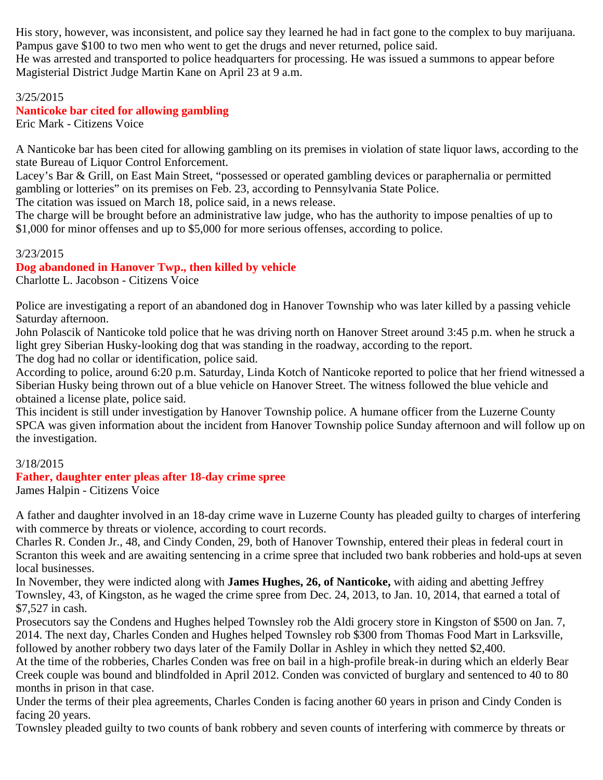His story, however, was inconsistent, and police say they learned he had in fact gone to the complex to buy marijuana. Pampus gave \$100 to two men who went to get the drugs and never returned, police said. He was arrested and transported to police headquarters for processing. He was issued a summons to appear before

Magisterial District Judge Martin Kane on April 23 at 9 a.m.

#### 3/25/2015

# **Nanticoke bar cited for allowing gambling**

Eric Mark - Citizens Voice

A Nanticoke bar has been cited for allowing gambling on its premises in violation of state liquor laws, according to the state Bureau of Liquor Control Enforcement.

Lacey's Bar & Grill, on East Main Street, "possessed or operated gambling devices or paraphernalia or permitted gambling or lotteries" on its premises on Feb. 23, according to Pennsylvania State Police.

The citation was issued on March 18, police said, in a news release.

The charge will be brought before an administrative law judge, who has the authority to impose penalties of up to \$1,000 for minor offenses and up to \$5,000 for more serious offenses, according to police.

#### 3/23/2015

# **Dog abandoned in Hanover Twp., then killed by vehicle**

Charlotte L. Jacobson - Citizens Voice

Police are investigating a report of an abandoned dog in Hanover Township who was later killed by a passing vehicle Saturday afternoon.

John Polascik of Nanticoke told police that he was driving north on Hanover Street around 3:45 p.m. when he struck a light grey Siberian Husky-looking dog that was standing in the roadway, according to the report.

The dog had no collar or identification, police said.

According to police, around 6:20 p.m. Saturday, Linda Kotch of Nanticoke reported to police that her friend witnessed a Siberian Husky being thrown out of a blue vehicle on Hanover Street. The witness followed the blue vehicle and obtained a license plate, police said.

This incident is still under investigation by Hanover Township police. A humane officer from the Luzerne County SPCA was given information about the incident from Hanover Township police Sunday afternoon and will follow up on the investigation.

#### 3/18/2015

#### **Father, daughter enter pleas after 18-day crime spree**

James Halpin - Citizens Voice

A father and daughter involved in an 18-day crime wave in Luzerne County has pleaded guilty to charges of interfering with commerce by threats or violence, according to court records.

Charles R. Conden Jr., 48, and Cindy Conden, 29, both of Hanover Township, entered their pleas in federal court in Scranton this week and are awaiting sentencing in a crime spree that included two bank robberies and hold-ups at seven local businesses.

In November, they were indicted along with **James Hughes, 26, of Nanticoke,** with aiding and abetting Jeffrey Townsley, 43, of Kingston, as he waged the crime spree from Dec. 24, 2013, to Jan. 10, 2014, that earned a total of \$7,527 in cash.

Prosecutors say the Condens and Hughes helped Townsley rob the Aldi grocery store in Kingston of \$500 on Jan. 7, 2014. The next day, Charles Conden and Hughes helped Townsley rob \$300 from Thomas Food Mart in Larksville, followed by another robbery two days later of the Family Dollar in Ashley in which they netted \$2,400.

At the time of the robberies, Charles Conden was free on bail in a high-profile break-in during which an elderly Bear Creek couple was bound and blindfolded in April 2012. Conden was convicted of burglary and sentenced to 40 to 80 months in prison in that case.

Under the terms of their plea agreements, Charles Conden is facing another 60 years in prison and Cindy Conden is facing 20 years.

Townsley pleaded guilty to two counts of bank robbery and seven counts of interfering with commerce by threats or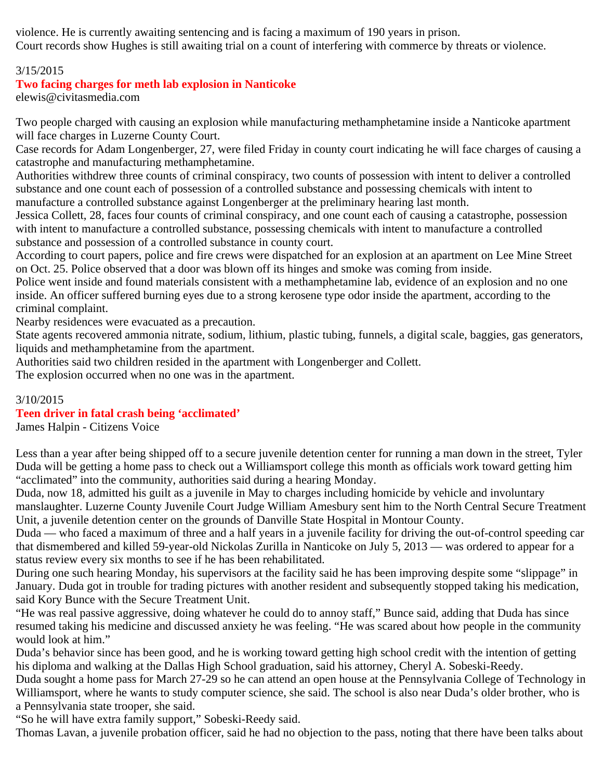violence. He is currently awaiting sentencing and is facing a maximum of 190 years in prison. Court records show Hughes is still awaiting trial on a count of interfering with commerce by threats or violence.

# 3/15/2015

#### **Two facing charges for meth lab explosion in Nanticoke**

elewis@civitasmedia.com

Two people charged with causing an explosion while manufacturing methamphetamine inside a Nanticoke apartment will face charges in Luzerne County Court.

Case records for Adam Longenberger, 27, were filed Friday in county court indicating he will face charges of causing a catastrophe and manufacturing methamphetamine.

Authorities withdrew three counts of criminal conspiracy, two counts of possession with intent to deliver a controlled substance and one count each of possession of a controlled substance and possessing chemicals with intent to manufacture a controlled substance against Longenberger at the preliminary hearing last month.

Jessica Collett, 28, faces four counts of criminal conspiracy, and one count each of causing a catastrophe, possession with intent to manufacture a controlled substance, possessing chemicals with intent to manufacture a controlled substance and possession of a controlled substance in county court.

According to court papers, police and fire crews were dispatched for an explosion at an apartment on Lee Mine Street on Oct. 25. Police observed that a door was blown off its hinges and smoke was coming from inside.

Police went inside and found materials consistent with a methamphetamine lab, evidence of an explosion and no one inside. An officer suffered burning eyes due to a strong kerosene type odor inside the apartment, according to the criminal complaint.

Nearby residences were evacuated as a precaution.

State agents recovered ammonia nitrate, sodium, lithium, plastic tubing, funnels, a digital scale, baggies, gas generators, liquids and methamphetamine from the apartment.

Authorities said two children resided in the apartment with Longenberger and Collett.

The explosion occurred when no one was in the apartment.

#### 3/10/2015

#### **Teen driver in fatal crash being 'acclimated'**

James Halpin - Citizens Voice

Less than a year after being shipped off to a secure juvenile detention center for running a man down in the street, Tyler Duda will be getting a home pass to check out a Williamsport college this month as officials work toward getting him "acclimated" into the community, authorities said during a hearing Monday.

Duda, now 18, admitted his guilt as a juvenile in May to charges including homicide by vehicle and involuntary manslaughter. Luzerne County Juvenile Court Judge William Amesbury sent him to the North Central Secure Treatment Unit, a juvenile detention center on the grounds of Danville State Hospital in Montour County.

Duda — who faced a maximum of three and a half years in a juvenile facility for driving the out-of-control speeding car that dismembered and killed 59-year-old Nickolas Zurilla in Nanticoke on July 5, 2013 — was ordered to appear for a status review every six months to see if he has been rehabilitated.

During one such hearing Monday, his supervisors at the facility said he has been improving despite some "slippage" in January. Duda got in trouble for trading pictures with another resident and subsequently stopped taking his medication, said Kory Bunce with the Secure Treatment Unit.

"He was real passive aggressive, doing whatever he could do to annoy staff," Bunce said, adding that Duda has since resumed taking his medicine and discussed anxiety he was feeling. "He was scared about how people in the community would look at him."

Duda's behavior since has been good, and he is working toward getting high school credit with the intention of getting his diploma and walking at the Dallas High School graduation, said his attorney, Cheryl A. Sobeski-Reedy.

Duda sought a home pass for March 27-29 so he can attend an open house at the Pennsylvania College of Technology in Williamsport, where he wants to study computer science, she said. The school is also near Duda's older brother, who is a Pennsylvania state trooper, she said.

"So he will have extra family support," Sobeski-Reedy said.

Thomas Lavan, a juvenile probation officer, said he had no objection to the pass, noting that there have been talks about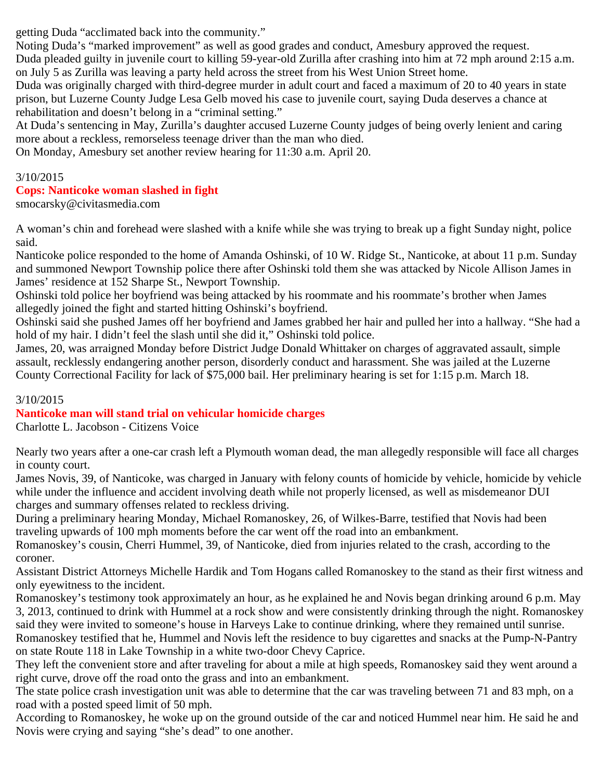getting Duda "acclimated back into the community."

Noting Duda's "marked improvement" as well as good grades and conduct, Amesbury approved the request. Duda pleaded guilty in juvenile court to killing 59-year-old Zurilla after crashing into him at 72 mph around 2:15 a.m. on July 5 as Zurilla was leaving a party held across the street from his West Union Street home.

Duda was originally charged with third-degree murder in adult court and faced a maximum of 20 to 40 years in state prison, but Luzerne County Judge Lesa Gelb moved his case to juvenile court, saying Duda deserves a chance at rehabilitation and doesn't belong in a "criminal setting."

At Duda's sentencing in May, Zurilla's daughter accused Luzerne County judges of being overly lenient and caring more about a reckless, remorseless teenage driver than the man who died.

On Monday, Amesbury set another review hearing for 11:30 a.m. April 20.

# 3/10/2015 **Cops: Nanticoke woman slashed in fight**

smocarsky@civitasmedia.com

A woman's chin and forehead were slashed with a knife while she was trying to break up a fight Sunday night, police said.

Nanticoke police responded to the home of Amanda Oshinski, of 10 W. Ridge St., Nanticoke, at about 11 p.m. Sunday and summoned Newport Township police there after Oshinski told them she was attacked by Nicole Allison James in James' residence at 152 Sharpe St., Newport Township.

Oshinski told police her boyfriend was being attacked by his roommate and his roommate's brother when James allegedly joined the fight and started hitting Oshinski's boyfriend.

Oshinski said she pushed James off her boyfriend and James grabbed her hair and pulled her into a hallway. "She had a hold of my hair. I didn't feel the slash until she did it," Oshinski told police.

James, 20, was arraigned Monday before District Judge Donald Whittaker on charges of aggravated assault, simple assault, recklessly endangering another person, disorderly conduct and harassment. She was jailed at the Luzerne County Correctional Facility for lack of \$75,000 bail. Her preliminary hearing is set for 1:15 p.m. March 18.

# 3/10/2015

# **Nanticoke man will stand trial on vehicular homicide charges**

Charlotte L. Jacobson - Citizens Voice

Nearly two years after a one-car crash left a Plymouth woman dead, the man allegedly responsible will face all charges in county court.

James Novis, 39, of Nanticoke, was charged in January with felony counts of homicide by vehicle, homicide by vehicle while under the influence and accident involving death while not properly licensed, as well as misdemeanor DUI charges and summary offenses related to reckless driving.

During a preliminary hearing Monday, Michael Romanoskey, 26, of Wilkes-Barre, testified that Novis had been traveling upwards of 100 mph moments before the car went off the road into an embankment.

Romanoskey's cousin, Cherri Hummel, 39, of Nanticoke, died from injuries related to the crash, according to the coroner.

Assistant District Attorneys Michelle Hardik and Tom Hogans called Romanoskey to the stand as their first witness and only eyewitness to the incident.

Romanoskey's testimony took approximately an hour, as he explained he and Novis began drinking around 6 p.m. May 3, 2013, continued to drink with Hummel at a rock show and were consistently drinking through the night. Romanoskey said they were invited to someone's house in Harveys Lake to continue drinking, where they remained until sunrise.

Romanoskey testified that he, Hummel and Novis left the residence to buy cigarettes and snacks at the Pump-N-Pantry on state Route 118 in Lake Township in a white two-door Chevy Caprice.

They left the convenient store and after traveling for about a mile at high speeds, Romanoskey said they went around a right curve, drove off the road onto the grass and into an embankment.

The state police crash investigation unit was able to determine that the car was traveling between 71 and 83 mph, on a road with a posted speed limit of 50 mph.

According to Romanoskey, he woke up on the ground outside of the car and noticed Hummel near him. He said he and Novis were crying and saying "she's dead" to one another.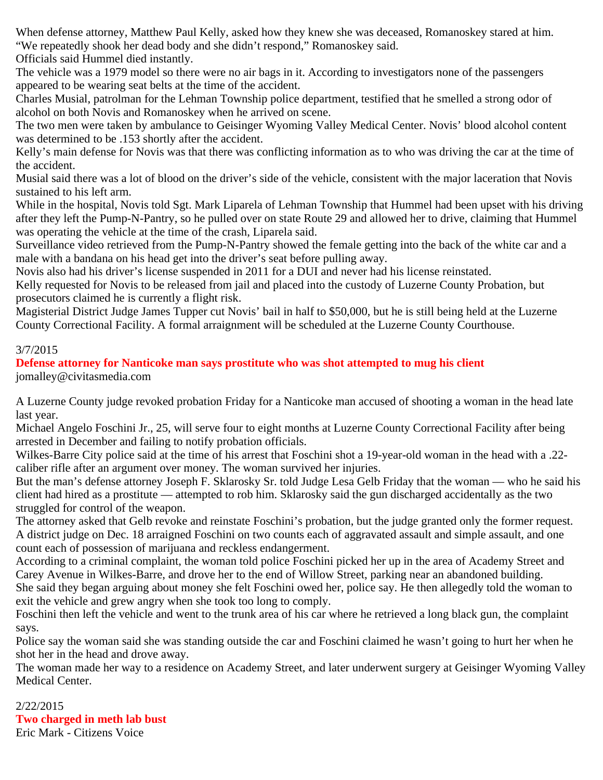When defense attorney, Matthew Paul Kelly, asked how they knew she was deceased, Romanoskey stared at him. "We repeatedly shook her dead body and she didn't respond," Romanoskey said.

Officials said Hummel died instantly.

The vehicle was a 1979 model so there were no air bags in it. According to investigators none of the passengers appeared to be wearing seat belts at the time of the accident.

Charles Musial, patrolman for the Lehman Township police department, testified that he smelled a strong odor of alcohol on both Novis and Romanoskey when he arrived on scene.

The two men were taken by ambulance to Geisinger Wyoming Valley Medical Center. Novis' blood alcohol content was determined to be .153 shortly after the accident.

Kelly's main defense for Novis was that there was conflicting information as to who was driving the car at the time of the accident.

Musial said there was a lot of blood on the driver's side of the vehicle, consistent with the major laceration that Novis sustained to his left arm.

While in the hospital, Novis told Sgt. Mark Liparela of Lehman Township that Hummel had been upset with his driving after they left the Pump-N-Pantry, so he pulled over on state Route 29 and allowed her to drive, claiming that Hummel was operating the vehicle at the time of the crash, Liparela said.

Surveillance video retrieved from the Pump-N-Pantry showed the female getting into the back of the white car and a male with a bandana on his head get into the driver's seat before pulling away.

Novis also had his driver's license suspended in 2011 for a DUI and never had his license reinstated.

Kelly requested for Novis to be released from jail and placed into the custody of Luzerne County Probation, but prosecutors claimed he is currently a flight risk.

Magisterial District Judge James Tupper cut Novis' bail in half to \$50,000, but he is still being held at the Luzerne County Correctional Facility. A formal arraignment will be scheduled at the Luzerne County Courthouse.

# 3/7/2015

**Defense attorney for Nanticoke man says prostitute who was shot attempted to mug his client** jomalley@civitasmedia.com

A Luzerne County judge revoked probation Friday for a Nanticoke man accused of shooting a woman in the head late last year.

Michael Angelo Foschini Jr., 25, will serve four to eight months at Luzerne County Correctional Facility after being arrested in December and failing to notify probation officials.

Wilkes-Barre City police said at the time of his arrest that Foschini shot a 19-year-old woman in the head with a .22 caliber rifle after an argument over money. The woman survived her injuries.

But the man's defense attorney Joseph F. Sklarosky Sr. told Judge Lesa Gelb Friday that the woman — who he said his client had hired as a prostitute — attempted to rob him. Sklarosky said the gun discharged accidentally as the two struggled for control of the weapon.

The attorney asked that Gelb revoke and reinstate Foschini's probation, but the judge granted only the former request. A district judge on Dec. 18 arraigned Foschini on two counts each of aggravated assault and simple assault, and one count each of possession of marijuana and reckless endangerment.

According to a criminal complaint, the woman told police Foschini picked her up in the area of Academy Street and Carey Avenue in Wilkes-Barre, and drove her to the end of Willow Street, parking near an abandoned building.

She said they began arguing about money she felt Foschini owed her, police say. He then allegedly told the woman to exit the vehicle and grew angry when she took too long to comply.

Foschini then left the vehicle and went to the trunk area of his car where he retrieved a long black gun, the complaint says.

Police say the woman said she was standing outside the car and Foschini claimed he wasn't going to hurt her when he shot her in the head and drove away.

The woman made her way to a residence on Academy Street, and later underwent surgery at Geisinger Wyoming Valley Medical Center.

2/22/2015 **Two charged in meth lab bust** Eric Mark - Citizens Voice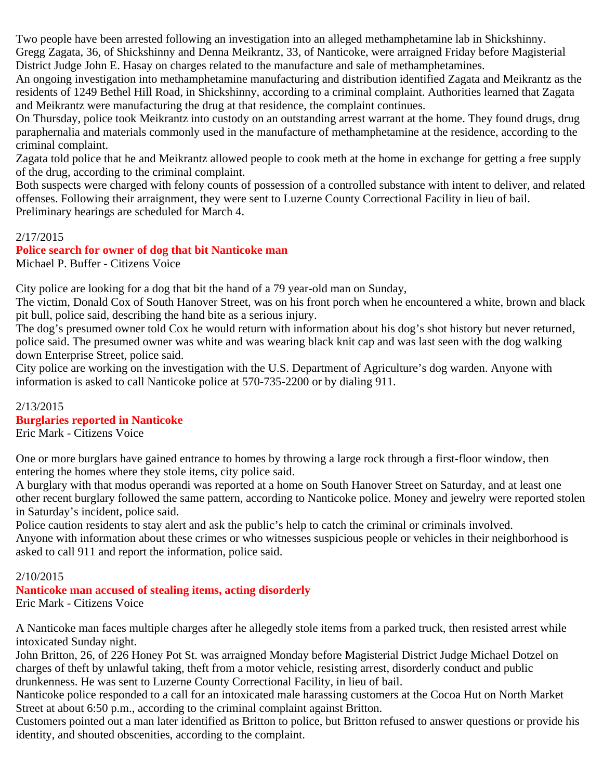Two people have been arrested following an investigation into an alleged methamphetamine lab in Shickshinny. Gregg Zagata, 36, of Shickshinny and Denna Meikrantz, 33, of Nanticoke, were arraigned Friday before Magisterial District Judge John E. Hasay on charges related to the manufacture and sale of methamphetamines.

An ongoing investigation into methamphetamine manufacturing and distribution identified Zagata and Meikrantz as the residents of 1249 Bethel Hill Road, in Shickshinny, according to a criminal complaint. Authorities learned that Zagata and Meikrantz were manufacturing the drug at that residence, the complaint continues.

On Thursday, police took Meikrantz into custody on an outstanding arrest warrant at the home. They found drugs, drug paraphernalia and materials commonly used in the manufacture of methamphetamine at the residence, according to the criminal complaint.

Zagata told police that he and Meikrantz allowed people to cook meth at the home in exchange for getting a free supply of the drug, according to the criminal complaint.

Both suspects were charged with felony counts of possession of a controlled substance with intent to deliver, and related offenses. Following their arraignment, they were sent to Luzerne County Correctional Facility in lieu of bail. Preliminary hearings are scheduled for March 4.

# 2/17/2015

**Police search for owner of dog that bit Nanticoke man** Michael P. Buffer - Citizens Voice

City police are looking for a dog that bit the hand of a 79 year-old man on Sunday,

The victim, Donald Cox of South Hanover Street, was on his front porch when he encountered a white, brown and black pit bull, police said, describing the hand bite as a serious injury.

The dog's presumed owner told Cox he would return with information about his dog's shot history but never returned, police said. The presumed owner was white and was wearing black knit cap and was last seen with the dog walking down Enterprise Street, police said.

City police are working on the investigation with the U.S. Department of Agriculture's dog warden. Anyone with information is asked to call Nanticoke police at 570-735-2200 or by dialing 911.

#### 2/13/2015 **Burglaries reported in Nanticoke**

Eric Mark - Citizens Voice

One or more burglars have gained entrance to homes by throwing a large rock through a first-floor window, then entering the homes where they stole items, city police said.

A burglary with that modus operandi was reported at a home on South Hanover Street on Saturday, and at least one other recent burglary followed the same pattern, according to Nanticoke police. Money and jewelry were reported stolen in Saturday's incident, police said.

Police caution residents to stay alert and ask the public's help to catch the criminal or criminals involved. Anyone with information about these crimes or who witnesses suspicious people or vehicles in their neighborhood is asked to call 911 and report the information, police said.

# 2/10/2015

# **Nanticoke man accused of stealing items, acting disorderly**

Eric Mark - Citizens Voice

A Nanticoke man faces multiple charges after he allegedly stole items from a parked truck, then resisted arrest while intoxicated Sunday night.

John Britton, 26, of 226 Honey Pot St. was arraigned Monday before Magisterial District Judge Michael Dotzel on charges of theft by unlawful taking, theft from a motor vehicle, resisting arrest, disorderly conduct and public drunkenness. He was sent to Luzerne County Correctional Facility, in lieu of bail.

Nanticoke police responded to a call for an intoxicated male harassing customers at the Cocoa Hut on North Market Street at about 6:50 p.m., according to the criminal complaint against Britton.

Customers pointed out a man later identified as Britton to police, but Britton refused to answer questions or provide his identity, and shouted obscenities, according to the complaint.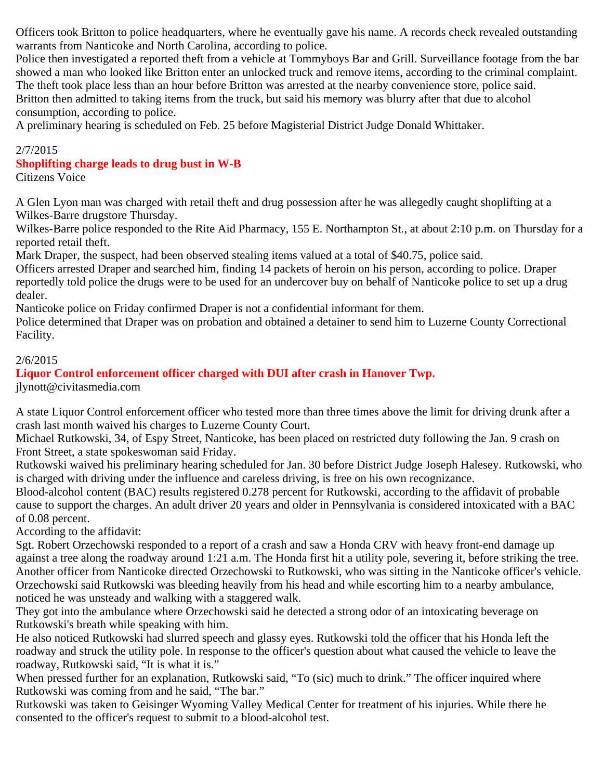Officers took Britton to police headquarters, where he eventually gave his name. A records check revealed outstanding warrants from Nanticoke and North Carolina, according to police.

Police then investigated a reported theft from a vehicle at Tommyboys Bar and Grill. Surveillance footage from the bar showed a man who looked like Britton enter an unlocked truck and remove items, according to the criminal complaint. The theft took place less than an hour before Britton was arrested at the nearby convenience store, police said. Britton then admitted to taking items from the truck, but said his memory was blurry after that due to alcohol consumption, according to police.

A preliminary hearing is scheduled on Feb. 25 before Magisterial District Judge Donald Whittaker.

#### 2/7/2015

#### **Shoplifting charge leads to drug bust in W-B**

Citizens Voice

A Glen Lyon man was charged with retail theft and drug possession after he was allegedly caught shoplifting at a Wilkes-Barre drugstore Thursday.

Wilkes-Barre police responded to the Rite Aid Pharmacy, 155 E. Northampton St., at about 2:10 p.m. on Thursday for a reported retail theft.

Mark Draper, the suspect, had been observed stealing items valued at a total of \$40.75, police said.

Officers arrested Draper and searched him, finding 14 packets of heroin on his person, according to police. Draper reportedly told police the drugs were to be used for an undercover buy on behalf of Nanticoke police to set up a drug dealer.

Nanticoke police on Friday confirmed Draper is not a confidential informant for them.

Police determined that Draper was on probation and obtained a detainer to send him to Luzerne County Correctional Facility.

#### 2/6/2015

# **Liquor Control enforcement officer charged with DUI after crash in Hanover Twp.**

jlynott@civitasmedia.com

A state Liquor Control enforcement officer who tested more than three times above the limit for driving drunk after a crash last month waived his charges to Luzerne County Court.

Michael Rutkowski, 34, of Espy Street, Nanticoke, has been placed on restricted duty following the Jan. 9 crash on Front Street, a state spokeswoman said Friday.

Rutkowski waived his preliminary hearing scheduled for Jan. 30 before District Judge Joseph Halesey. Rutkowski, who is charged with driving under the influence and careless driving, is free on his own recognizance.

Blood-alcohol content (BAC) results registered 0.278 percent for Rutkowski, according to the affidavit of probable cause to support the charges. An adult driver 20 years and older in Pennsylvania is considered intoxicated with a BAC of 0.08 percent.

According to the affidavit:

Sgt. Robert Orzechowski responded to a report of a crash and saw a Honda CRV with heavy front-end damage up against a tree along the roadway around 1:21 a.m. The Honda first hit a utility pole, severing it, before striking the tree. Another officer from Nanticoke directed Orzechowski to Rutkowski, who was sitting in the Nanticoke officer's vehicle. Orzechowski said Rutkowski was bleeding heavily from his head and while escorting him to a nearby ambulance, noticed he was unsteady and walking with a staggered walk.

They got into the ambulance where Orzechowski said he detected a strong odor of an intoxicating beverage on Rutkowski's breath while speaking with him.

He also noticed Rutkowski had slurred speech and glassy eyes. Rutkowski told the officer that his Honda left the roadway and struck the utility pole. In response to the officer's question about what caused the vehicle to leave the roadway, Rutkowski said, "It is what it is."

When pressed further for an explanation, Rutkowski said, "To (sic) much to drink." The officer inquired where Rutkowski was coming from and he said, "The bar."

Rutkowski was taken to Geisinger Wyoming Valley Medical Center for treatment of his injuries. While there he consented to the officer's request to submit to a blood-alcohol test.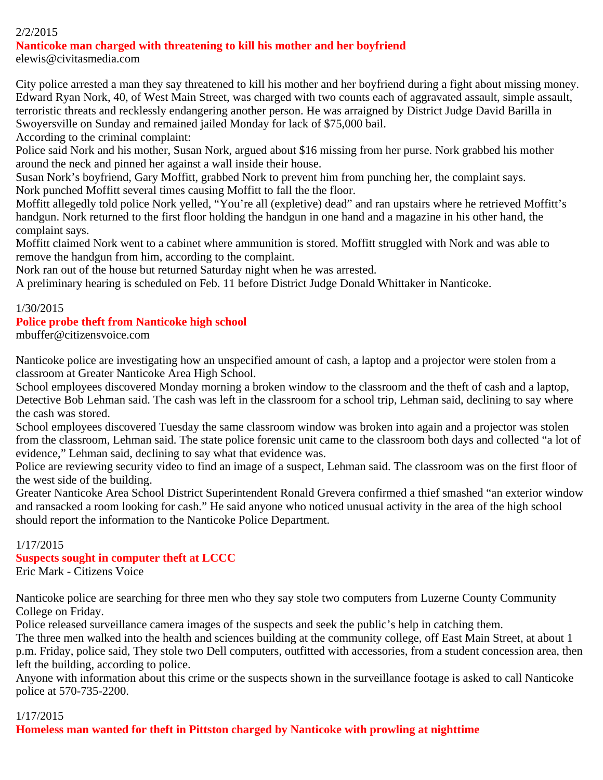# 2/2/2015

#### **Nanticoke man charged with threatening to kill his mother and her boyfriend**

elewis@civitasmedia.com

City police arrested a man they say threatened to kill his mother and her boyfriend during a fight about missing money. Edward Ryan Nork, 40, of West Main Street, was charged with two counts each of aggravated assault, simple assault, terroristic threats and recklessly endangering another person. He was arraigned by District Judge David Barilla in Swoyersville on Sunday and remained jailed Monday for lack of \$75,000 bail.

According to the criminal complaint:

Police said Nork and his mother, Susan Nork, argued about \$16 missing from her purse. Nork grabbed his mother around the neck and pinned her against a wall inside their house.

Susan Nork's boyfriend, Gary Moffitt, grabbed Nork to prevent him from punching her, the complaint says. Nork punched Moffitt several times causing Moffitt to fall the the floor.

Moffitt allegedly told police Nork yelled, "You're all (expletive) dead" and ran upstairs where he retrieved Moffitt's handgun. Nork returned to the first floor holding the handgun in one hand and a magazine in his other hand, the complaint says.

Moffitt claimed Nork went to a cabinet where ammunition is stored. Moffitt struggled with Nork and was able to remove the handgun from him, according to the complaint.

Nork ran out of the house but returned Saturday night when he was arrested.

A preliminary hearing is scheduled on Feb. 11 before District Judge Donald Whittaker in Nanticoke.

#### 1/30/2015

#### **Police probe theft from Nanticoke high school**

mbuffer@citizensvoice.com

Nanticoke police are investigating how an unspecified amount of cash, a laptop and a projector were stolen from a classroom at Greater Nanticoke Area High School.

School employees discovered Monday morning a broken window to the classroom and the theft of cash and a laptop, Detective Bob Lehman said. The cash was left in the classroom for a school trip, Lehman said, declining to say where the cash was stored.

School employees discovered Tuesday the same classroom window was broken into again and a projector was stolen from the classroom, Lehman said. The state police forensic unit came to the classroom both days and collected "a lot of evidence," Lehman said, declining to say what that evidence was.

Police are reviewing security video to find an image of a suspect, Lehman said. The classroom was on the first floor of the west side of the building.

Greater Nanticoke Area School District Superintendent Ronald Grevera confirmed a thief smashed "an exterior window and ransacked a room looking for cash." He said anyone who noticed unusual activity in the area of the high school should report the information to the Nanticoke Police Department.

#### 1/17/2015

#### **Suspects sought in computer theft at LCCC**

Eric Mark - Citizens Voice

Nanticoke police are searching for three men who they say stole two computers from Luzerne County Community College on Friday.

Police released surveillance camera images of the suspects and seek the public's help in catching them.

The three men walked into the health and sciences building at the community college, off East Main Street, at about 1 p.m. Friday, police said, They stole two Dell computers, outfitted with accessories, from a student concession area, then left the building, according to police.

Anyone with information about this crime or the suspects shown in the surveillance footage is asked to call Nanticoke police at 570-735-2200.

#### 1/17/2015

**Homeless man wanted for theft in Pittston charged by Nanticoke with prowling at nighttime**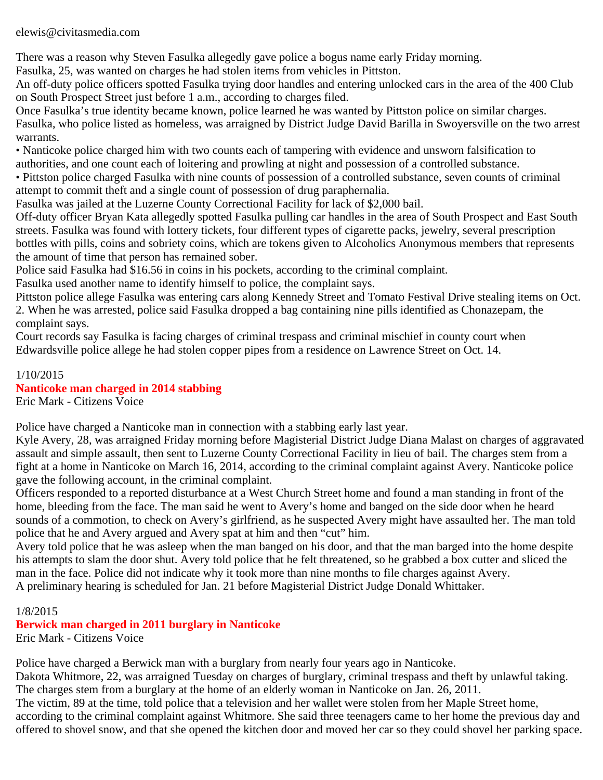elewis@civitasmedia.com

There was a reason why Steven Fasulka allegedly gave police a bogus name early Friday morning.

Fasulka, 25, was wanted on charges he had stolen items from vehicles in Pittston.

An off-duty police officers spotted Fasulka trying door handles and entering unlocked cars in the area of the 400 Club on South Prospect Street just before 1 a.m., according to charges filed.

Once Fasulka's true identity became known, police learned he was wanted by Pittston police on similar charges. Fasulka, who police listed as homeless, was arraigned by District Judge David Barilla in Swoyersville on the two arrest warrants.

• Nanticoke police charged him with two counts each of tampering with evidence and unsworn falsification to authorities, and one count each of loitering and prowling at night and possession of a controlled substance.

• Pittston police charged Fasulka with nine counts of possession of a controlled substance, seven counts of criminal attempt to commit theft and a single count of possession of drug paraphernalia.

Fasulka was jailed at the Luzerne County Correctional Facility for lack of \$2,000 bail.

Off-duty officer Bryan Kata allegedly spotted Fasulka pulling car handles in the area of South Prospect and East South streets. Fasulka was found with lottery tickets, four different types of cigarette packs, jewelry, several prescription bottles with pills, coins and sobriety coins, which are tokens given to Alcoholics Anonymous members that represents the amount of time that person has remained sober.

Police said Fasulka had \$16.56 in coins in his pockets, according to the criminal complaint.

Fasulka used another name to identify himself to police, the complaint says.

Pittston police allege Fasulka was entering cars along Kennedy Street and Tomato Festival Drive stealing items on Oct. 2. When he was arrested, police said Fasulka dropped a bag containing nine pills identified as Chonazepam, the complaint says.

Court records say Fasulka is facing charges of criminal trespass and criminal mischief in county court when Edwardsville police allege he had stolen copper pipes from a residence on Lawrence Street on Oct. 14.

#### 1/10/2015

#### **Nanticoke man charged in 2014 stabbing**

Eric Mark - Citizens Voice

Police have charged a Nanticoke man in connection with a stabbing early last year.

Kyle Avery, 28, was arraigned Friday morning before Magisterial District Judge Diana Malast on charges of aggravated assault and simple assault, then sent to Luzerne County Correctional Facility in lieu of bail. The charges stem from a fight at a home in Nanticoke on March 16, 2014, according to the criminal complaint against Avery. Nanticoke police gave the following account, in the criminal complaint.

Officers responded to a reported disturbance at a West Church Street home and found a man standing in front of the home, bleeding from the face. The man said he went to Avery's home and banged on the side door when he heard sounds of a commotion, to check on Avery's girlfriend, as he suspected Avery might have assaulted her. The man told police that he and Avery argued and Avery spat at him and then "cut" him.

Avery told police that he was asleep when the man banged on his door, and that the man barged into the home despite his attempts to slam the door shut. Avery told police that he felt threatened, so he grabbed a box cutter and sliced the man in the face. Police did not indicate why it took more than nine months to file charges against Avery. A preliminary hearing is scheduled for Jan. 21 before Magisterial District Judge Donald Whittaker.

#### 1/8/2015

# **Berwick man charged in 2011 burglary in Nanticoke**

Eric Mark - Citizens Voice

Police have charged a Berwick man with a burglary from nearly four years ago in Nanticoke.

Dakota Whitmore, 22, was arraigned Tuesday on charges of burglary, criminal trespass and theft by unlawful taking.

The charges stem from a burglary at the home of an elderly woman in Nanticoke on Jan. 26, 2011.

The victim, 89 at the time, told police that a television and her wallet were stolen from her Maple Street home,

according to the criminal complaint against Whitmore. She said three teenagers came to her home the previous day and offered to shovel snow, and that she opened the kitchen door and moved her car so they could shovel her parking space.